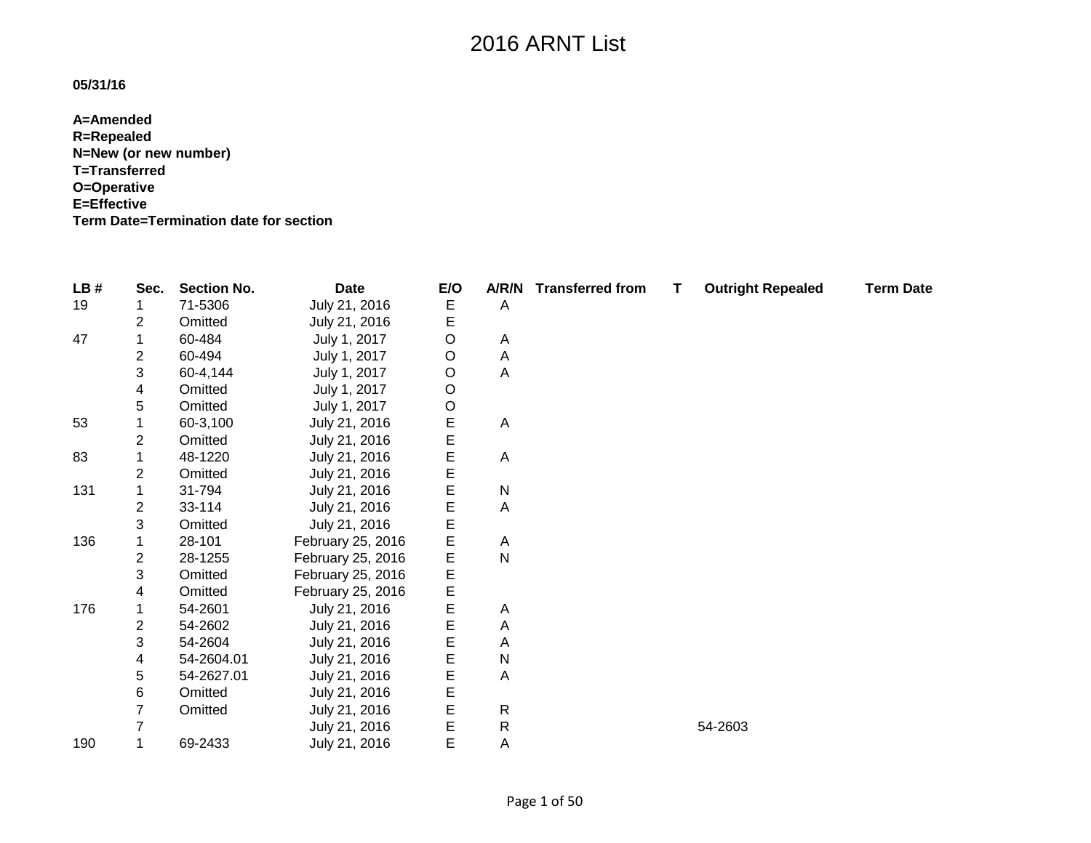### **05/31/16**

**A=Amended R=Repealed N=New (or new number) T=Transferred O=Operative E=Effective Term Date=Termination date for section**

| LB# | Sec. | <b>Section No.</b> | <b>Date</b>       | E/O     |              | A/R/N Transferred from | T | <b>Outright Repealed</b> | <b>Term Date</b> |
|-----|------|--------------------|-------------------|---------|--------------|------------------------|---|--------------------------|------------------|
| 19  |      | 71-5306            | July 21, 2016     | Е       | A            |                        |   |                          |                  |
|     | 2    | Omitted            | July 21, 2016     | E       |              |                        |   |                          |                  |
| 47  |      | 60-484             | July 1, 2017      | O       | A            |                        |   |                          |                  |
|     | 2    | 60-494             | July 1, 2017      | $\circ$ | Α            |                        |   |                          |                  |
|     | 3    | 60-4,144           | July 1, 2017      | O       | Α            |                        |   |                          |                  |
|     | 4    | Omitted            | July 1, 2017      | O       |              |                        |   |                          |                  |
|     | 5    | Omitted            | July 1, 2017      | $\circ$ |              |                        |   |                          |                  |
| 53  |      | 60-3,100           | July 21, 2016     | E       | A            |                        |   |                          |                  |
|     | 2    | Omitted            | July 21, 2016     | E       |              |                        |   |                          |                  |
| 83  |      | 48-1220            | July 21, 2016     | E       | A            |                        |   |                          |                  |
|     | 2    | Omitted            | July 21, 2016     | E       |              |                        |   |                          |                  |
| 131 |      | 31-794             | July 21, 2016     | Е       | $\mathsf{N}$ |                        |   |                          |                  |
|     | 2    | 33-114             | July 21, 2016     | E       | A            |                        |   |                          |                  |
|     | 3    | Omitted            | July 21, 2016     | E       |              |                        |   |                          |                  |
| 136 |      | 28-101             | February 25, 2016 | E       | Α            |                        |   |                          |                  |
|     | 2    | 28-1255            | February 25, 2016 | E       | $\mathsf{N}$ |                        |   |                          |                  |
|     | 3    | Omitted            | February 25, 2016 | E       |              |                        |   |                          |                  |
|     | 4    | Omitted            | February 25, 2016 | E       |              |                        |   |                          |                  |
| 176 |      | 54-2601            | July 21, 2016     | E       | Α            |                        |   |                          |                  |
|     | 2    | 54-2602            | July 21, 2016     | E       | A            |                        |   |                          |                  |
|     | 3    | 54-2604            | July 21, 2016     | E       | A            |                        |   |                          |                  |
|     | 4    | 54-2604.01         | July 21, 2016     | E       | $\mathsf{N}$ |                        |   |                          |                  |
|     | 5    | 54-2627.01         | July 21, 2016     | E       | A            |                        |   |                          |                  |
|     | 6    | Omitted            | July 21, 2016     | Е       |              |                        |   |                          |                  |
|     | 7    | Omitted            | July 21, 2016     | E       | $\mathsf{R}$ |                        |   |                          |                  |
|     |      |                    | July 21, 2016     | E       | R            |                        |   | 54-2603                  |                  |
| 190 | 1    | 69-2433            | July 21, 2016     | E       | Α            |                        |   |                          |                  |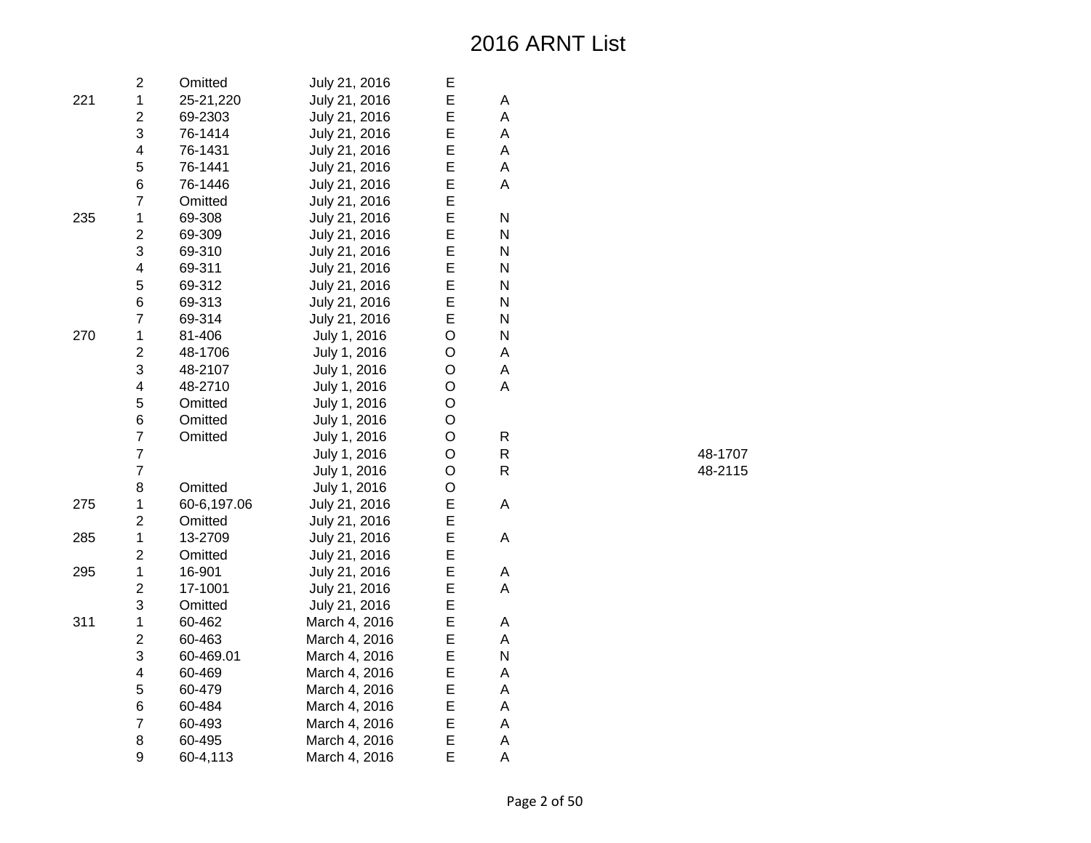|     | $\overline{c}$          | Omitted     | July 21, 2016 | Е |   |
|-----|-------------------------|-------------|---------------|---|---|
| 221 | $\mathbf{1}$            | 25-21,220   | July 21, 2016 | E | A |
|     | $\overline{c}$          | 69-2303     | July 21, 2016 | E | A |
|     | 3                       | 76-1414     | July 21, 2016 | E | A |
|     | $\overline{\mathbf{4}}$ | 76-1431     | July 21, 2016 | E | A |
|     | 5                       | 76-1441     | July 21, 2016 | E | A |
|     | 6                       | 76-1446     | July 21, 2016 | E | A |
|     | $\overline{7}$          | Omitted     | July 21, 2016 | E |   |
| 235 | 1                       | 69-308      | July 21, 2016 | E | N |
|     | $\overline{2}$          | 69-309      | July 21, 2016 | E | N |
|     | 3                       | 69-310      | July 21, 2016 | E | N |
|     | $\overline{\mathbf{4}}$ | 69-311      | July 21, 2016 | E | N |
|     | 5                       | 69-312      | July 21, 2016 | E | N |
|     | 6                       | 69-313      | July 21, 2016 | E | N |
|     | $\overline{7}$          | 69-314      | July 21, 2016 | E | N |
| 270 | $\mathbf 1$             | 81-406      | July 1, 2016  | O | N |
|     | $\overline{c}$          | 48-1706     | July 1, 2016  | O | A |
|     | 3                       | 48-2107     | July 1, 2016  | O | A |
|     | $\overline{\mathbf{4}}$ | 48-2710     | July 1, 2016  | O | A |
|     | 5                       | Omitted     | July 1, 2016  | O |   |
|     | 6                       | Omitted     | July 1, 2016  | O |   |
|     | $\overline{7}$          | Omitted     | July 1, 2016  | O | R |
|     | $\overline{7}$          |             | July 1, 2016  | O | R |
|     | $\overline{7}$          |             | July 1, 2016  | O | R |
|     | 8                       | Omitted     | July 1, 2016  | O |   |
| 275 | $\mathbf 1$             | 60-6,197.06 | July 21, 2016 | E | A |
|     | $\overline{c}$          | Omitted     | July 21, 2016 | E |   |
| 285 | $\mathbf{1}$            | 13-2709     | July 21, 2016 | E | Α |
|     | $\overline{c}$          | Omitted     | July 21, 2016 | E |   |
| 295 | $\mathbf{1}$            | 16-901      | July 21, 2016 | E | A |
|     | $\overline{2}$          | 17-1001     | July 21, 2016 | E | A |
|     | 3                       | Omitted     | July 21, 2016 | E |   |
| 311 | $\mathbf 1$             | 60-462      | March 4, 2016 | E | Α |
|     | $\overline{c}$          | 60-463      | March 4, 2016 | E | A |
|     | 3                       | 60-469.01   | March 4, 2016 | E | N |
|     | $\overline{\mathbf{4}}$ | 60-469      | March 4, 2016 | E | A |
|     | 5                       | 60-479      | March 4, 2016 | E | A |
|     | 6                       | 60-484      | March 4, 2016 | E | A |
|     | $\overline{7}$          | 60-493      | March 4, 2016 | E | A |
|     | 8                       | 60-495      | March 4, 2016 | E | A |
|     | 9                       | 60-4,113    | March 4, 2016 | E | A |

R 48-1707 R 48-2115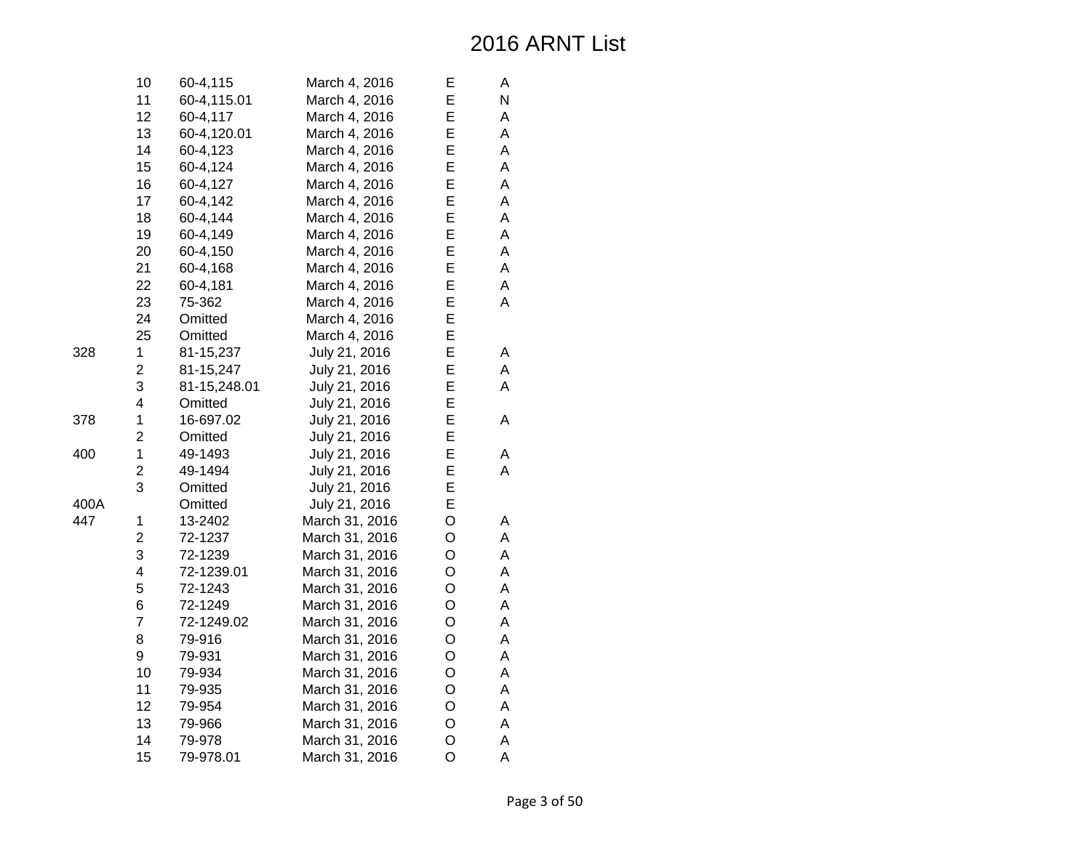|      | 10             | 60-4,115     | March 4, 2016  | Е       | Α |
|------|----------------|--------------|----------------|---------|---|
|      | 11             | 60-4,115.01  | March 4, 2016  | E       | N |
|      | 12             | 60-4,117     | March 4, 2016  | E       | A |
|      | 13             | 60-4,120.01  | March 4, 2016  | E       | A |
|      | 14             | 60-4,123     | March 4, 2016  | E       | A |
|      | 15             | 60-4,124     | March 4, 2016  | E       | A |
|      | 16             | 60-4,127     | March 4, 2016  | E       | A |
|      | 17             | 60-4,142     | March 4, 2016  | E       | A |
|      | 18             | 60-4,144     | March 4, 2016  | E       | A |
|      | 19             | 60-4,149     | March 4, 2016  | E       | A |
|      | 20             | 60-4,150     | March 4, 2016  | E       | A |
|      | 21             | 60-4,168     | March 4, 2016  | E       | A |
|      | 22             | 60-4,181     | March 4, 2016  | E       | A |
|      | 23             | 75-362       | March 4, 2016  | E       | A |
|      | 24             | Omitted      | March 4, 2016  | E       |   |
|      | 25             | Omitted      | March 4, 2016  | E       |   |
| 328  | 1              | 81-15,237    | July 21, 2016  | E       | A |
|      | $\overline{2}$ | 81-15,247    | July 21, 2016  | E       | A |
|      | 3              | 81-15,248.01 | July 21, 2016  | E       | A |
|      | 4              | Omitted      | July 21, 2016  | E       |   |
| 378  | 1              | 16-697.02    | July 21, 2016  | E       | A |
|      | $\overline{2}$ | Omitted      | July 21, 2016  | E       |   |
| 400  | 1              | 49-1493      | July 21, 2016  | E       | А |
|      | $\overline{c}$ | 49-1494      | July 21, 2016  | E       | A |
|      | 3              | Omitted      | July 21, 2016  | E       |   |
| 400A |                | Omitted      | July 21, 2016  | E       |   |
| 447  | 1              | 13-2402      | March 31, 2016 | O       | Α |
|      | $\overline{c}$ | 72-1237      | March 31, 2016 | O       | A |
|      | 3              | 72-1239      | March 31, 2016 | O       | A |
|      | 4              | 72-1239.01   | March 31, 2016 | O       | A |
|      | 5              | 72-1243      | March 31, 2016 | O       | A |
|      | 6              | 72-1249      | March 31, 2016 | O       | A |
|      | $\overline{7}$ | 72-1249.02   | March 31, 2016 | O       | A |
|      | 8              | 79-916       | March 31, 2016 | O       | A |
|      | 9              | 79-931       | March 31, 2016 | O       | A |
|      | 10             | 79-934       | March 31, 2016 | O       | A |
|      | 11             | 79-935       | March 31, 2016 | O       | A |
|      | 12             | 79-954       | March 31, 2016 | O       | A |
|      | 13             | 79-966       | March 31, 2016 | O       | A |
|      | 14             | 79-978       | March 31, 2016 | O       | A |
|      | 15             | 79-978.01    | March 31, 2016 | $\circ$ | A |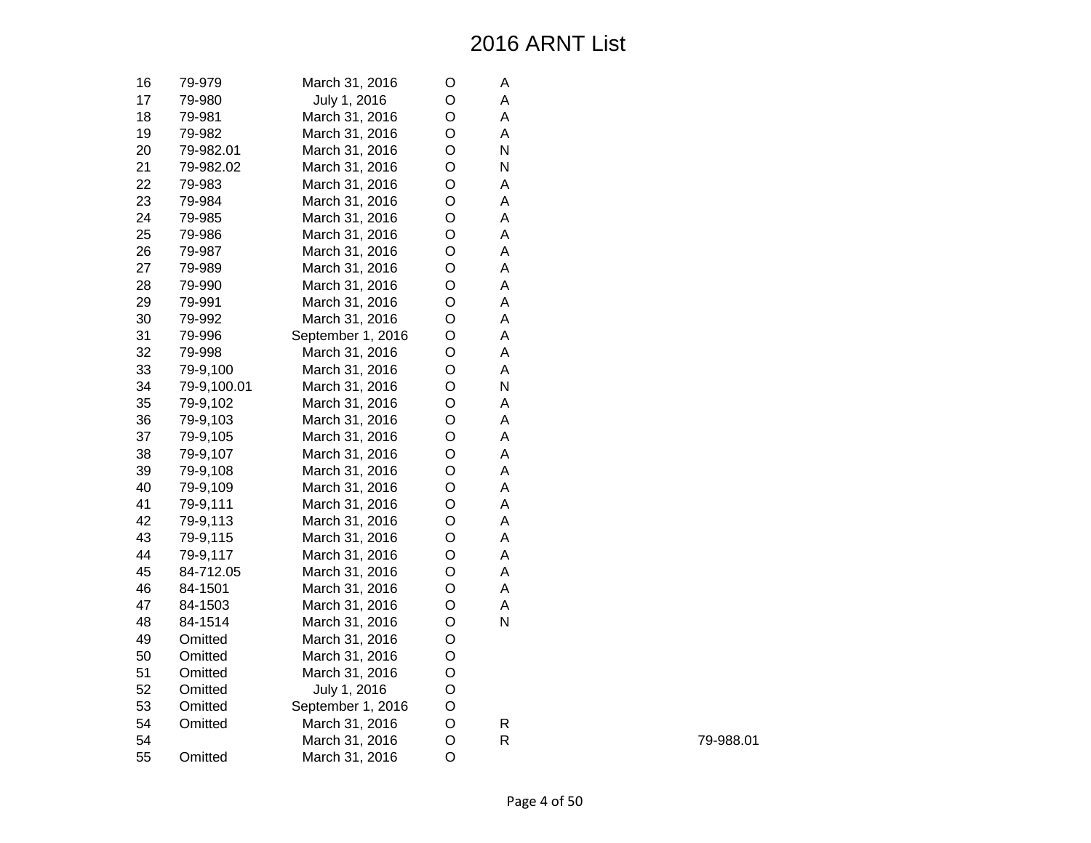| 16 | 79-979      | March 31, 2016    | O | Α |
|----|-------------|-------------------|---|---|
| 17 | 79-980      | July 1, 2016      | O | A |
| 18 | 79-981      | March 31, 2016    | O | A |
| 19 | 79-982      | March 31, 2016    | O | Α |
| 20 | 79-982.01   | March 31, 2016    | O | N |
| 21 | 79-982.02   | March 31, 2016    | O | N |
| 22 | 79-983      | March 31, 2016    | O | A |
| 23 | 79-984      | March 31, 2016    | O | A |
| 24 | 79-985      | March 31, 2016    | O | A |
| 25 | 79-986      | March 31, 2016    | O | A |
| 26 | 79-987      | March 31, 2016    | O | A |
| 27 | 79-989      | March 31, 2016    | O | A |
| 28 | 79-990      | March 31, 2016    | O | A |
| 29 | 79-991      | March 31, 2016    | O | A |
| 30 | 79-992      | March 31, 2016    | O | Α |
| 31 | 79-996      | September 1, 2016 | O | Α |
| 32 | 79-998      | March 31, 2016    | O | A |
| 33 | 79-9,100    | March 31, 2016    | O | A |
| 34 | 79-9,100.01 | March 31, 2016    | O | N |
| 35 | 79-9,102    | March 31, 2016    | O | A |
| 36 | 79-9,103    | March 31, 2016    | O | A |
| 37 | 79-9,105    | March 31, 2016    | O | A |
| 38 | 79-9,107    | March 31, 2016    | O | A |
| 39 | 79-9,108    | March 31, 2016    | O | A |
| 40 | 79-9,109    | March 31, 2016    | O | A |
| 41 | 79-9,111    | March 31, 2016    | O | A |
| 42 | 79-9,113    | March 31, 2016    | O | A |
| 43 | 79-9,115    | March 31, 2016    | O | A |
| 44 | 79-9,117    | March 31, 2016    | O | A |
| 45 | 84-712.05   | March 31, 2016    | O | A |
| 46 | 84-1501     | March 31, 2016    | O | A |
| 47 | 84-1503     | March 31, 2016    | O | A |
| 48 | 84-1514     | March 31, 2016    | O | N |
| 49 | Omitted     | March 31, 2016    | O |   |
| 50 | Omitted     | March 31, 2016    | O |   |
| 51 | Omitted     | March 31, 2016    | O |   |
| 52 | Omitted     | July 1, 2016      | O |   |
| 53 | Omitted     | September 1, 2016 | O |   |
| 54 | Omitted     | March 31, 2016    | O | R |
| 54 |             | March 31, 2016    | O | R |
| 55 | Omitted     | March 31, 2016    | O |   |

79-988.01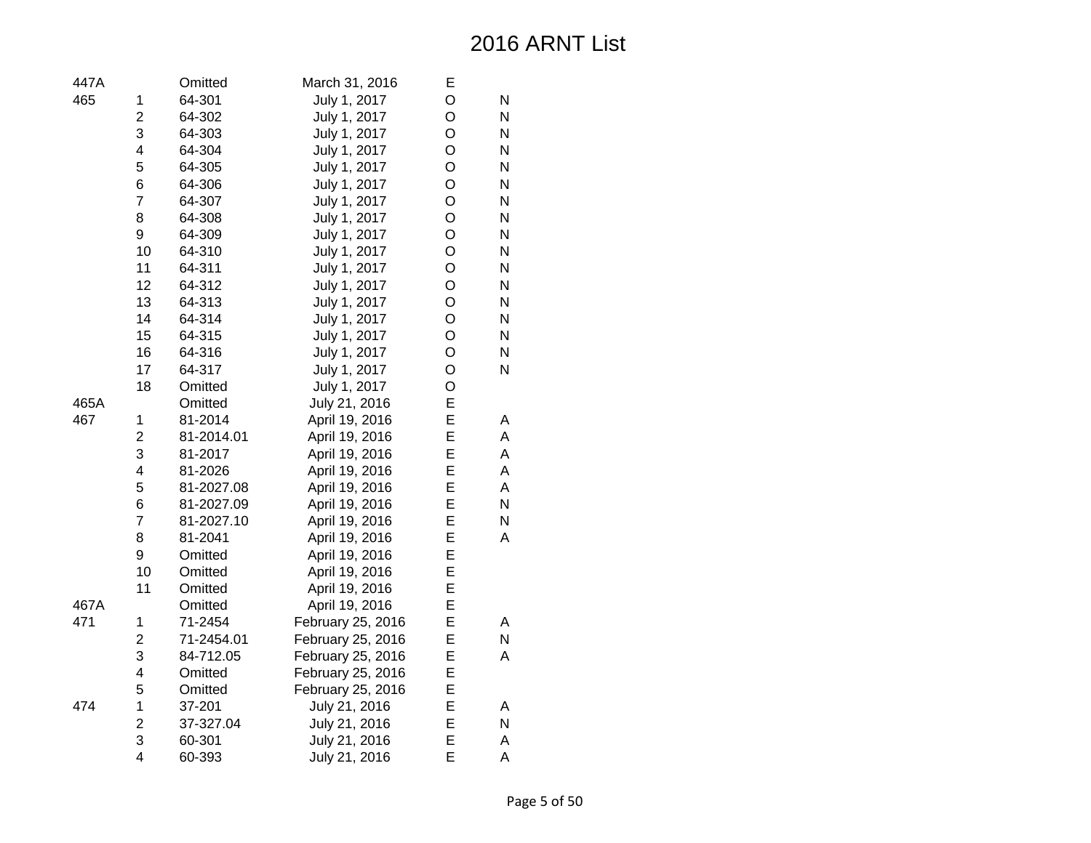Page 5 of 50

| 447A |                         | Omitted    | March 31, 2016    | Е |   |
|------|-------------------------|------------|-------------------|---|---|
| 465  | 1                       | 64-301     | July 1, 2017      | O | N |
|      | $\overline{2}$          | 64-302     | July 1, 2017      | O | N |
|      | 3                       | 64-303     | July 1, 2017      | O | N |
|      | $\overline{\mathbf{4}}$ | 64-304     | July 1, 2017      | O | N |
|      | 5                       | 64-305     | July 1, 2017      | O | N |
|      | 6                       | 64-306     | July 1, 2017      | O | N |
|      | $\overline{7}$          | 64-307     | July 1, 2017      | O | N |
|      | 8                       | 64-308     | July 1, 2017      | O | N |
|      | 9                       | 64-309     | July 1, 2017      | O | N |
|      | 10                      | 64-310     | July 1, 2017      | O | N |
|      | 11                      | 64-311     | July 1, 2017      | O | N |
|      | 12                      | 64-312     | July 1, 2017      | O | N |
|      | 13                      | 64-313     | July 1, 2017      | O | N |
|      | 14                      | 64-314     | July 1, 2017      | O | N |
|      | 15                      | 64-315     | July 1, 2017      | O | N |
|      | 16                      | 64-316     | July 1, 2017      | O | N |
|      | 17                      | 64-317     | July 1, 2017      | O | N |
|      | 18                      | Omitted    | July 1, 2017      | O |   |
| 465A |                         | Omitted    | July 21, 2016     | E |   |
| 467  | 1                       | 81-2014    | April 19, 2016    | E | Α |
|      | $\overline{2}$          | 81-2014.01 | April 19, 2016    | E | A |
|      | 3                       | 81-2017    | April 19, 2016    | E | A |
|      | $\overline{\mathbf{4}}$ | 81-2026    | April 19, 2016    | E | A |
|      | 5                       | 81-2027.08 | April 19, 2016    | E | A |
|      | 6                       | 81-2027.09 | April 19, 2016    | E | N |
|      | $\overline{7}$          | 81-2027.10 | April 19, 2016    | E | N |
|      | 8                       | 81-2041    | April 19, 2016    | E | A |
|      | $\mathsf 9$             | Omitted    | April 19, 2016    | E |   |
|      | 10                      | Omitted    | April 19, 2016    | E |   |
|      | 11                      | Omitted    | April 19, 2016    | E |   |
| 467A |                         | Omitted    | April 19, 2016    | E |   |
| 471  | 1                       | 71-2454    | February 25, 2016 | E | Α |
|      | $\overline{c}$          | 71-2454.01 | February 25, 2016 | E | N |
|      | 3                       | 84-712.05  | February 25, 2016 | E | A |
|      | $\overline{\mathbf{4}}$ | Omitted    | February 25, 2016 | E |   |
|      | 5                       | Omitted    | February 25, 2016 | E |   |
| 474  | 1                       | 37-201     | July 21, 2016     | E | Α |
|      | $\overline{2}$          | 37-327.04  | July 21, 2016     | E | N |
|      | 3                       | 60-301     | July 21, 2016     | E | A |
|      | $\overline{\mathbf{4}}$ | 60-393     | July 21, 2016     | E | A |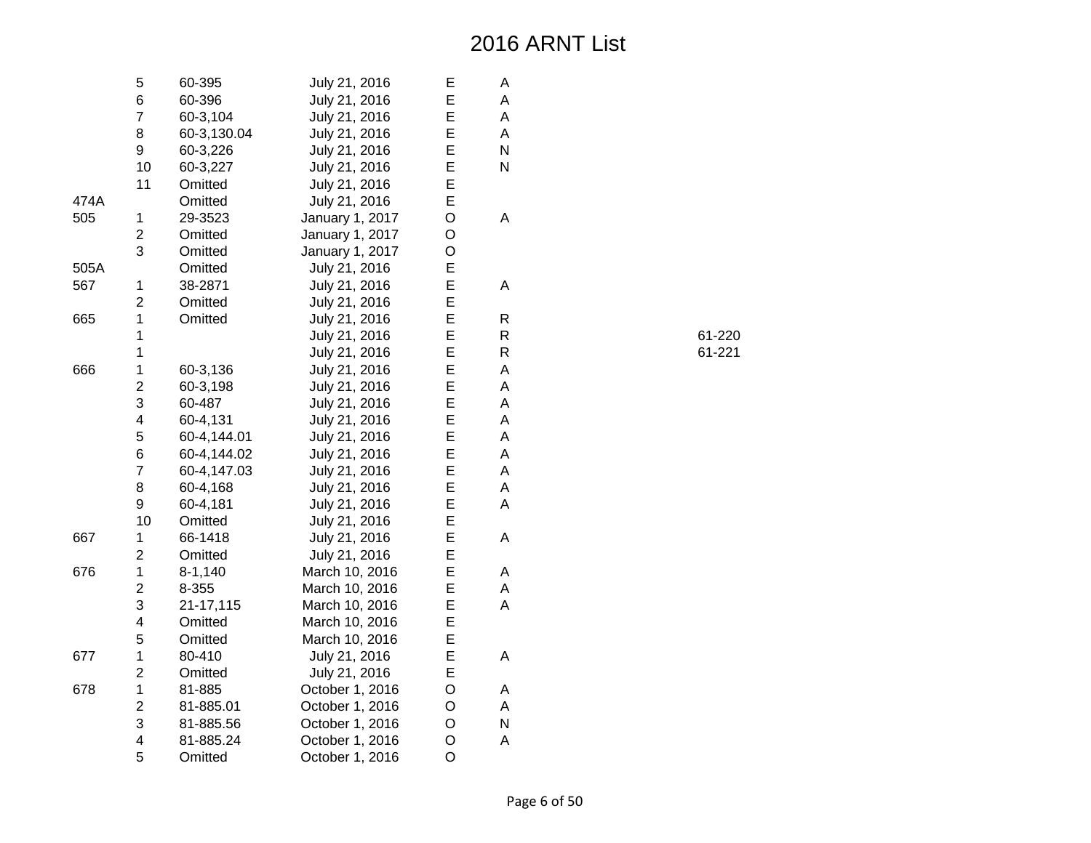|      | 5                       | 60-395      | July 21, 2016   | E              | А |
|------|-------------------------|-------------|-----------------|----------------|---|
|      | 6                       | 60-396      | July 21, 2016   | E              | A |
|      | $\overline{7}$          | 60-3,104    | July 21, 2016   | E              | A |
|      | 8                       | 60-3,130.04 | July 21, 2016   | E              | A |
|      | 9                       | 60-3,226    | July 21, 2016   | E              | N |
|      | 10                      | 60-3,227    | July 21, 2016   | E              | N |
|      | 11                      | Omitted     | July 21, 2016   | E              |   |
| 474A |                         | Omitted     | July 21, 2016   | E              |   |
| 505  | 1                       | 29-3523     | January 1, 2017 | O              | А |
|      | $\overline{c}$          | Omitted     | January 1, 2017 | O              |   |
|      | 3                       | Omitted     | January 1, 2017 | O              |   |
| 505A |                         | Omitted     | July 21, 2016   | E              |   |
| 567  | 1                       | 38-2871     | July 21, 2016   | E              | Α |
|      | $\overline{2}$          | Omitted     | July 21, 2016   | E              |   |
| 665  | 1                       | Omitted     | July 21, 2016   | E              | R |
|      | 1                       |             | July 21, 2016   | E              | R |
|      | $\mathbf{1}$            |             | July 21, 2016   | E              | R |
| 666  | $\mathbf 1$             | 60-3,136    | July 21, 2016   | E              | A |
|      | $\overline{2}$          | 60-3,198    | July 21, 2016   | E              | A |
|      | 3                       | 60-487      | July 21, 2016   | E              | A |
|      | 4                       | 60-4,131    | July 21, 2016   | E              | A |
|      | 5                       | 60-4,144.01 | July 21, 2016   | E              | A |
|      | 6                       | 60-4,144.02 | July 21, 2016   | E              | A |
|      | $\overline{7}$          | 60-4,147.03 | July 21, 2016   | E              | A |
|      | 8                       | 60-4,168    | July 21, 2016   | E              | A |
|      | 9                       | 60-4,181    | July 21, 2016   | E              | A |
|      | 10                      | Omitted     | July 21, 2016   | E              |   |
| 667  | $\mathbf 1$             | 66-1418     | July 21, 2016   | E              | A |
|      | $\overline{c}$          | Omitted     | July 21, 2016   | E              |   |
| 676  | $\mathbf 1$             | $8 - 1,140$ | March 10, 2016  | E              | A |
|      | $\overline{c}$          | 8-355       | March 10, 2016  | E              | A |
|      | 3                       | 21-17,115   | March 10, 2016  | E              | A |
|      | $\overline{\mathbf{4}}$ | Omitted     | March 10, 2016  | E              |   |
|      | 5                       | Omitted     | March 10, 2016  | E              |   |
| 677  | $\mathbf 1$             | 80-410      | July 21, 2016   | E              | A |
|      | $\overline{c}$          | Omitted     | July 21, 2016   | E              |   |
| 678  | $\mathbf 1$             | 81-885      | October 1, 2016 | O              | А |
|      | $\overline{\mathbf{c}}$ | 81-885.01   | October 1, 2016 | O              | A |
|      | 3                       | 81-885.56   | October 1, 2016 | O              | N |
|      | $\overline{\mathbf{4}}$ | 81-885.24   | October 1, 2016 | O              | A |
|      | 5                       | Omitted     | October 1, 2016 | $\overline{O}$ |   |

R 61-220 R 61-221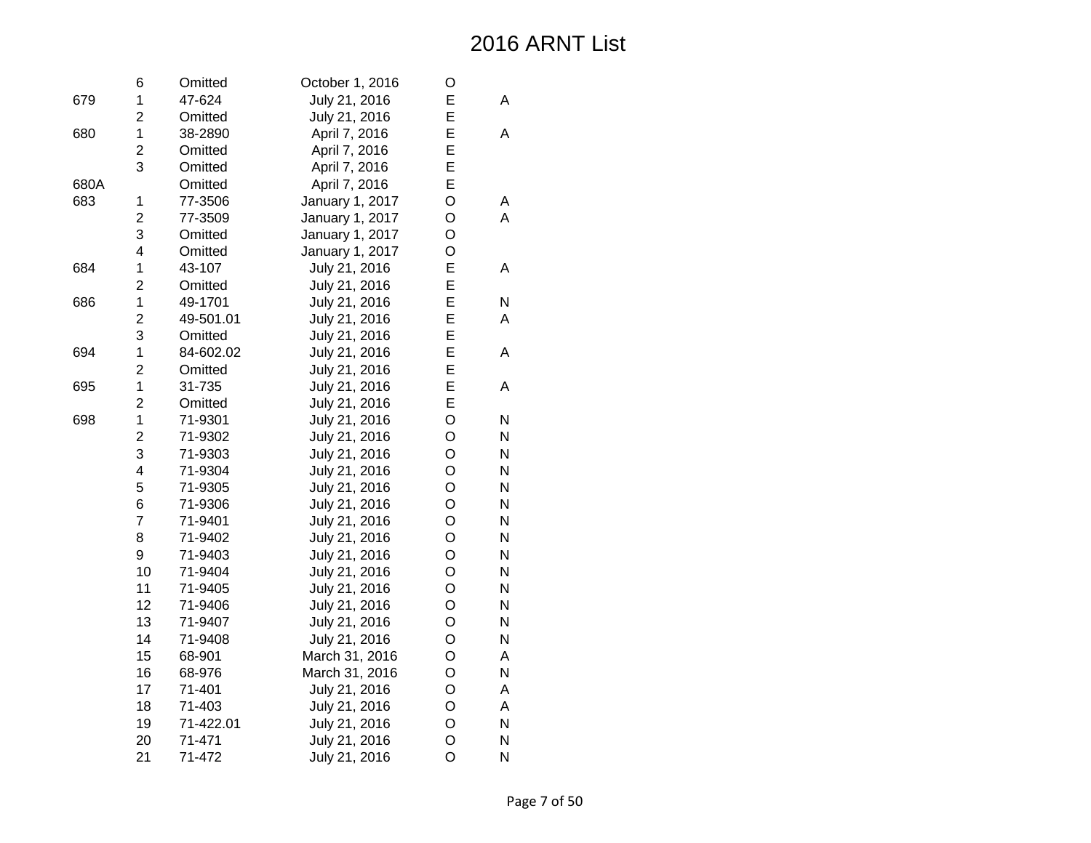|      | 6                       | Omitted   | October 1, 2016 | O |   |
|------|-------------------------|-----------|-----------------|---|---|
| 679  | 1                       | 47-624    | July 21, 2016   | E | A |
|      | $\overline{2}$          | Omitted   | July 21, 2016   | E |   |
| 680  | 1                       | 38-2890   | April 7, 2016   | E | Α |
|      | $\overline{c}$          | Omitted   | April 7, 2016   | E |   |
|      | 3                       | Omitted   | April 7, 2016   | E |   |
| 680A |                         | Omitted   | April 7, 2016   | E |   |
| 683  | 1                       | 77-3506   | January 1, 2017 | O | А |
|      | $\overline{2}$          | 77-3509   | January 1, 2017 | O | A |
|      | 3                       | Omitted   | January 1, 2017 | O |   |
|      | $\overline{\mathbf{4}}$ | Omitted   | January 1, 2017 | O |   |
| 684  | $\mathbf 1$             | 43-107    | July 21, 2016   | E | A |
|      | $\overline{2}$          | Omitted   | July 21, 2016   | E |   |
| 686  | $\mathbf 1$             | 49-1701   | July 21, 2016   | E | N |
|      | $\overline{c}$          | 49-501.01 | July 21, 2016   | E | A |
|      | 3                       | Omitted   | July 21, 2016   | E |   |
| 694  | $\mathbf 1$             | 84-602.02 | July 21, 2016   | E | A |
|      | $\overline{2}$          | Omitted   | July 21, 2016   | E |   |
| 695  | $\mathbf 1$             | 31-735    | July 21, 2016   | E | A |
|      | $\overline{2}$          | Omitted   | July 21, 2016   | E |   |
| 698  | 1                       | 71-9301   | July 21, 2016   | O | N |
|      | $\overline{2}$          | 71-9302   | July 21, 2016   | O | N |
|      | 3                       | 71-9303   | July 21, 2016   | O | N |
|      | $\overline{\mathbf{4}}$ | 71-9304   | July 21, 2016   | O | N |
|      | 5                       | 71-9305   | July 21, 2016   | O | N |
|      | 6                       | 71-9306   | July 21, 2016   | O | N |
|      | $\overline{7}$          | 71-9401   | July 21, 2016   | O | N |
|      | 8                       | 71-9402   | July 21, 2016   | O | N |
|      | 9                       | 71-9403   | July 21, 2016   | O | N |
|      | 10                      | 71-9404   | July 21, 2016   | O | N |
|      | 11                      | 71-9405   | July 21, 2016   | O | N |
|      | 12                      | 71-9406   | July 21, 2016   | O | N |
|      | 13                      | 71-9407   | July 21, 2016   | O | N |
|      | 14                      | 71-9408   | July 21, 2016   | O | N |
|      | 15                      | 68-901    | March 31, 2016  | O | A |
|      | 16                      | 68-976    | March 31, 2016  | O | N |
|      | 17                      | 71-401    | July 21, 2016   | O | A |
|      | 18                      | 71-403    | July 21, 2016   | O | A |
|      | 19                      | 71-422.01 | July 21, 2016   | O | N |
|      | 20                      | 71-471    | July 21, 2016   | O | N |
|      | 21                      | 71-472    | July 21, 2016   | O | N |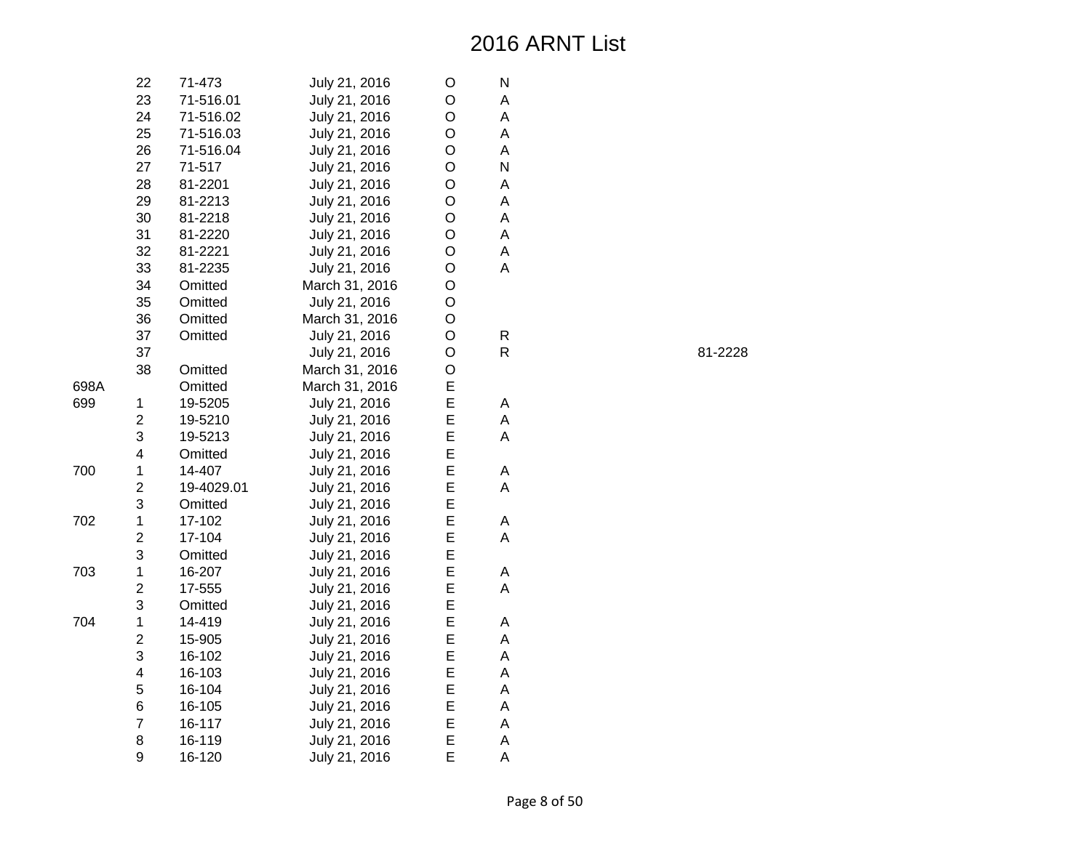|      | 22                      | 71-473     | July 21, 2016  | O | Ν |
|------|-------------------------|------------|----------------|---|---|
|      | 23                      | 71-516.01  | July 21, 2016  | O | А |
|      | 24                      | 71-516.02  | July 21, 2016  | O | A |
|      | 25                      | 71-516.03  | July 21, 2016  | O | A |
|      | 26                      | 71-516.04  | July 21, 2016  | O | A |
|      | 27                      | 71-517     | July 21, 2016  | O | N |
|      | 28                      | 81-2201    | July 21, 2016  | O | A |
|      | 29                      | 81-2213    | July 21, 2016  | O | A |
|      | 30                      | 81-2218    | July 21, 2016  | O | A |
|      | 31                      | 81-2220    | July 21, 2016  | O | A |
|      | 32                      | 81-2221    | July 21, 2016  | O | A |
|      | 33                      | 81-2235    | July 21, 2016  | O | A |
|      | 34                      | Omitted    | March 31, 2016 | O |   |
|      | 35                      | Omitted    | July 21, 2016  | O |   |
|      | 36                      | Omitted    | March 31, 2016 | O |   |
|      | 37                      | Omitted    | July 21, 2016  | O | R |
|      | 37                      |            | July 21, 2016  | O | R |
|      | 38                      | Omitted    | March 31, 2016 | O |   |
| 698A |                         | Omitted    | March 31, 2016 | E |   |
| 699  | 1                       | 19-5205    | July 21, 2016  | E | Α |
|      | $\overline{c}$          | 19-5210    | July 21, 2016  | E | А |
|      | 3                       | 19-5213    | July 21, 2016  | E | A |
|      | 4                       | Omitted    | July 21, 2016  | E |   |
| 700  | $\mathbf 1$             | 14-407     | July 21, 2016  | E | A |
|      | $\overline{\mathbf{c}}$ | 19-4029.01 | July 21, 2016  | E | A |
|      | 3                       | Omitted    | July 21, 2016  | E |   |
| 702  | 1                       | 17-102     | July 21, 2016  | E | А |
|      | $\overline{c}$          | 17-104     | July 21, 2016  | E | A |
|      | 3                       | Omitted    | July 21, 2016  | E |   |
| 703  | $\mathbf 1$             | 16-207     | July 21, 2016  | E | A |
|      | $\overline{c}$          | 17-555     | July 21, 2016  | E | A |
|      | 3                       | Omitted    | July 21, 2016  | E |   |
| 704  | 1                       | 14-419     | July 21, 2016  | E | А |
|      | $\overline{c}$          | 15-905     | July 21, 2016  | E | A |
|      | 3                       | 16-102     | July 21, 2016  | E | A |
|      | $\overline{\mathbf{4}}$ | 16-103     | July 21, 2016  | E | A |
|      | 5                       | 16-104     | July 21, 2016  | E | A |
|      | 6                       | 16-105     | July 21, 2016  | E | А |
|      | $\overline{7}$          | 16-117     | July 21, 2016  | E | A |
|      | 8                       | 16-119     | July 21, 2016  | E | A |
|      | 9                       | 16-120     | July 21, 2016  | E | A |

R 81-2228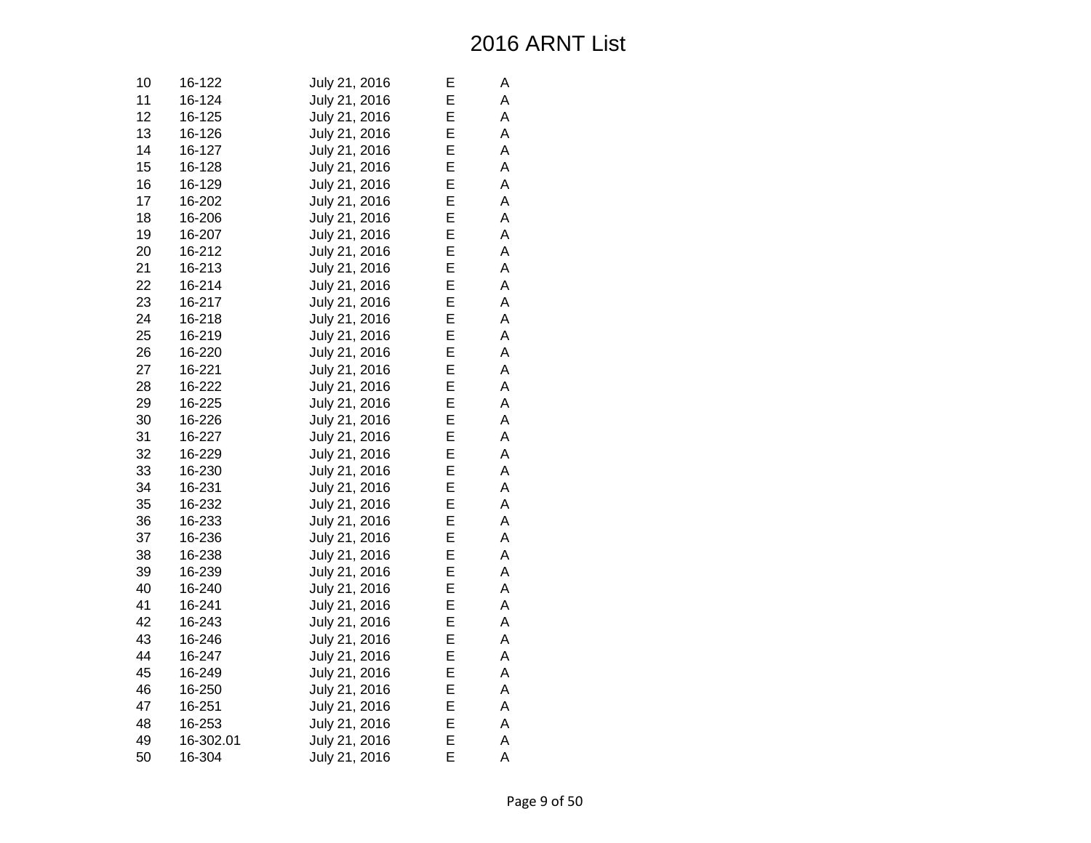| 10 | 16-122    | July 21, 2016 | Е | А |
|----|-----------|---------------|---|---|
| 11 | 16-124    | July 21, 2016 | Ε | A |
| 12 | 16-125    | July 21, 2016 | E | Α |
| 13 | 16-126    | July 21, 2016 | E | A |
| 14 | 16-127    | July 21, 2016 | E | A |
| 15 | 16-128    | July 21, 2016 | E | A |
| 16 | 16-129    | July 21, 2016 | E | A |
| 17 | 16-202    | July 21, 2016 | E | A |
| 18 | 16-206    | July 21, 2016 | Е | Α |
| 19 | 16-207    | July 21, 2016 | E | A |
| 20 | 16-212    | July 21, 2016 | E | A |
| 21 | 16-213    | July 21, 2016 | E | A |
| 22 | 16-214    | July 21, 2016 | E | A |
| 23 | 16-217    | July 21, 2016 | Ε | A |
| 24 | 16-218    | July 21, 2016 | Е | Α |
| 25 | 16-219    | July 21, 2016 | E | Α |
| 26 | 16-220    | July 21, 2016 | E | A |
| 27 | 16-221    | July 21, 2016 | E | A |
| 28 | 16-222    | July 21, 2016 | E | A |
| 29 | 16-225    | July 21, 2016 | Е | A |
| 30 | 16-226    | July 21, 2016 | Е | Α |
| 31 | 16-227    | July 21, 2016 | E | Α |
| 32 | 16-229    | July 21, 2016 | E | A |
| 33 | 16-230    | July 21, 2016 | E | A |
| 34 | 16-231    | July 21, 2016 | E | A |
| 35 | 16-232    | July 21, 2016 | Е | Α |
| 36 | 16-233    | July 21, 2016 | Е | A |
| 37 | 16-236    | July 21, 2016 | E | A |
| 38 | 16-238    | July 21, 2016 | Ε | Α |
| 39 | 16-239    | July 21, 2016 | E | A |
| 40 | 16-240    | July 21, 2016 | E | A |
| 41 | 16-241    | July 21, 2016 | Е | Α |
| 42 | 16-243    | July 21, 2016 | Е | A |
| 43 | 16-246    | July 21, 2016 | E | A |
| 44 | 16-247    | July 21, 2016 | Ε | А |
| 45 | 16-249    | July 21, 2016 | E | A |
| 46 | 16-250    | July 21, 2016 | E | A |
| 47 | 16-251    | July 21, 2016 | E | Α |
| 48 | 16-253    | July 21, 2016 | E | А |
| 49 | 16-302.01 | July 21, 2016 | E | A |
| 50 | 16-304    | July 21, 2016 | E | A |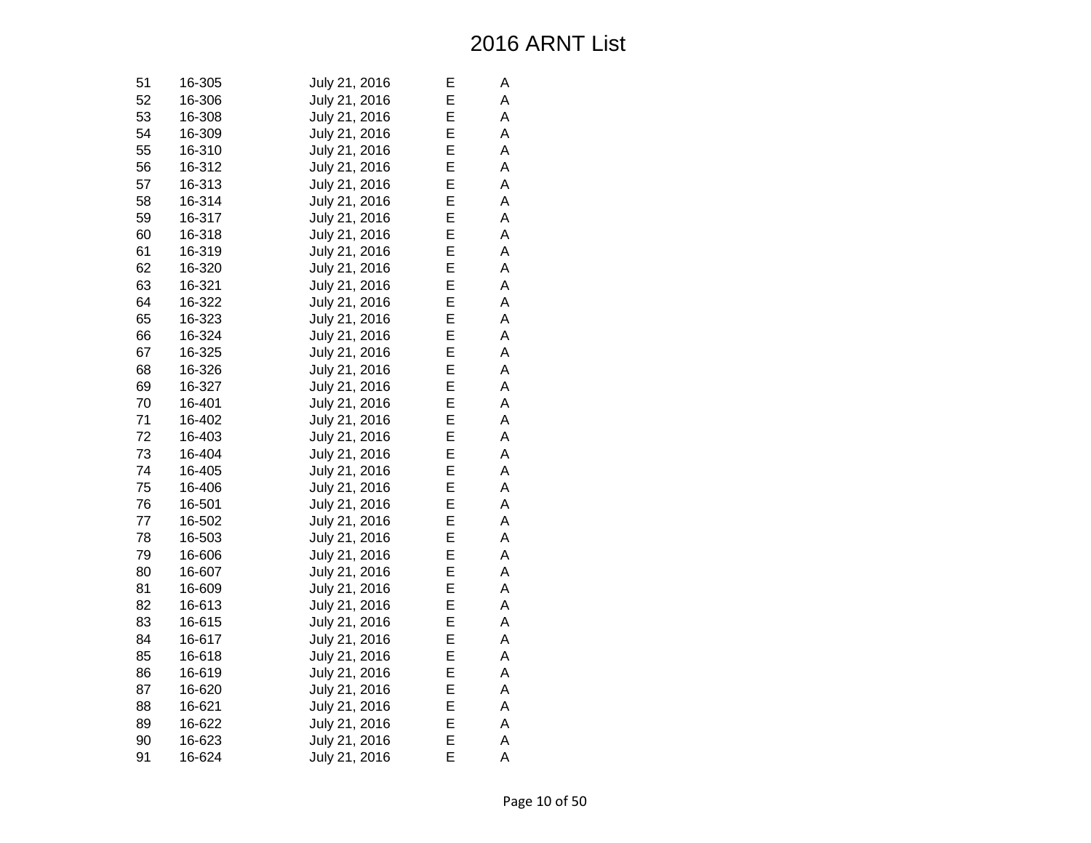| 51 | 16-305 | July 21, 2016 | Е | Α |
|----|--------|---------------|---|---|
| 52 | 16-306 | July 21, 2016 | Е | Α |
| 53 | 16-308 | July 21, 2016 | Е | Α |
| 54 | 16-309 | July 21, 2016 | Ε | A |
| 55 | 16-310 | July 21, 2016 | E | A |
| 56 | 16-312 | July 21, 2016 | E | A |
| 57 | 16-313 | July 21, 2016 | E | A |
| 58 | 16-314 | July 21, 2016 | E | Α |
| 59 | 16-317 | July 21, 2016 | Е | A |
| 60 | 16-318 | July 21, 2016 | E | Α |
| 61 | 16-319 | July 21, 2016 | E | A |
| 62 | 16-320 | July 21, 2016 | E | A |
| 63 | 16-321 | July 21, 2016 | E | А |
| 64 | 16-322 | July 21, 2016 | Ε | А |
| 65 | 16-323 | July 21, 2016 | Е | A |
| 66 | 16-324 | July 21, 2016 | E | A |
| 67 | 16-325 | July 21, 2016 | E | A |
| 68 | 16-326 | July 21, 2016 | E | A |
| 69 | 16-327 | July 21, 2016 | E | Α |
| 70 | 16-401 | July 21, 2016 | E | A |
| 71 | 16-402 | July 21, 2016 | Е | Α |
| 72 | 16-403 | July 21, 2016 | E | Α |
| 73 | 16-404 | July 21, 2016 | E | A |
| 74 | 16-405 | July 21, 2016 | E | A |
| 75 | 16-406 | July 21, 2016 | E | A |
| 76 | 16-501 | July 21, 2016 | E | Α |
| 77 | 16-502 | July 21, 2016 | Е | A |
| 78 | 16-503 | July 21, 2016 | E | Α |
| 79 | 16-606 | July 21, 2016 | E | Α |
| 80 | 16-607 | July 21, 2016 | E | A |
| 81 | 16-609 | July 21, 2016 | E | A |
| 82 | 16-613 | July 21, 2016 | Ε | Α |
| 83 | 16-615 | July 21, 2016 | Е | А |
| 84 | 16-617 | July 21, 2016 | Ε | Α |
| 85 | 16-618 | July 21, 2016 | Ε | А |
| 86 | 16-619 | July 21, 2016 | E | A |
| 87 | 16-620 | July 21, 2016 | E | А |
| 88 | 16-621 | July 21, 2016 | E | Α |
| 89 | 16-622 | July 21, 2016 | Е | A |
| 90 | 16-623 | July 21, 2016 | E | Α |
| 91 | 16-624 | July 21, 2016 | E | Α |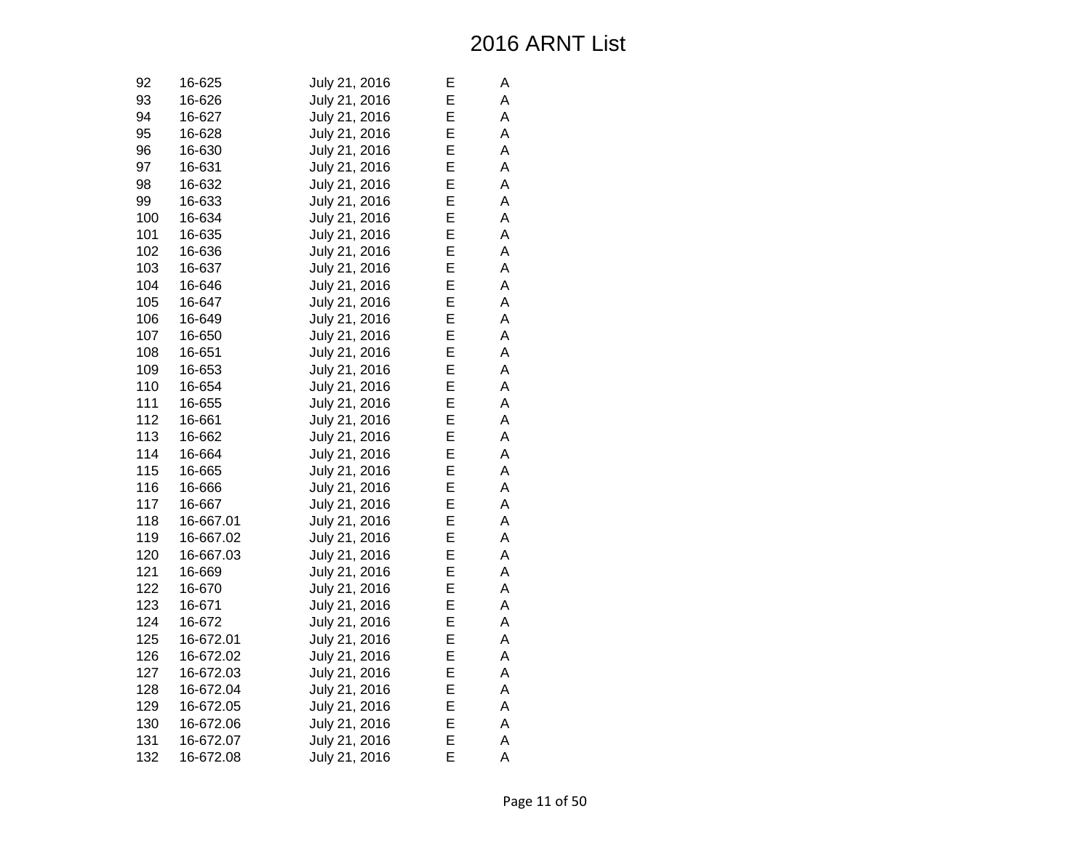| 92  | 16-625    | July 21, 2016 | Е | А |
|-----|-----------|---------------|---|---|
| 93  | 16-626    | July 21, 2016 | E | A |
| 94  | 16-627    | July 21, 2016 | E | А |
| 95  | 16-628    | July 21, 2016 | E | A |
| 96  | 16-630    | July 21, 2016 | E | A |
| 97  | 16-631    | July 21, 2016 | E | A |
| 98  | 16-632    | July 21, 2016 | E | A |
| 99  | 16-633    | July 21, 2016 | E | A |
| 100 | 16-634    | July 21, 2016 | E | А |
| 101 | 16-635    | July 21, 2016 | E | A |
| 102 | 16-636    | July 21, 2016 | E | A |
| 103 | 16-637    | July 21, 2016 | E | A |
| 104 | 16-646    | July 21, 2016 | E | A |
| 105 | 16-647    | July 21, 2016 | E | A |
| 106 | 16-649    | July 21, 2016 | E | А |
| 107 | 16-650    | July 21, 2016 | E | A |
| 108 | 16-651    | July 21, 2016 | E | A |
| 109 | 16-653    | July 21, 2016 | E | A |
| 110 | 16-654    | July 21, 2016 | E | A |
| 111 | 16-655    | July 21, 2016 | E | A |
| 112 | 16-661    | July 21, 2016 | E | A |
| 113 | 16-662    | July 21, 2016 | E | A |
| 114 | 16-664    | July 21, 2016 | E | A |
| 115 | 16-665    | July 21, 2016 | E | A |
| 116 | 16-666    | July 21, 2016 | E | A |
| 117 | 16-667    | July 21, 2016 | E | A |
| 118 | 16-667.01 | July 21, 2016 | E | А |
| 119 | 16-667.02 | July 21, 2016 | E | A |
| 120 | 16-667.03 | July 21, 2016 | E | A |
| 121 | 16-669    | July 21, 2016 | E | A |
| 122 | 16-670    | July 21, 2016 | E | A |
| 123 | 16-671    | July 21, 2016 | E | A |
| 124 | 16-672    | July 21, 2016 | E | А |
| 125 | 16-672.01 | July 21, 2016 | E | A |
| 126 | 16-672.02 | July 21, 2016 | E | A |
| 127 | 16-672.03 | July 21, 2016 | E | A |
| 128 | 16-672.04 | July 21, 2016 | E | A |
| 129 | 16-672.05 | July 21, 2016 | E | A |
| 130 | 16-672.06 | July 21, 2016 | E | А |
| 131 | 16-672.07 | July 21, 2016 | E | A |
| 132 | 16-672.08 | July 21, 2016 | E | A |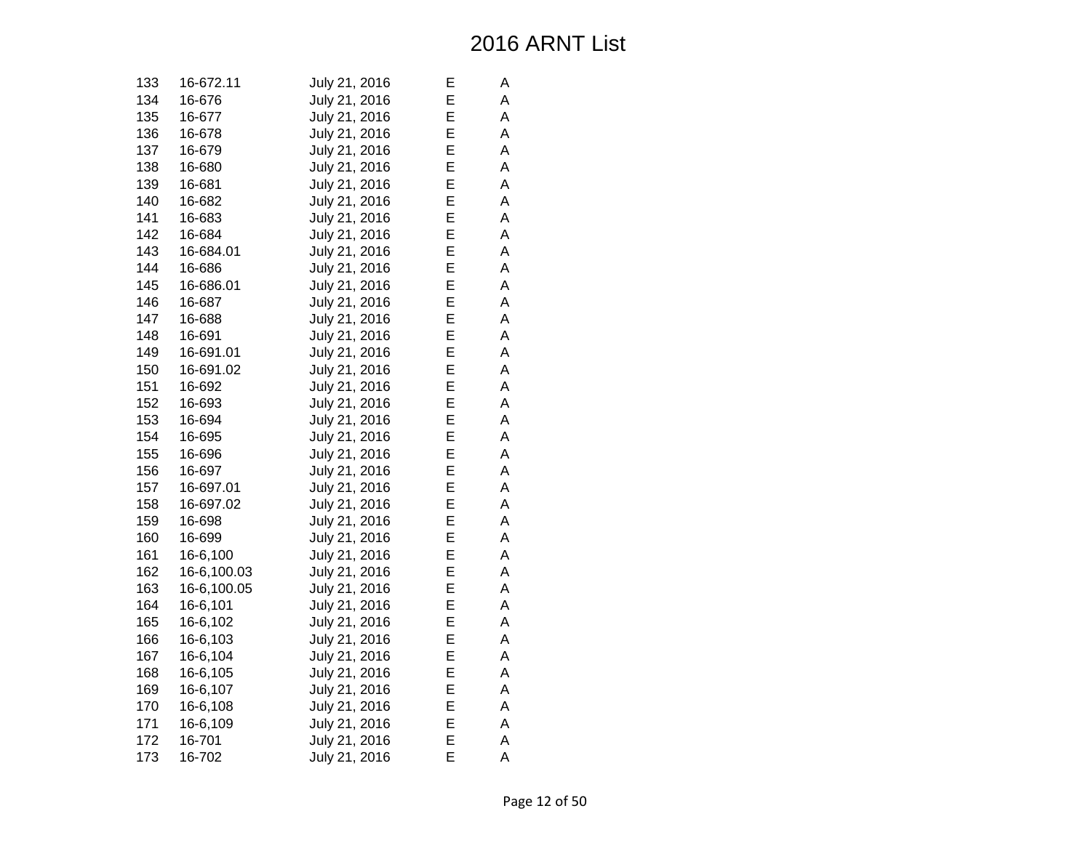| 133 | 16-672.11   | July 21, 2016 | E | А |
|-----|-------------|---------------|---|---|
| 134 | 16-676      | July 21, 2016 | E | A |
| 135 | 16-677      | July 21, 2016 | E | A |
| 136 | 16-678      | July 21, 2016 | E | A |
| 137 | 16-679      | July 21, 2016 | E | A |
| 138 | 16-680      | July 21, 2016 | E | A |
| 139 | 16-681      | July 21, 2016 | E | A |
| 140 | 16-682      | July 21, 2016 | E | A |
| 141 | 16-683      | July 21, 2016 | E | А |
| 142 | 16-684      | July 21, 2016 | E | A |
| 143 | 16-684.01   | July 21, 2016 | E | A |
| 144 | 16-686      | July 21, 2016 | E | A |
| 145 | 16-686.01   | July 21, 2016 | E | A |
| 146 | 16-687      | July 21, 2016 | E | A |
| 147 | 16-688      | July 21, 2016 | E | A |
| 148 | 16-691      | July 21, 2016 | E | A |
| 149 | 16-691.01   | July 21, 2016 | E | A |
| 150 | 16-691.02   | July 21, 2016 | E | A |
| 151 | 16-692      | July 21, 2016 | E | A |
| 152 | 16-693      | July 21, 2016 | E | A |
| 153 | 16-694      | July 21, 2016 | E | A |
| 154 | 16-695      | July 21, 2016 | E | A |
| 155 | 16-696      | July 21, 2016 | E | A |
| 156 | 16-697      | July 21, 2016 | E | A |
| 157 | 16-697.01   | July 21, 2016 | E | A |
| 158 | 16-697.02   | July 21, 2016 | E | A |
| 159 | 16-698      | July 21, 2016 | E | A |
| 160 | 16-699      | July 21, 2016 | E | A |
| 161 | 16-6,100    | July 21, 2016 | E | A |
| 162 | 16-6,100.03 | July 21, 2016 | E | A |
| 163 | 16-6,100.05 | July 21, 2016 | E | A |
| 164 | 16-6,101    | July 21, 2016 | E | A |
| 165 | 16-6,102    | July 21, 2016 | Е | А |
| 166 | 16-6,103    | July 21, 2016 | E | A |
| 167 | 16-6,104    | July 21, 2016 | E | A |
| 168 | 16-6,105    | July 21, 2016 | E | A |
| 169 | 16-6,107    | July 21, 2016 | E | A |
| 170 | 16-6,108    | July 21, 2016 | E | A |
| 171 | 16-6,109    | July 21, 2016 | Ε | А |
| 172 | 16-701      | July 21, 2016 | E | A |
| 173 | 16-702      | July 21, 2016 | E | A |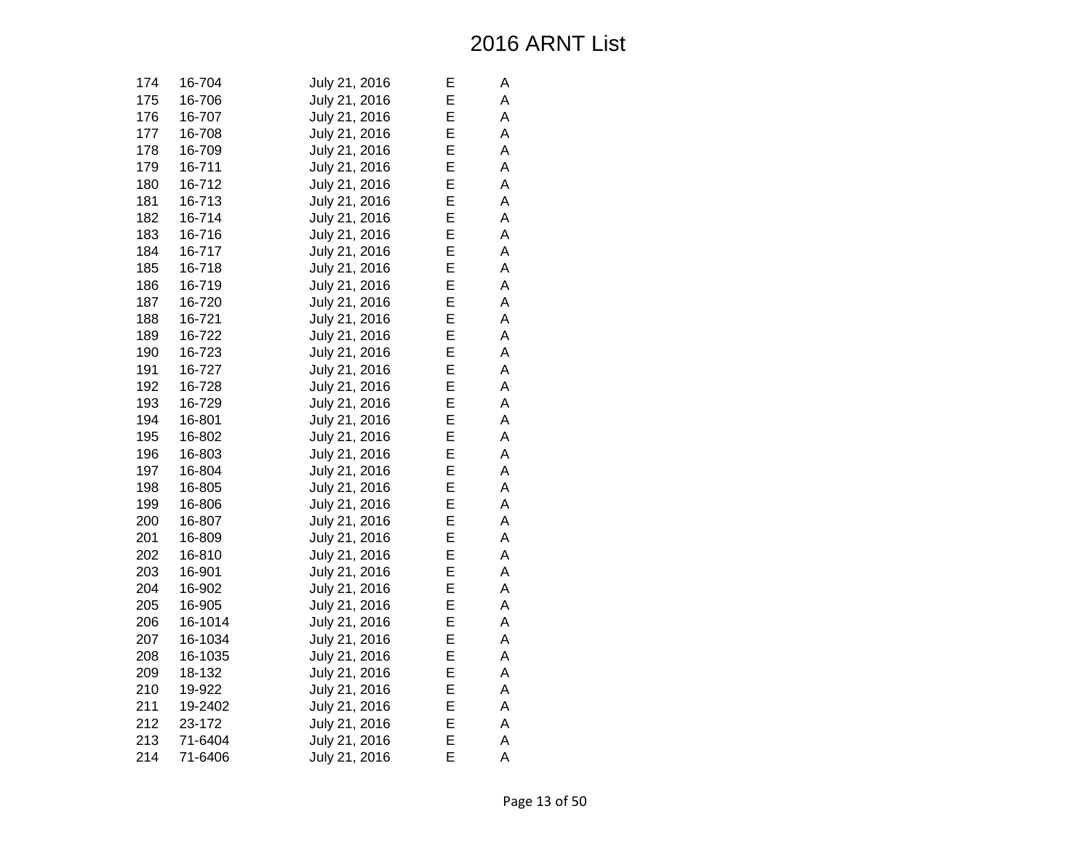| 174 | 16-704  | July 21, 2016 | Е | А |
|-----|---------|---------------|---|---|
| 175 | 16-706  | July 21, 2016 | Е | A |
| 176 | 16-707  | July 21, 2016 | Е | А |
| 177 | 16-708  | July 21, 2016 | Ε | A |
| 178 | 16-709  | July 21, 2016 | Ε | A |
| 179 | 16-711  | July 21, 2016 | E | A |
| 180 | 16-712  | July 21, 2016 | Ε | A |
| 181 | 16-713  | July 21, 2016 | Ε | Α |
| 182 | 16-714  | July 21, 2016 | Е | А |
| 183 | 16-716  | July 21, 2016 | E | Α |
| 184 | 16-717  | July 21, 2016 | E | A |
| 185 | 16-718  | July 21, 2016 | E | A |
| 186 | 16-719  | July 21, 2016 | Ε | A |
| 187 | 16-720  | July 21, 2016 | Ε | А |
| 188 | 16-721  | July 21, 2016 | Е | А |
| 189 | 16-722  | July 21, 2016 | Ε | Α |
| 190 | 16-723  | July 21, 2016 | E | A |
| 191 | 16-727  | July 21, 2016 | E | A |
| 192 | 16-728  | July 21, 2016 | Ε | A |
| 193 | 16-729  | July 21, 2016 | Е | A |
| 194 | 16-801  | July 21, 2016 | E | А |
| 195 | 16-802  | July 21, 2016 | E | A |
| 196 | 16-803  | July 21, 2016 | E | A |
| 197 | 16-804  | July 21, 2016 | E | A |
| 198 | 16-805  | July 21, 2016 | Ε | A |
| 199 | 16-806  | July 21, 2016 | Ε | Α |
| 200 | 16-807  | July 21, 2016 | Е | А |
| 201 | 16-809  | July 21, 2016 | Ε | Α |
| 202 | 16-810  | July 21, 2016 | Ε | A |
| 203 | 16-901  | July 21, 2016 | Ε | A |
| 204 | 16-902  | July 21, 2016 | Ε | A |
| 205 | 16-905  | July 21, 2016 | Е | Α |
| 206 | 16-1014 | July 21, 2016 | Е | А |
| 207 | 16-1034 | July 21, 2016 | Ε | A |
| 208 | 16-1035 | July 21, 2016 | Ε | А |
| 209 | 18-132  | July 21, 2016 | Ε | A |
| 210 | 19-922  | July 21, 2016 | Ε | A |
| 211 | 19-2402 | July 21, 2016 | E | А |
| 212 | 23-172  | July 21, 2016 | Е | A |
| 213 | 71-6404 | July 21, 2016 | E | Α |
| 214 | 71-6406 | July 21, 2016 | E | A |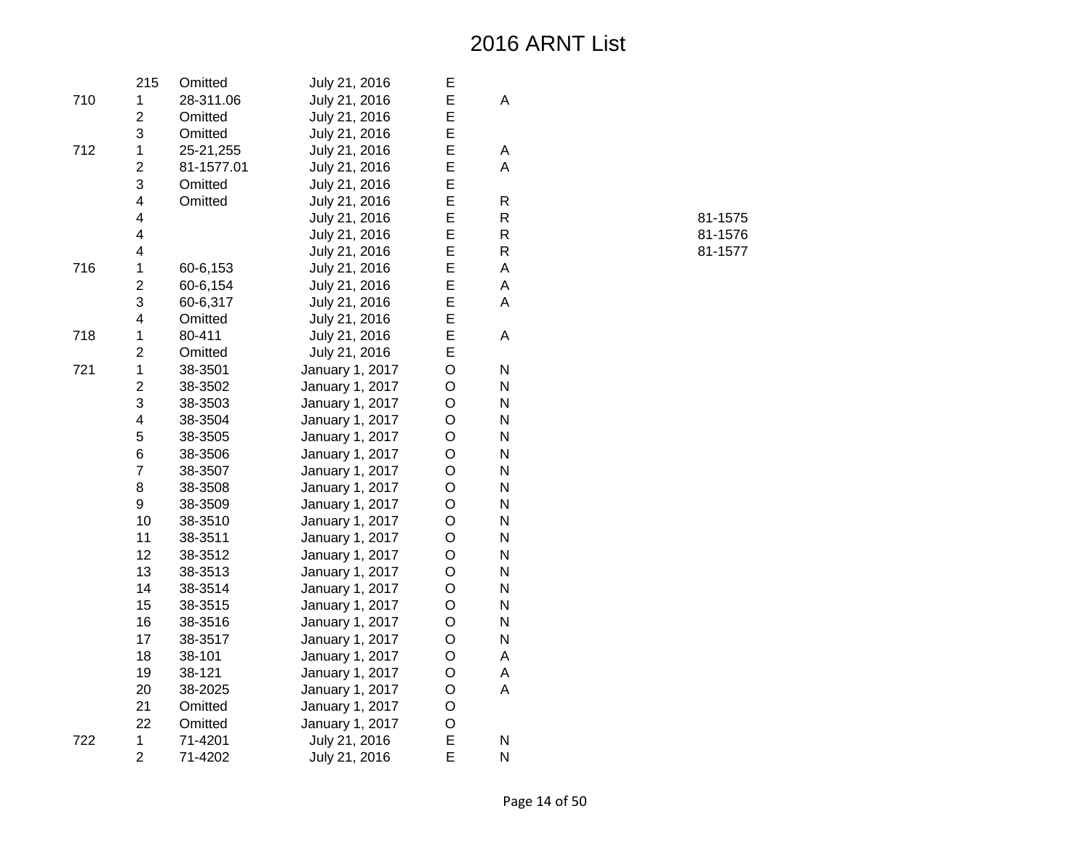Page 14 of 50

R 81-1575

R 81-1576

R 81-1577

|     | 215                     | Omitted    | July 21, 2016   | E       |           |
|-----|-------------------------|------------|-----------------|---------|-----------|
| 710 | $\mathbf 1$             | 28-311.06  | July 21, 2016   | E       | A         |
|     | $\overline{2}$          | Omitted    | July 21, 2016   | E       |           |
|     | 3                       | Omitted    | July 21, 2016   | E       |           |
| 712 | $\mathbf 1$             | 25-21,255  | July 21, 2016   | E       | Α         |
|     | $\overline{2}$          | 81-1577.01 | July 21, 2016   | E       | A         |
|     | 3                       | Omitted    | July 21, 2016   | E       |           |
|     | $\overline{\mathbf{4}}$ | Omitted    | July 21, 2016   | E       | ${\sf R}$ |
|     | $\overline{\mathbf{4}}$ |            | July 21, 2016   | E       | ${\sf R}$ |
|     | 4                       |            | July 21, 2016   | E       | R         |
|     | $\overline{4}$          |            | July 21, 2016   | E       | R         |
| 716 | $\mathbf{1}$            | 60-6,153   | July 21, 2016   | E       | A         |
|     | $\overline{2}$          | 60-6,154   | July 21, 2016   | E       | A         |
|     | 3                       | 60-6,317   | July 21, 2016   | E       | A         |
|     | $\overline{\mathbf{4}}$ | Omitted    | July 21, 2016   | E       |           |
| 718 | $\mathbf 1$             | 80-411     | July 21, 2016   | E       | A         |
|     | $\overline{2}$          | Omitted    | July 21, 2016   | E       |           |
| 721 | $\mathbf{1}$            | 38-3501    | January 1, 2017 | O       | ${\sf N}$ |
|     | $\overline{2}$          | 38-3502    | January 1, 2017 | O       | N         |
|     | 3                       | 38-3503    | January 1, 2017 | O       | N         |
|     | $\overline{\mathbf{4}}$ | 38-3504    | January 1, 2017 | O       | N         |
|     | 5                       | 38-3505    | January 1, 2017 | $\circ$ | N         |
|     | 6                       | 38-3506    | January 1, 2017 | $\circ$ | ${\sf N}$ |
|     | $\overline{7}$          | 38-3507    | January 1, 2017 | $\circ$ | ${\sf N}$ |
|     | 8                       | 38-3508    | January 1, 2017 | $\circ$ | N         |
|     | 9                       | 38-3509    | January 1, 2017 | $\circ$ | N         |
|     | 10                      | 38-3510    | January 1, 2017 | O       | N         |
|     | 11                      | 38-3511    | January 1, 2017 | $\circ$ | N         |
|     | 12                      | 38-3512    | January 1, 2017 | $\circ$ | N         |
|     | 13                      | 38-3513    | January 1, 2017 | $\circ$ | N         |
|     | 14                      | 38-3514    | January 1, 2017 | $\circ$ | N         |
|     | 15                      | 38-3515    | January 1, 2017 | $\circ$ | N         |
|     | 16                      | 38-3516    | January 1, 2017 | $\circ$ | N         |
|     | 17                      | 38-3517    | January 1, 2017 | O       | N         |
|     | 18                      | 38-101     | January 1, 2017 | O       | A         |
|     | 19                      | 38-121     | January 1, 2017 | $\circ$ | A         |
|     | 20                      | 38-2025    | January 1, 2017 | $\circ$ | A         |
|     | 21                      | Omitted    | January 1, 2017 | O       |           |
|     | 22                      | Omitted    | January 1, 2017 | O       |           |
| 722 | $\mathbf{1}$            | 71-4201    | July 21, 2016   | E       | N         |
|     | $\overline{2}$          | 71-4202    | July 21, 2016   | E       | N         |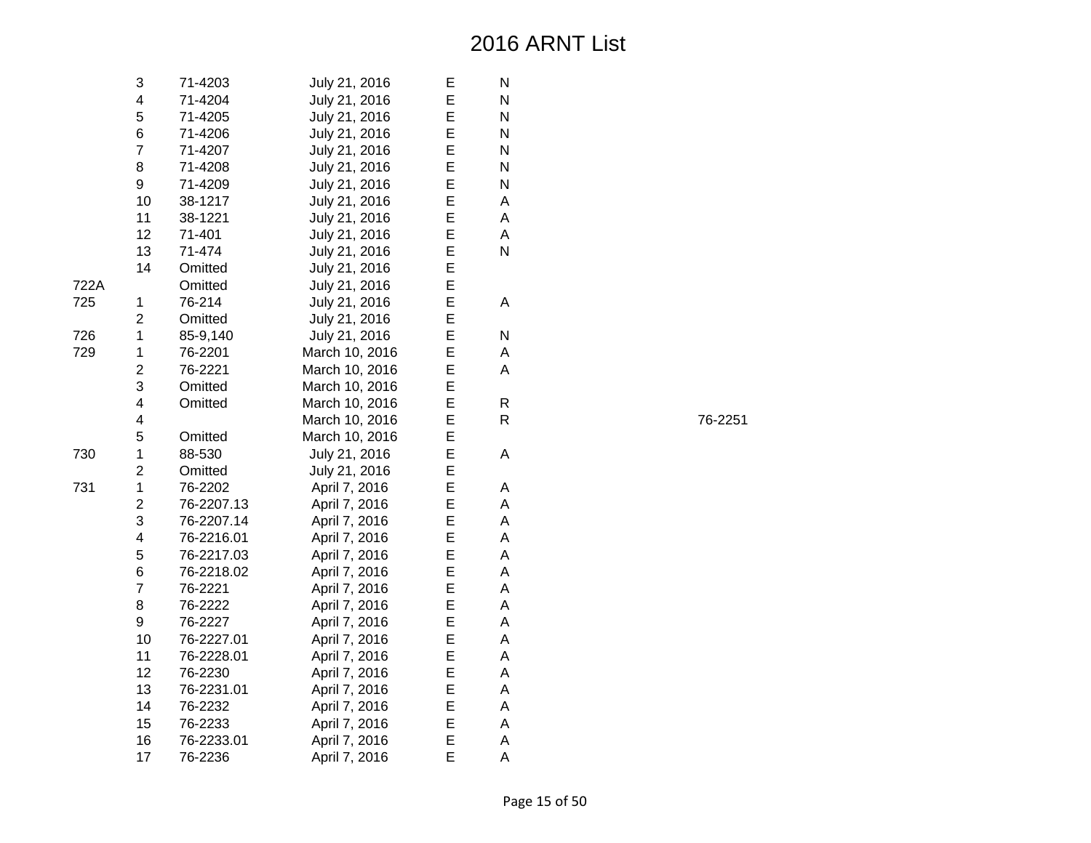|      | 3              | 71-4203    | July 21, 2016  | Е | N |
|------|----------------|------------|----------------|---|---|
|      | 4              | 71-4204    | July 21, 2016  | E | N |
|      | 5              | 71-4205    | July 21, 2016  | E | N |
|      | 6              | 71-4206    | July 21, 2016  | E | N |
|      | $\overline{7}$ | 71-4207    | July 21, 2016  | E | N |
|      | 8              | 71-4208    | July 21, 2016  | E | N |
|      | 9              | 71-4209    | July 21, 2016  | E | N |
|      | 10             | 38-1217    | July 21, 2016  | E | A |
|      | 11             | 38-1221    | July 21, 2016  | E | A |
|      | 12             | 71-401     | July 21, 2016  | E | A |
|      | 13             | 71-474     | July 21, 2016  | E | N |
|      | 14             | Omitted    | July 21, 2016  | E |   |
| 722A |                | Omitted    | July 21, 2016  | E |   |
| 725  | $\mathbf 1$    | 76-214     | July 21, 2016  | E | A |
|      | $\overline{c}$ | Omitted    | July 21, 2016  | E |   |
| 726  | $\mathbf 1$    | 85-9,140   | July 21, 2016  | E | N |
| 729  | $\mathbf 1$    | 76-2201    | March 10, 2016 | E | A |
|      | $\overline{2}$ | 76-2221    | March 10, 2016 | E | Α |
|      | 3              | Omitted    | March 10, 2016 | E |   |
|      | 4              | Omitted    | March 10, 2016 | E | R |
|      | 4              |            | March 10, 2016 | E | R |
|      | 5              | Omitted    | March 10, 2016 | E |   |
| 730  | $\mathbf 1$    | 88-530     | July 21, 2016  | E | A |
|      | $\overline{c}$ | Omitted    | July 21, 2016  | E |   |
| 731  | $\mathbf{1}$   | 76-2202    | April 7, 2016  | E | A |
|      | $\overline{c}$ | 76-2207.13 | April 7, 2016  | E | A |
|      | 3              | 76-2207.14 | April 7, 2016  | E | A |
|      | 4              | 76-2216.01 | April 7, 2016  | E | A |
|      | 5              | 76-2217.03 | April 7, 2016  | E | A |
|      | 6              | 76-2218.02 | April 7, 2016  | E | A |
|      | $\overline{7}$ | 76-2221    | April 7, 2016  | E | A |
|      | 8              | 76-2222    | April 7, 2016  | E | A |
|      | 9              | 76-2227    | April 7, 2016  | E | A |
|      | 10             | 76-2227.01 | April 7, 2016  | E | A |
|      | 11             | 76-2228.01 | April 7, 2016  | E | A |
|      | 12             | 76-2230    | April 7, 2016  | E | A |
|      | 13             | 76-2231.01 | April 7, 2016  | E | A |
|      | 14             | 76-2232    | April 7, 2016  | E | A |
|      | 15             | 76-2233    | April 7, 2016  | E | A |
|      | 16             | 76-2233.01 | April 7, 2016  | E | A |
|      | 17             | 76-2236    | April 7, 2016  | E | A |

R 76-2251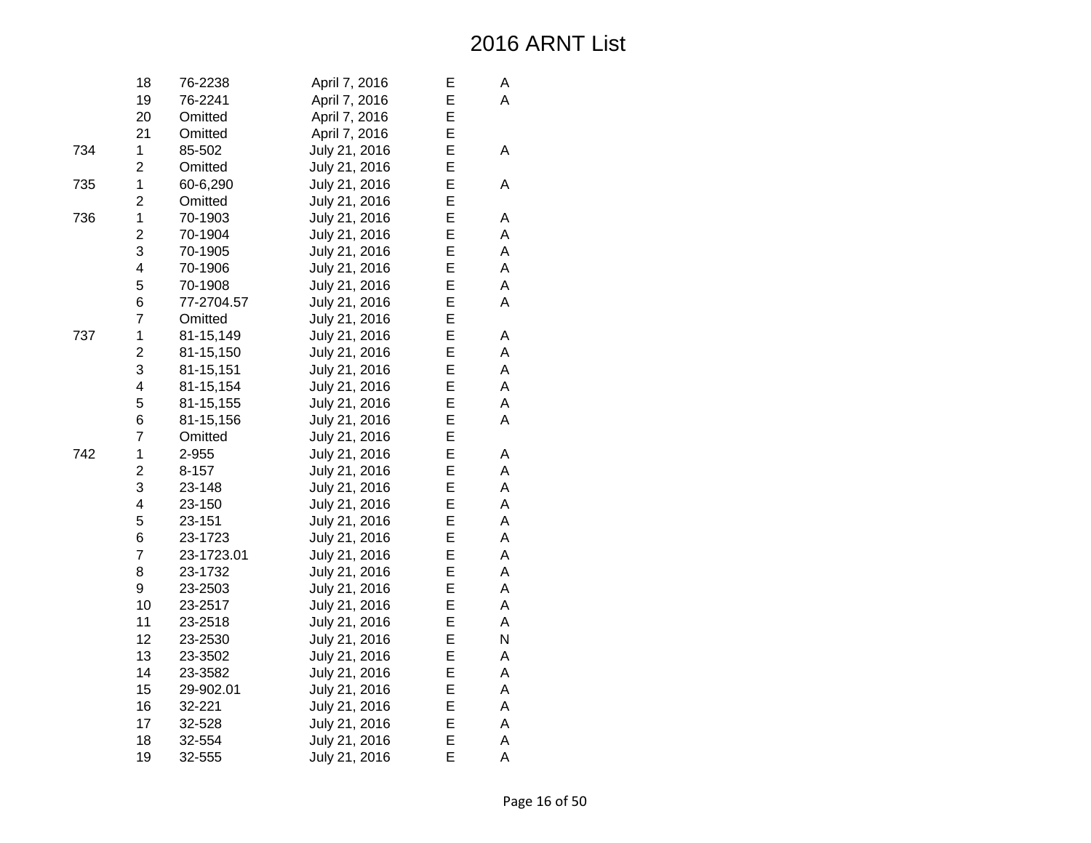|     | 18                      | 76-2238    | April 7, 2016 | E | А |
|-----|-------------------------|------------|---------------|---|---|
|     | 19                      | 76-2241    | April 7, 2016 | E | A |
|     | 20                      | Omitted    | April 7, 2016 | E |   |
|     | 21                      | Omitted    | April 7, 2016 | E |   |
| 734 | $\mathbf 1$             | 85-502     | July 21, 2016 | E | A |
|     | $\overline{c}$          | Omitted    | July 21, 2016 | E |   |
| 735 | $\mathbf 1$             | 60-6,290   | July 21, 2016 | E | Α |
|     | $\overline{2}$          | Omitted    | July 21, 2016 | E |   |
| 736 | $\mathbf{1}$            | 70-1903    | July 21, 2016 | E | А |
|     | $\overline{c}$          | 70-1904    | July 21, 2016 | E | A |
|     | 3                       | 70-1905    | July 21, 2016 | E | Α |
|     | $\overline{\mathbf{4}}$ | 70-1906    | July 21, 2016 | E | Α |
|     | 5                       | 70-1908    | July 21, 2016 | E | A |
|     | 6                       | 77-2704.57 | July 21, 2016 | E | A |
|     | $\overline{7}$          | Omitted    | July 21, 2016 | E |   |
| 737 | $\mathbf 1$             | 81-15,149  | July 21, 2016 | E | Α |
|     | $\overline{2}$          | 81-15,150  | July 21, 2016 | E | Α |
|     | 3                       | 81-15,151  | July 21, 2016 | E | A |
|     | 4                       | 81-15,154  | July 21, 2016 | E | A |
|     | 5                       | 81-15,155  | July 21, 2016 | E | A |
|     | 6                       | 81-15,156  | July 21, 2016 | E | A |
|     | $\overline{7}$          | Omitted    | July 21, 2016 | E |   |
| 742 | $\mathbf 1$             | 2-955      | July 21, 2016 | E | А |
|     | $\overline{2}$          | $8 - 157$  | July 21, 2016 | E | A |
|     | 3                       | 23-148     | July 21, 2016 | E | А |
|     | 4                       | 23-150     | July 21, 2016 | E | A |
|     | 5                       | 23-151     | July 21, 2016 | E | A |
|     | 6                       | 23-1723    | July 21, 2016 | E | A |
|     | $\overline{7}$          | 23-1723.01 | July 21, 2016 | E | A |
|     | 8                       | 23-1732    | July 21, 2016 | E | A |
|     | 9                       | 23-2503    | July 21, 2016 | E | A |
|     | 10                      | 23-2517    | July 21, 2016 | E | A |
|     | 11                      | 23-2518    | July 21, 2016 | E | A |
|     | 12                      | 23-2530    | July 21, 2016 | E | N |
|     | 13                      | 23-3502    | July 21, 2016 | E | Α |
|     | 14                      | 23-3582    | July 21, 2016 | E | A |
|     | 15                      | 29-902.01  | July 21, 2016 | E | Α |
|     | 16                      | 32-221     | July 21, 2016 | E | A |
|     | 17                      | 32-528     | July 21, 2016 | E | A |
|     | 18                      | 32-554     | July 21, 2016 | E | Α |
|     | 19                      | 32-555     | July 21, 2016 | E | A |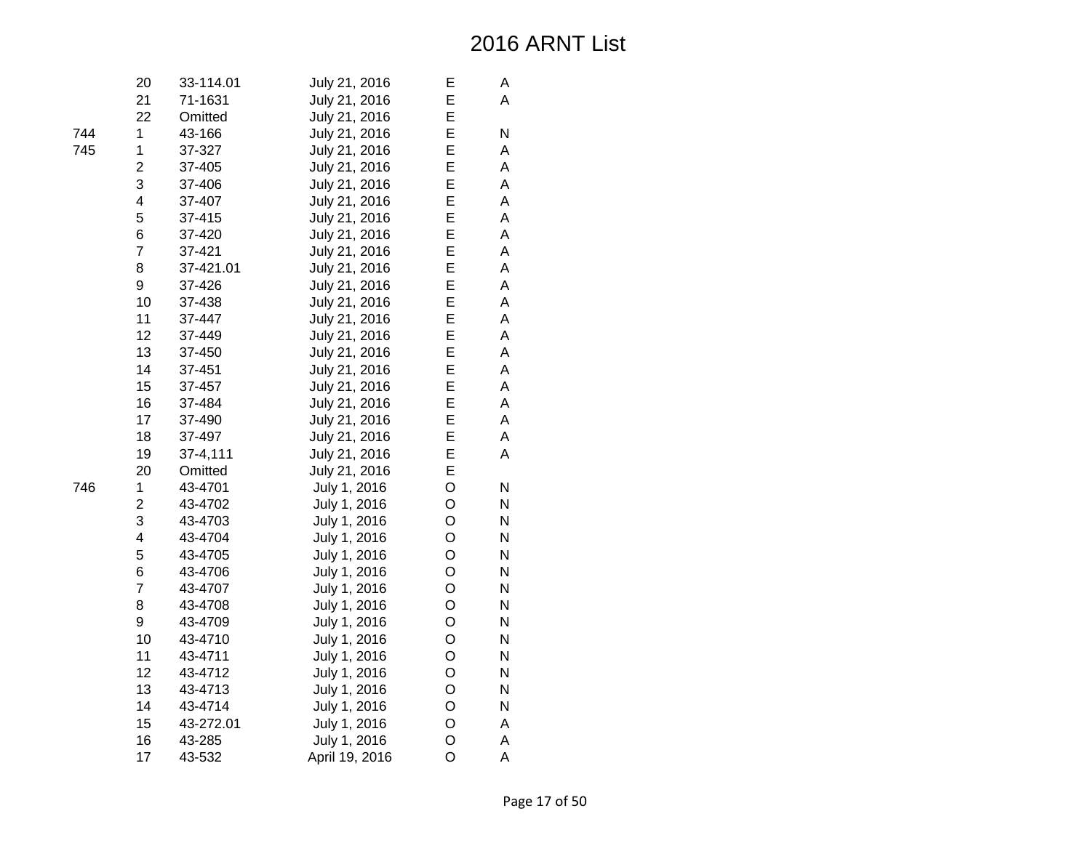| 20                      | 33-114.01 | July 21, 2016  | Е | А |
|-------------------------|-----------|----------------|---|---|
| 21                      | 71-1631   | July 21, 2016  | E | A |
| 22                      | Omitted   | July 21, 2016  | E |   |
| 1                       | 43-166    | July 21, 2016  | E | N |
| 1                       | 37-327    | July 21, 2016  | E | A |
| $\overline{c}$          | 37-405    | July 21, 2016  | E | A |
| 3                       | 37-406    | July 21, 2016  | E | A |
| 4                       | 37-407    | July 21, 2016  | E | A |
| 5                       | 37-415    | July 21, 2016  | E | A |
| 6                       | 37-420    | July 21, 2016  | E | A |
| $\overline{7}$          | 37-421    | July 21, 2016  | E | A |
| 8                       | 37-421.01 | July 21, 2016  | E | A |
| 9                       | 37-426    | July 21, 2016  | E | A |
| 10                      | 37-438    | July 21, 2016  | E | A |
| 11                      | 37-447    | July 21, 2016  | E | A |
| 12                      | 37-449    | July 21, 2016  | E | A |
| 13                      | 37-450    | July 21, 2016  | E | A |
| 14                      | 37-451    | July 21, 2016  | E | A |
| 15                      | 37-457    | July 21, 2016  | E | A |
| 16                      | 37-484    | July 21, 2016  | E | A |
| 17                      | 37-490    | July 21, 2016  | E | A |
| 18                      | 37-497    | July 21, 2016  | E | A |
| 19                      | 37-4,111  | July 21, 2016  | E | A |
| 20                      | Omitted   | July 21, 2016  | E |   |
| 1                       | 43-4701   | July 1, 2016   | O | N |
| $\overline{\mathbf{c}}$ | 43-4702   | July 1, 2016   | O | N |
| 3                       | 43-4703   | July 1, 2016   | O | N |
| $\overline{\mathbf{4}}$ | 43-4704   | July 1, 2016   | O | N |
| 5                       | 43-4705   | July 1, 2016   | O | N |
| 6                       | 43-4706   | July 1, 2016   | O | N |
| $\overline{7}$          | 43-4707   | July 1, 2016   | O | N |
| 8                       | 43-4708   | July 1, 2016   | O | N |
| 9                       | 43-4709   | July 1, 2016   | O | N |
| 10                      | 43-4710   | July 1, 2016   | O | N |
| 11                      | 43-4711   | July 1, 2016   | O | N |
| 12                      | 43-4712   | July 1, 2016   | O | N |
| 13                      | 43-4713   | July 1, 2016   | O | N |
| 14                      | 43-4714   | July 1, 2016   | O | N |
| 15                      | 43-272.01 | July 1, 2016   | O | Α |
| 16                      | 43-285    | July 1, 2016   | O | A |
| 17                      | 43-532    | April 19, 2016 | O | A |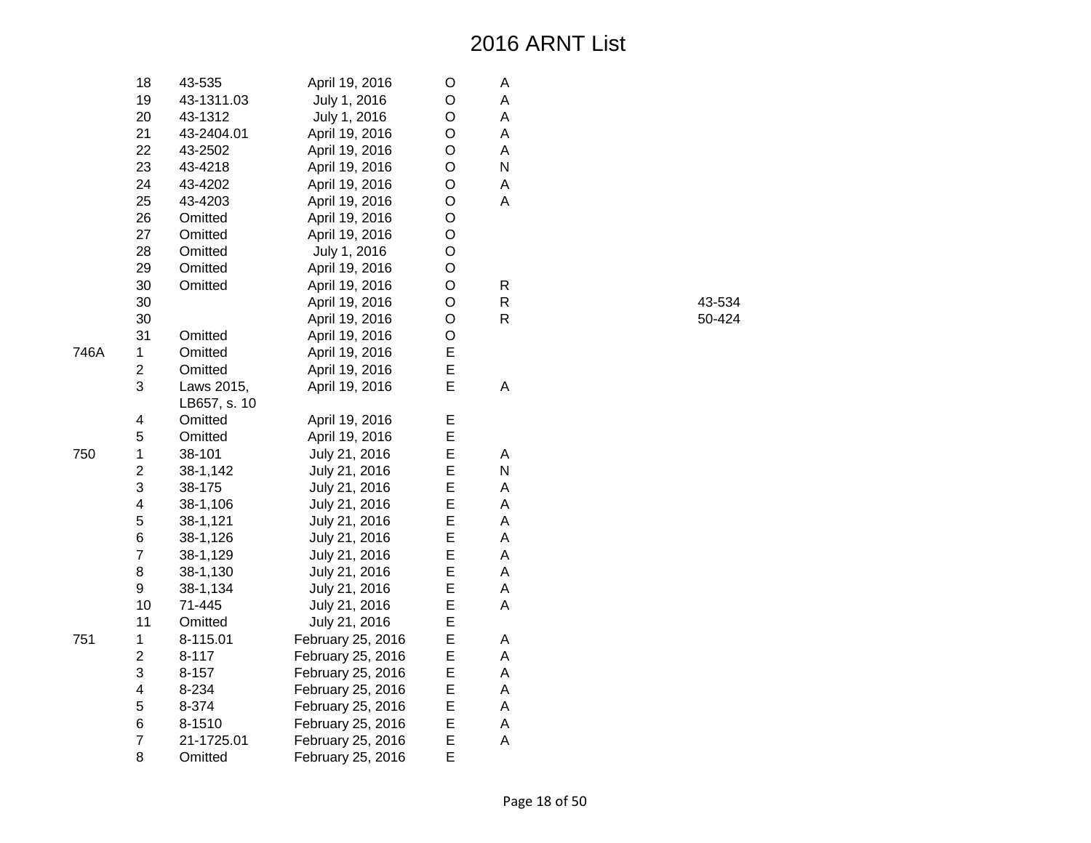|      | 18                      | 43-535       | April 19, 2016    | O | А |
|------|-------------------------|--------------|-------------------|---|---|
|      | 19                      | 43-1311.03   | July 1, 2016      | O | A |
|      | 20                      | 43-1312      | July 1, 2016      | O | A |
|      | 21                      | 43-2404.01   | April 19, 2016    | O | А |
|      | 22                      | 43-2502      | April 19, 2016    | O | A |
|      | 23                      | 43-4218      | April 19, 2016    | O | N |
|      | 24                      | 43-4202      | April 19, 2016    | O | A |
|      | 25                      | 43-4203      | April 19, 2016    | O | A |
|      | 26                      | Omitted      | April 19, 2016    | O |   |
|      | 27                      | Omitted      | April 19, 2016    | O |   |
|      | 28                      | Omitted      | July 1, 2016      | O |   |
|      | 29                      | Omitted      | April 19, 2016    | O |   |
|      | 30                      | Omitted      | April 19, 2016    | O | R |
|      | 30                      |              | April 19, 2016    | O | R |
|      | 30                      |              | April 19, 2016    | O | R |
|      | 31                      | Omitted      | April 19, 2016    | O |   |
| 746A | 1                       | Omitted      | April 19, 2016    | E |   |
|      | $\overline{\mathbf{c}}$ | Omitted      | April 19, 2016    | E |   |
|      | 3                       | Laws 2015,   | April 19, 2016    | E | A |
|      |                         | LB657, s. 10 |                   |   |   |
|      | 4                       | Omitted      | April 19, 2016    | E |   |
|      | 5                       | Omitted      | April 19, 2016    | E |   |
| 750  | 1                       | 38-101       | July 21, 2016     | E | A |
|      | $\overline{2}$          | 38-1,142     | July 21, 2016     | E | N |
|      | 3                       | 38-175       | July 21, 2016     | E | A |
|      | 4                       | 38-1,106     | July 21, 2016     | E | A |
|      | 5                       | 38-1,121     | July 21, 2016     | E | A |
|      | 6                       | 38-1,126     | July 21, 2016     | E | A |
|      | $\overline{7}$          | 38-1,129     | July 21, 2016     | Е | A |
|      | 8                       | 38-1,130     | July 21, 2016     | E | Α |
|      | 9                       | 38-1,134     | July 21, 2016     | E | A |
|      | 10                      | 71-445       | July 21, 2016     | E | A |
|      | 11                      | Omitted      | July 21, 2016     | E |   |
| 751  | 1                       | 8-115.01     | February 25, 2016 | Е | А |
|      | $\overline{2}$          | $8 - 117$    | February 25, 2016 | E | A |
|      | 3                       | $8 - 157$    | February 25, 2016 | E | A |
|      | 4                       | 8-234        | February 25, 2016 | E | A |
|      | 5                       | 8-374        | February 25, 2016 | E | A |
|      | 6                       | 8-1510       | February 25, 2016 | E | А |
|      | $\overline{7}$          | 21-1725.01   | February 25, 2016 | E | A |
|      | 8                       | Omitted      | February 25, 2016 | E |   |

| R | 43-534 |
|---|--------|
| R | 50-424 |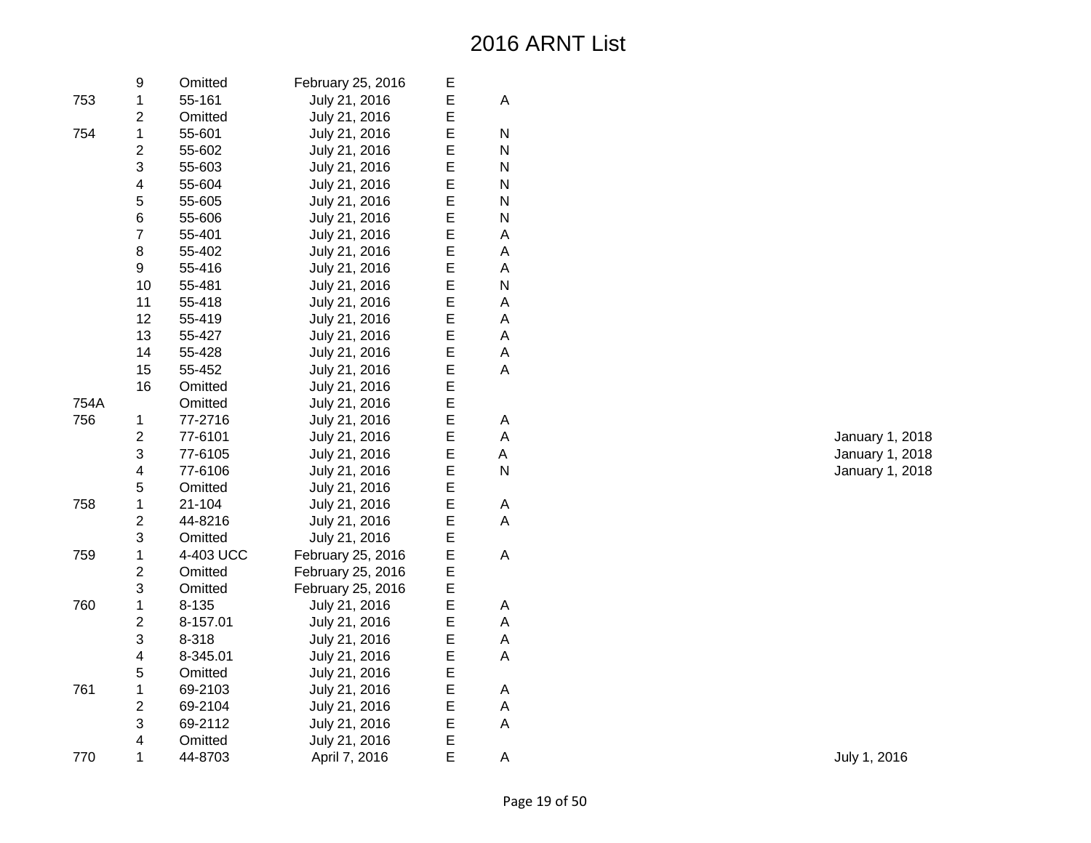|      | 9                       | Omitted   | February 25, 2016 | Е |   |
|------|-------------------------|-----------|-------------------|---|---|
| 753  | $\mathbf 1$             | 55-161    | July 21, 2016     | E | A |
|      | $\overline{c}$          | Omitted   | July 21, 2016     | E |   |
| 754  | $\mathbf{1}$            | 55-601    | July 21, 2016     | E | N |
|      | $\overline{c}$          | 55-602    | July 21, 2016     | E | N |
|      | 3                       | 55-603    | July 21, 2016     | E | N |
|      | $\overline{\mathbf{4}}$ | 55-604    | July 21, 2016     | E | N |
|      | 5                       | 55-605    | July 21, 2016     | E | N |
|      | 6                       | 55-606    | July 21, 2016     | E | N |
|      | $\overline{7}$          | 55-401    | July 21, 2016     | E | A |
|      | 8                       | 55-402    | July 21, 2016     | E | A |
|      | 9                       | 55-416    | July 21, 2016     | E | A |
|      | 10                      | 55-481    | July 21, 2016     | E | N |
|      | 11                      | 55-418    | July 21, 2016     | E | A |
|      | 12                      | 55-419    | July 21, 2016     | E | A |
|      | 13                      | 55-427    | July 21, 2016     | E | A |
|      | 14                      | 55-428    | July 21, 2016     | E | Α |
|      | 15                      | 55-452    | July 21, 2016     | E | A |
|      | 16                      | Omitted   | July 21, 2016     | E |   |
| 754A |                         | Omitted   | July 21, 2016     | E |   |
| 756  | 1                       | 77-2716   | July 21, 2016     | E | A |
|      | $\overline{2}$          | 77-6101   | July 21, 2016     | E | A |
|      | 3                       | 77-6105   | July 21, 2016     | E | A |
|      | $\overline{\mathbf{4}}$ | 77-6106   | July 21, 2016     | E | N |
|      | 5                       | Omitted   | July 21, 2016     | E |   |
| 758  | $\mathbf 1$             | 21-104    | July 21, 2016     | E | A |
|      | $\overline{c}$          | 44-8216   | July 21, 2016     | E | A |
|      | 3                       | Omitted   | July 21, 2016     | E |   |
| 759  | $\mathbf 1$             | 4-403 UCC | February 25, 2016 | E | A |
|      | $\overline{c}$          | Omitted   | February 25, 2016 | E |   |
|      | 3                       | Omitted   | February 25, 2016 | E |   |
| 760  | $\mathbf 1$             | 8-135     | July 21, 2016     | E | A |
|      | $\overline{c}$          | 8-157.01  | July 21, 2016     | E | A |
|      | 3                       | 8-318     | July 21, 2016     | E | A |
|      | 4                       | 8-345.01  | July 21, 2016     | E | A |
|      | 5                       | Omitted   | July 21, 2016     | E |   |
| 761  | $\mathbf 1$             | 69-2103   | July 21, 2016     | E | A |
|      | $\overline{c}$          | 69-2104   | July 21, 2016     | E | A |
|      | 3                       | 69-2112   | July 21, 2016     | E | A |
|      | $\overline{\mathbf{4}}$ | Omitted   | July 21, 2016     | E |   |
| 770  | $\mathbf{1}$            | 44-8703   | April 7, 2016     | E | Α |

A January 1, 2018 E A January 1, 2018 January 1, 2018

**July 1, 2016**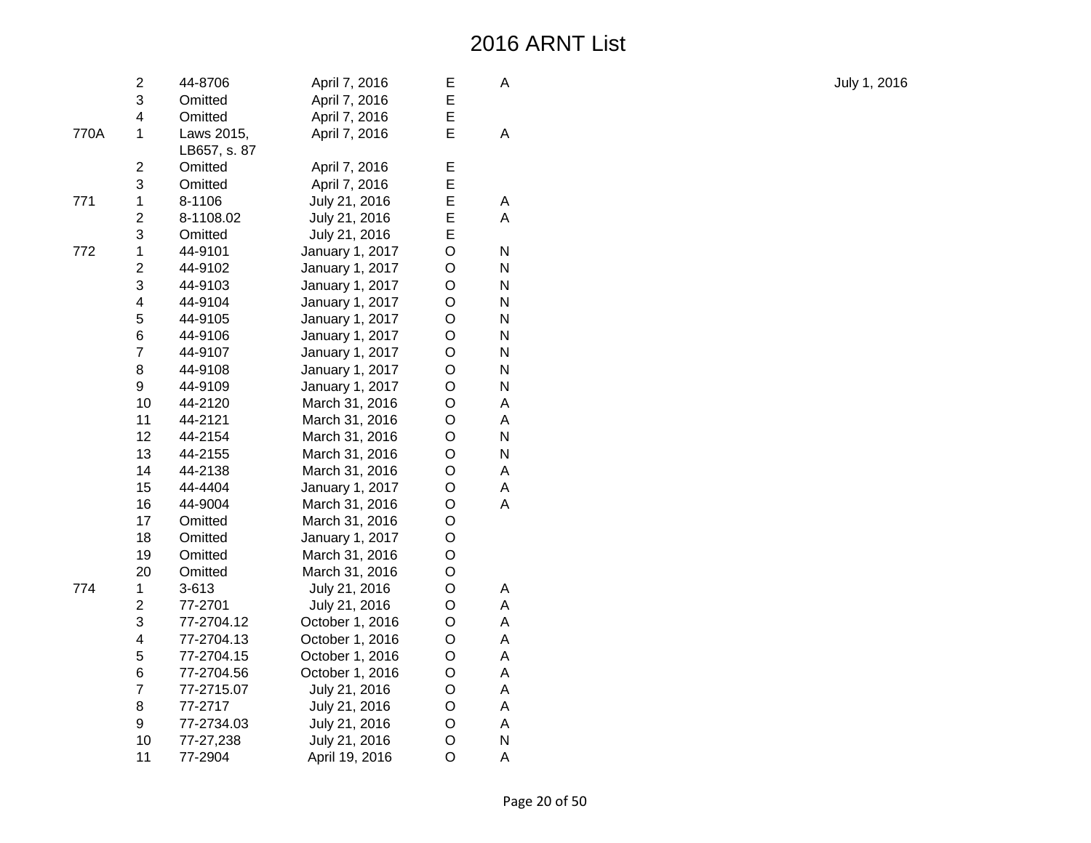|      | $\overline{2}$          | 44-8706      | April 7, 2016   | Е              | A |
|------|-------------------------|--------------|-----------------|----------------|---|
|      | 3                       | Omitted      | April 7, 2016   | E              |   |
|      | $\overline{\mathbf{4}}$ | Omitted      | April 7, 2016   | E              |   |
| 770A | $\mathbf{1}$            | Laws 2015,   | April 7, 2016   | E              | A |
|      |                         | LB657, s. 87 |                 |                |   |
|      | $\overline{c}$          | Omitted      | April 7, 2016   | E              |   |
|      | 3                       | Omitted      | April 7, 2016   | E              |   |
| 771  | $\mathbf 1$             | 8-1106       | July 21, 2016   | E              | Α |
|      | $\overline{2}$          | 8-1108.02    | July 21, 2016   | E              | A |
|      | 3                       | Omitted      | July 21, 2016   | E              |   |
| 772  | $\mathbf 1$             | 44-9101      | January 1, 2017 | O              | N |
|      | $\overline{2}$          | 44-9102      | January 1, 2017 | O              | N |
|      | 3                       | 44-9103      | January 1, 2017 | O              | Ν |
|      | $\overline{\mathbf{4}}$ | 44-9104      | January 1, 2017 | O              | N |
|      | 5                       | 44-9105      | January 1, 2017 | O              | N |
|      | 6                       | 44-9106      | January 1, 2017 | O              | N |
|      | $\overline{7}$          | 44-9107      | January 1, 2017 | O              | Ν |
|      | 8                       | 44-9108      | January 1, 2017 | O              | N |
|      | 9                       | 44-9109      | January 1, 2017 | O              | N |
|      | 10                      | 44-2120      | March 31, 2016  | O              | А |
|      | 11                      | 44-2121      | March 31, 2016  | O              | A |
|      | 12                      | 44-2154      | March 31, 2016  | O              | N |
|      | 13                      | 44-2155      | March 31, 2016  | O              | N |
|      | 14                      | 44-2138      | March 31, 2016  | O              | А |
|      | 15                      | 44-4404      | January 1, 2017 | O              | A |
|      | 16                      | 44-9004      | March 31, 2016  | O              | A |
|      | 17                      | Omitted      | March 31, 2016  | O              |   |
|      | 18                      | Omitted      | January 1, 2017 | O              |   |
|      | 19                      | Omitted      | March 31, 2016  | O              |   |
|      | 20                      | Omitted      | March 31, 2016  | O              |   |
| 774  | $\mathbf 1$             | 3-613        | July 21, 2016   | O              | A |
|      | $\overline{2}$          | 77-2701      | July 21, 2016   | O              | A |
|      | 3                       | 77-2704.12   | October 1, 2016 | O              | A |
|      | $\overline{\mathbf{4}}$ | 77-2704.13   | October 1, 2016 | O              | Α |
|      | 5                       | 77-2704.15   | October 1, 2016 | O              | A |
|      | 6                       | 77-2704.56   | October 1, 2016 | O              | A |
|      | $\overline{7}$          | 77-2715.07   | July 21, 2016   | O              | A |
|      | 8                       | 77-2717      | July 21, 2016   | O              | A |
|      | 9                       | 77-2734.03   | July 21, 2016   | O              | A |
|      | 10                      | 77-27,238    | July 21, 2016   | O              | N |
|      | 11                      | 77-2904      | April 19, 2016  | $\overline{O}$ | Α |

July 1, 2016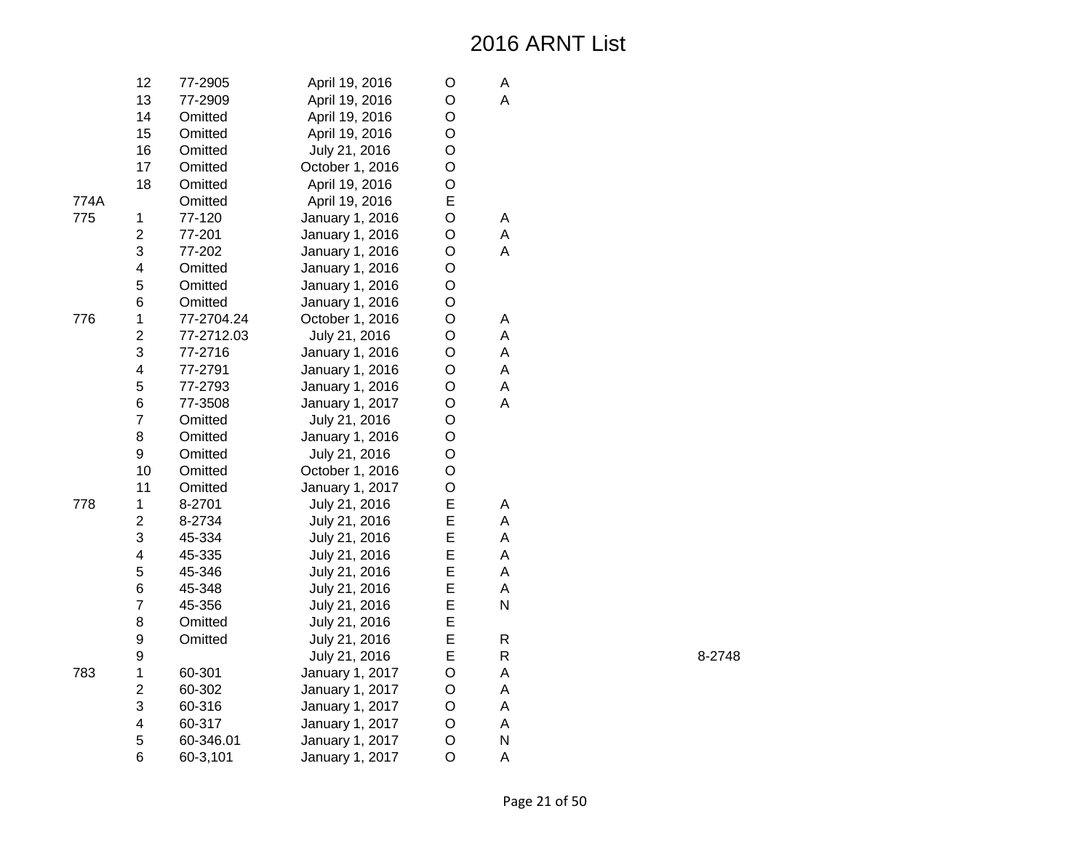|      | 12             | 77-2905    | April 19, 2016  | O | Α |
|------|----------------|------------|-----------------|---|---|
|      | 13             | 77-2909    | April 19, 2016  | O | A |
|      | 14             | Omitted    | April 19, 2016  | O |   |
|      | 15             | Omitted    | April 19, 2016  | O |   |
|      | 16             | Omitted    | July 21, 2016   | O |   |
|      | 17             | Omitted    | October 1, 2016 | O |   |
|      | 18             | Omitted    | April 19, 2016  | O |   |
| 774A |                | Omitted    | April 19, 2016  | E |   |
| 775  | $\mathbf 1$    | 77-120     | January 1, 2016 | O | Α |
|      | $\overline{c}$ | 77-201     | January 1, 2016 | O | A |
|      | 3              | 77-202     | January 1, 2016 | O | A |
|      | 4              | Omitted    | January 1, 2016 | O |   |
|      | 5              | Omitted    | January 1, 2016 | O |   |
|      | 6              | Omitted    | January 1, 2016 | O |   |
| 776  | $\mathbf 1$    | 77-2704.24 | October 1, 2016 | O | Α |
|      | $\overline{c}$ | 77-2712.03 | July 21, 2016   | O | A |
|      | 3              | 77-2716    | January 1, 2016 | O | A |
|      | 4              | 77-2791    | January 1, 2016 | O | A |
|      | 5              | 77-2793    | January 1, 2016 | O | A |
|      | 6              | 77-3508    | January 1, 2017 | O | A |
|      | $\overline{7}$ | Omitted    | July 21, 2016   | O |   |
|      | 8              | Omitted    | January 1, 2016 | O |   |
|      | 9              | Omitted    | July 21, 2016   | O |   |
|      | 10             | Omitted    | October 1, 2016 | O |   |
|      | 11             | Omitted    | January 1, 2017 | O |   |
| 778  | 1              | 8-2701     | July 21, 2016   | E | А |
|      | $\overline{c}$ | 8-2734     | July 21, 2016   | E | A |
|      | 3              | 45-334     | July 21, 2016   | E | A |
|      | 4              | 45-335     | July 21, 2016   | E | A |
|      | 5              | 45-346     | July 21, 2016   | E | A |
|      | 6              | 45-348     | July 21, 2016   | E | A |
|      | $\overline{7}$ | 45-356     | July 21, 2016   | E | N |
|      | 8              | Omitted    | July 21, 2016   | E |   |
|      | 9              | Omitted    | July 21, 2016   | E | R |
|      | 9              |            | July 21, 2016   | E | R |
| 783  | $\mathbf 1$    | 60-301     | January 1, 2017 | O | A |
|      | $\overline{c}$ | 60-302     | January 1, 2017 | O | A |
|      | 3              | 60-316     | January 1, 2017 | O | A |
|      | 4              | 60-317     | January 1, 2017 | O | A |
|      | 5              | 60-346.01  | January 1, 2017 | O | N |
|      | 6              | 60-3,101   | January 1, 2017 | O | A |

R 8-2748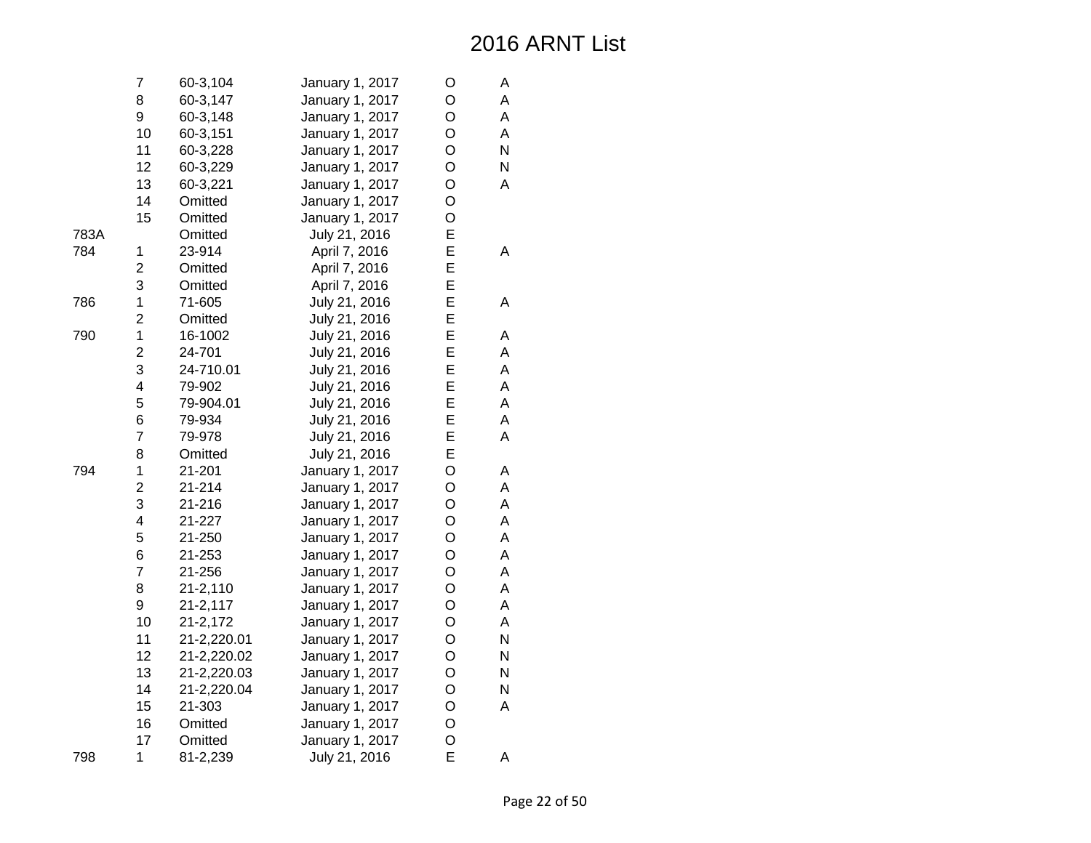|      | 7              | 60-3,104     | January 1, 2017 | O | А |
|------|----------------|--------------|-----------------|---|---|
|      | 8              | 60-3,147     | January 1, 2017 | O | A |
|      | 9              | 60-3,148     | January 1, 2017 | O | A |
|      | 10             | 60-3,151     | January 1, 2017 | O | Α |
|      | 11             | 60-3,228     | January 1, 2017 | O | N |
|      | 12             | 60-3,229     | January 1, 2017 | O | N |
|      | 13             | 60-3,221     | January 1, 2017 | O | A |
|      | 14             | Omitted      | January 1, 2017 | O |   |
|      | 15             | Omitted      | January 1, 2017 | O |   |
| 783A |                | Omitted      | July 21, 2016   | E |   |
| 784  | 1              | 23-914       | April 7, 2016   | E | A |
|      | $\overline{c}$ | Omitted      | April 7, 2016   | E |   |
|      | 3              | Omitted      | April 7, 2016   | E |   |
| 786  | $\mathbf 1$    | 71-605       | July 21, 2016   | E | Α |
|      | $\overline{c}$ | Omitted      | July 21, 2016   | E |   |
| 790  | $\mathbf 1$    | 16-1002      | July 21, 2016   | E | А |
|      | $\overline{2}$ | 24-701       | July 21, 2016   | E | A |
|      | 3              | 24-710.01    | July 21, 2016   | E | A |
|      | 4              | 79-902       | July 21, 2016   | E | A |
|      | 5              | 79-904.01    | July 21, 2016   | E | A |
|      | 6              | 79-934       | July 21, 2016   | E | A |
|      | $\overline{7}$ | 79-978       | July 21, 2016   | E | A |
|      | 8              | Omitted      | July 21, 2016   | E |   |
| 794  | $\mathbf 1$    | 21-201       | January 1, 2017 | O | A |
|      | $\overline{c}$ | 21-214       | January 1, 2017 | O | A |
|      | 3              | 21-216       | January 1, 2017 | O | A |
|      | 4              | 21-227       | January 1, 2017 | O | A |
|      | 5              | 21-250       | January 1, 2017 | O | A |
|      | 6              | 21-253       | January 1, 2017 | O | A |
|      | $\overline{7}$ | 21-256       | January 1, 2017 | O | A |
|      | 8              | $21 - 2,110$ | January 1, 2017 | O | A |
|      | 9              | $21 - 2,117$ | January 1, 2017 | O | A |
|      | 10             | 21-2,172     | January 1, 2017 | O | A |
|      | 11             | 21-2,220.01  | January 1, 2017 | O | N |
|      | 12             | 21-2,220.02  | January 1, 2017 | O | N |
|      | 13             | 21-2,220.03  | January 1, 2017 | O | N |
|      | 14             | 21-2,220.04  | January 1, 2017 | O | N |
|      | 15             | 21-303       | January 1, 2017 | O | A |
|      | 16             | Omitted      | January 1, 2017 | O |   |
|      | 17             | Omitted      | January 1, 2017 | O |   |
| 798  | 1              | 81-2,239     | July 21, 2016   | E | Α |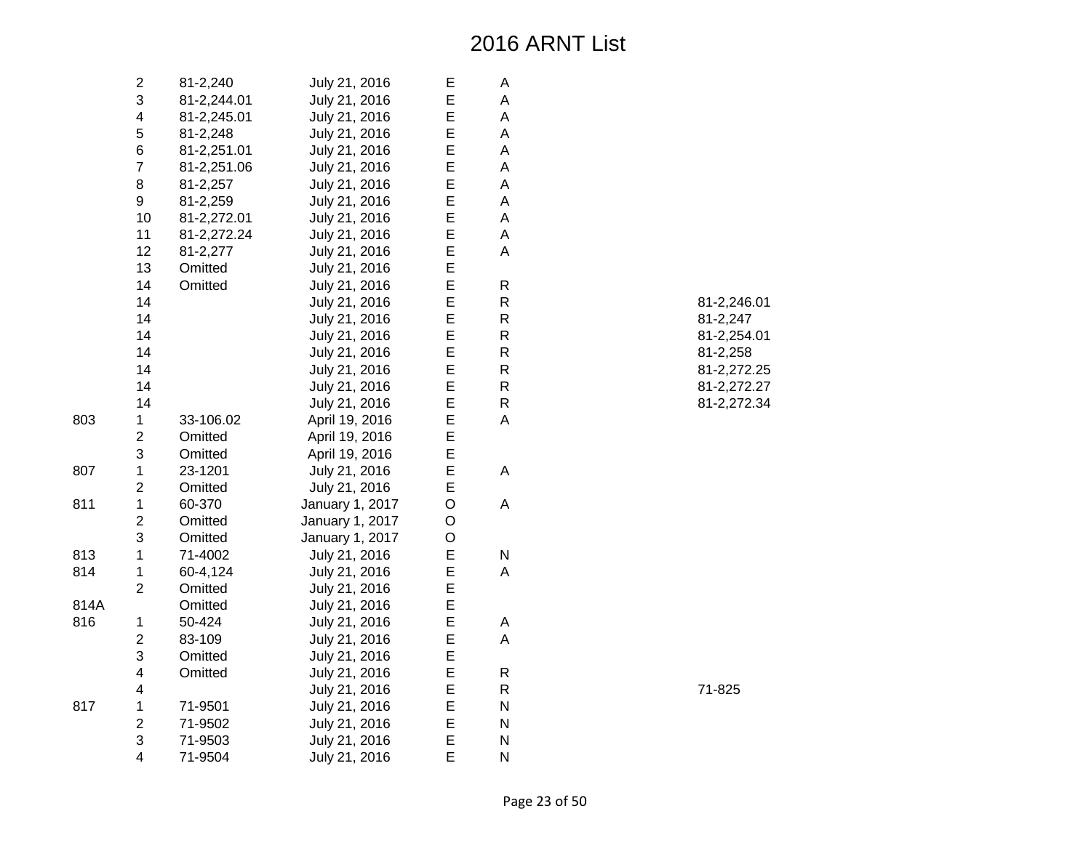|      | $\mathbf{2}$            | 81-2,240    | July 21, 2016   | Е | А            |
|------|-------------------------|-------------|-----------------|---|--------------|
|      | 3                       | 81-2,244.01 | July 21, 2016   | E | Α            |
|      | $\overline{\mathbf{4}}$ | 81-2,245.01 | July 21, 2016   | E | A            |
|      | 5                       | 81-2,248    | July 21, 2016   | E | A            |
|      | 6                       | 81-2,251.01 | July 21, 2016   | E | A            |
|      | $\overline{7}$          | 81-2,251.06 | July 21, 2016   | E | A            |
|      | 8                       | 81-2,257    | July 21, 2016   | E | A            |
|      | 9                       | 81-2,259    | July 21, 2016   | E | A            |
|      | 10                      | 81-2,272.01 | July 21, 2016   | E | A            |
|      | 11                      | 81-2,272.24 | July 21, 2016   | E | A            |
|      | 12                      | 81-2,277    | July 21, 2016   | E | A            |
|      | 13                      | Omitted     | July 21, 2016   | E |              |
|      | 14                      | Omitted     | July 21, 2016   | E | R            |
|      | 14                      |             | July 21, 2016   | E | R            |
|      | 14                      |             | July 21, 2016   | E | $\mathsf{R}$ |
|      | 14                      |             | July 21, 2016   | E | R            |
|      | 14                      |             | July 21, 2016   | E | R            |
|      | 14                      |             | July 21, 2016   | E | R            |
|      | 14                      |             | July 21, 2016   | E | R            |
|      | 14                      |             | July 21, 2016   | Ε | R            |
| 803  | 1                       | 33-106.02   | April 19, 2016  | E | A            |
|      | $\overline{c}$          | Omitted     | April 19, 2016  | E |              |
|      | 3                       | Omitted     | April 19, 2016  | E |              |
| 807  | 1                       | 23-1201     | July 21, 2016   | E | А            |
|      | $\overline{2}$          | Omitted     | July 21, 2016   | E |              |
| 811  | 1                       | 60-370      | January 1, 2017 | O | A            |
|      | $\overline{c}$          | Omitted     | January 1, 2017 | O |              |
|      | 3                       | Omitted     | January 1, 2017 | O |              |
| 813  | $\mathbf 1$             | 71-4002     | July 21, 2016   | E | N            |
| 814  | 1                       | 60-4,124    | July 21, 2016   | E | Α            |
|      | $\overline{2}$          | Omitted     | July 21, 2016   | E |              |
| 814A |                         | Omitted     | July 21, 2016   | E |              |
| 816  | 1                       | 50-424      | July 21, 2016   | E | А            |
|      | $\overline{2}$          | 83-109      | July 21, 2016   | E | A            |
|      | 3                       | Omitted     | July 21, 2016   | E |              |
|      | 4                       | Omitted     | July 21, 2016   | E | R            |
|      | 4                       |             | July 21, 2016   | Ε | R            |
| 817  | 1                       | 71-9501     | July 21, 2016   | E | N            |
|      | $\overline{2}$          | 71-9502     | July 21, 2016   | E | N            |
|      | 3                       | 71-9503     | July 21, 2016   | E | N            |
|      | $\overline{4}$          | 71-9504     | July 21, 2016   | E | N            |

| R | 81-2,246.01 |
|---|-------------|
| R | 81-2,247    |
| R | 81-2.254.01 |
| R | 81-2.258    |
| R | 81-2,272.25 |
| R | 81-2,272.27 |
| R | 81-2,272.34 |
|   |             |

R 71-825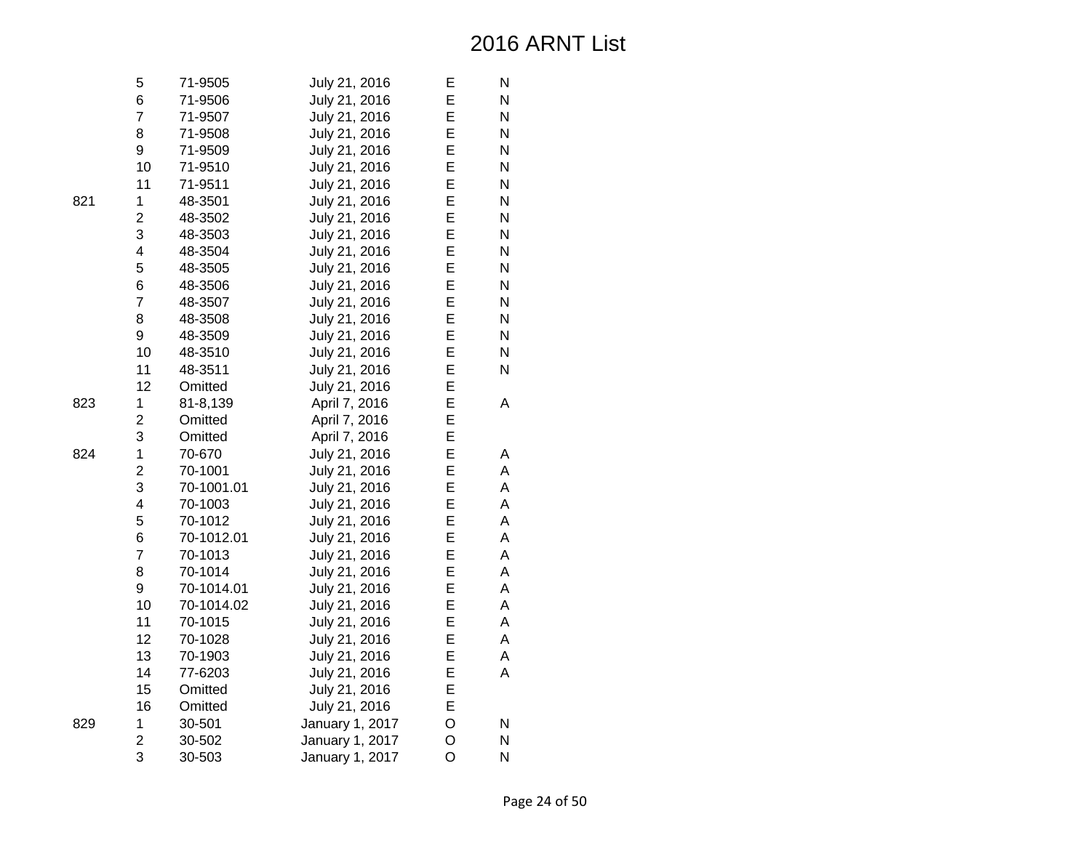| 5                       | 71-9505    | July 21, 2016   | Е | N |
|-------------------------|------------|-----------------|---|---|
| 6                       | 71-9506    | July 21, 2016   | E | N |
| $\overline{7}$          | 71-9507    | July 21, 2016   | E | N |
| 8                       | 71-9508    | July 21, 2016   | E | N |
| 9                       | 71-9509    | July 21, 2016   | E | N |
| 10                      | 71-9510    | July 21, 2016   | E | N |
| 11                      | 71-9511    | July 21, 2016   | E | N |
| $\mathbf 1$             | 48-3501    | July 21, 2016   | E | N |
| 2                       | 48-3502    | July 21, 2016   | E | N |
| 3                       | 48-3503    | July 21, 2016   | E | N |
| $\overline{\mathbf{4}}$ | 48-3504    | July 21, 2016   | E | N |
| 5                       | 48-3505    | July 21, 2016   | E | N |
| 6                       | 48-3506    | July 21, 2016   | E | N |
| $\overline{7}$          | 48-3507    | July 21, 2016   | E | N |
| 8                       | 48-3508    | July 21, 2016   | E | N |
| 9                       | 48-3509    | July 21, 2016   | E | N |
| 10                      | 48-3510    | July 21, 2016   | E | N |
| 11                      | 48-3511    | July 21, 2016   | E | N |
| 12                      | Omitted    | July 21, 2016   | E |   |
| 1                       | 81-8,139   | April 7, 2016   | E | Α |
| $\overline{\mathbf{c}}$ | Omitted    | April 7, 2016   | E |   |
| 3                       | Omitted    | April 7, 2016   | E |   |
| 1                       | 70-670     | July 21, 2016   | E | А |
| $\overline{c}$          | 70-1001    | July 21, 2016   | E | A |
| 3                       | 70-1001.01 | July 21, 2016   | E | A |
| 4                       | 70-1003    | July 21, 2016   | E | А |
| 5                       | 70-1012    | July 21, 2016   | E | А |
| 6                       | 70-1012.01 | July 21, 2016   | E | A |
| $\overline{7}$          | 70-1013    | July 21, 2016   | E | A |
| 8                       | 70-1014    | July 21, 2016   | E | A |
| 9                       | 70-1014.01 | July 21, 2016   | E | A |
| 10                      | 70-1014.02 | July 21, 2016   | E | А |
| 11                      | 70-1015    | July 21, 2016   | E | А |
| 12                      | 70-1028    | July 21, 2016   | E | А |
| 13                      | 70-1903    | July 21, 2016   | E | А |
| 14                      | 77-6203    | July 21, 2016   | E | A |
| 15                      | Omitted    | July 21, 2016   | E |   |
| 16                      | Omitted    | July 21, 2016   | E |   |
| 1                       | 30-501     | January 1, 2017 | O | N |
| 2                       | 30-502     | January 1, 2017 | O | N |
| 3                       | 30-503     | January 1, 2017 | O | N |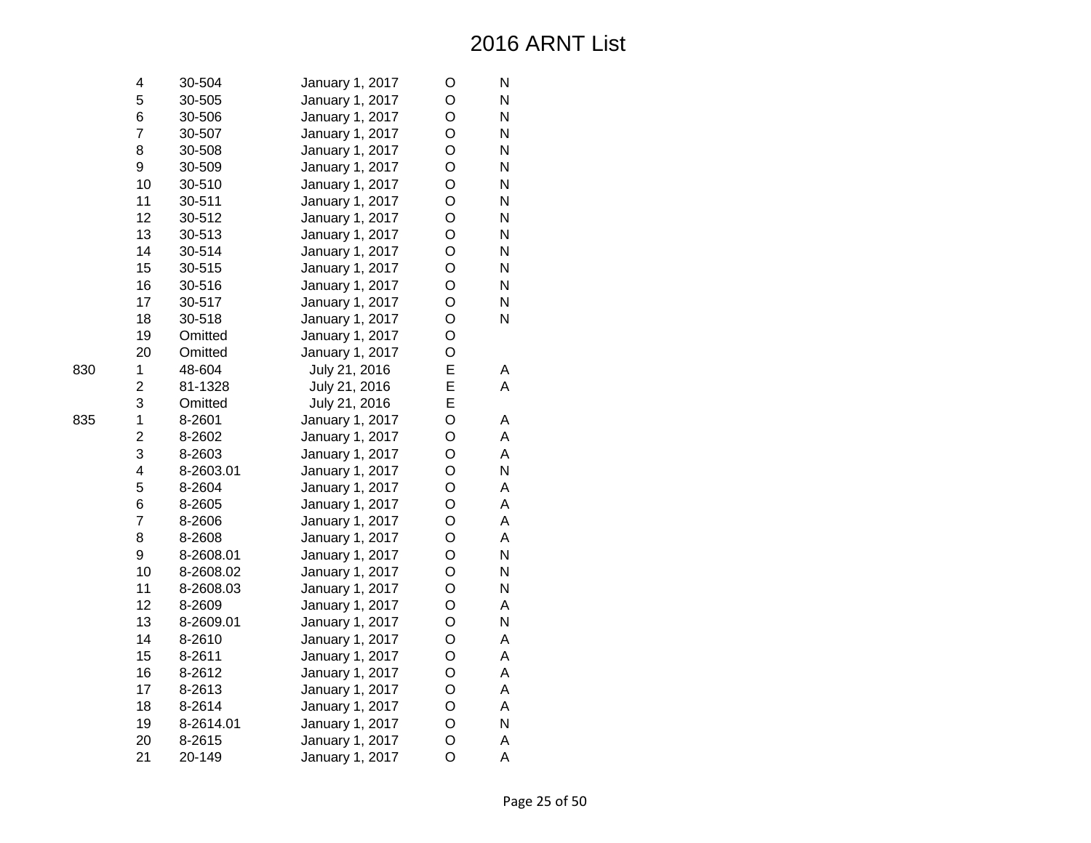| 4                       | 30-504    | January 1, 2017 | O | N |
|-------------------------|-----------|-----------------|---|---|
| 5                       | 30-505    | January 1, 2017 | O | N |
| 6                       | 30-506    | January 1, 2017 | O | N |
| $\overline{7}$          | 30-507    | January 1, 2017 | O | N |
| 8                       | 30-508    | January 1, 2017 | O | N |
| 9                       | 30-509    | January 1, 2017 | O | N |
| 10                      | 30-510    | January 1, 2017 | O | N |
| 11                      | 30-511    | January 1, 2017 | O | N |
| 12                      | 30-512    | January 1, 2017 | O | N |
| 13                      | 30-513    | January 1, 2017 | O | N |
| 14                      | 30-514    | January 1, 2017 | O | N |
| 15                      | 30-515    | January 1, 2017 | O | N |
| 16                      | 30-516    | January 1, 2017 | O | N |
| 17                      | 30-517    | January 1, 2017 | O | N |
| 18                      | 30-518    | January 1, 2017 | O | N |
| 19                      | Omitted   | January 1, 2017 | O |   |
| 20                      | Omitted   | January 1, 2017 | O |   |
| 1                       | 48-604    | July 21, 2016   | E | A |
| $\overline{c}$          | 81-1328   | July 21, 2016   | E | A |
| 3                       | Omitted   | July 21, 2016   | E |   |
| $\mathbf 1$             | 8-2601    | January 1, 2017 | O | Α |
| $\overline{c}$          | 8-2602    | January 1, 2017 | O | A |
| 3                       | 8-2603    | January 1, 2017 | O | A |
| $\overline{\mathbf{4}}$ | 8-2603.01 | January 1, 2017 | O | N |
| 5                       | 8-2604    | January 1, 2017 | O | A |
| 6                       | 8-2605    | January 1, 2017 | O | A |
| $\overline{7}$          | 8-2606    | January 1, 2017 | O | A |
| 8                       | 8-2608    | January 1, 2017 | O | A |
| 9                       | 8-2608.01 | January 1, 2017 | O | N |
| 10                      | 8-2608.02 | January 1, 2017 | O | N |
| 11                      | 8-2608.03 | January 1, 2017 | O | N |
| 12                      | 8-2609    | January 1, 2017 | O | A |
| 13                      | 8-2609.01 | January 1, 2017 | O | N |
| 14                      | 8-2610    | January 1, 2017 | O | A |
| 15                      | 8-2611    | January 1, 2017 | O | A |
| 16                      | 8-2612    | January 1, 2017 | O | A |
| 17                      | 8-2613    | January 1, 2017 | O | A |
| 18                      | 8-2614    | January 1, 2017 | O | A |
| 19                      | 8-2614.01 | January 1, 2017 | O | N |
| 20                      | 8-2615    | January 1, 2017 | O | A |
| 21                      | 20-149    | January 1, 2017 | O | A |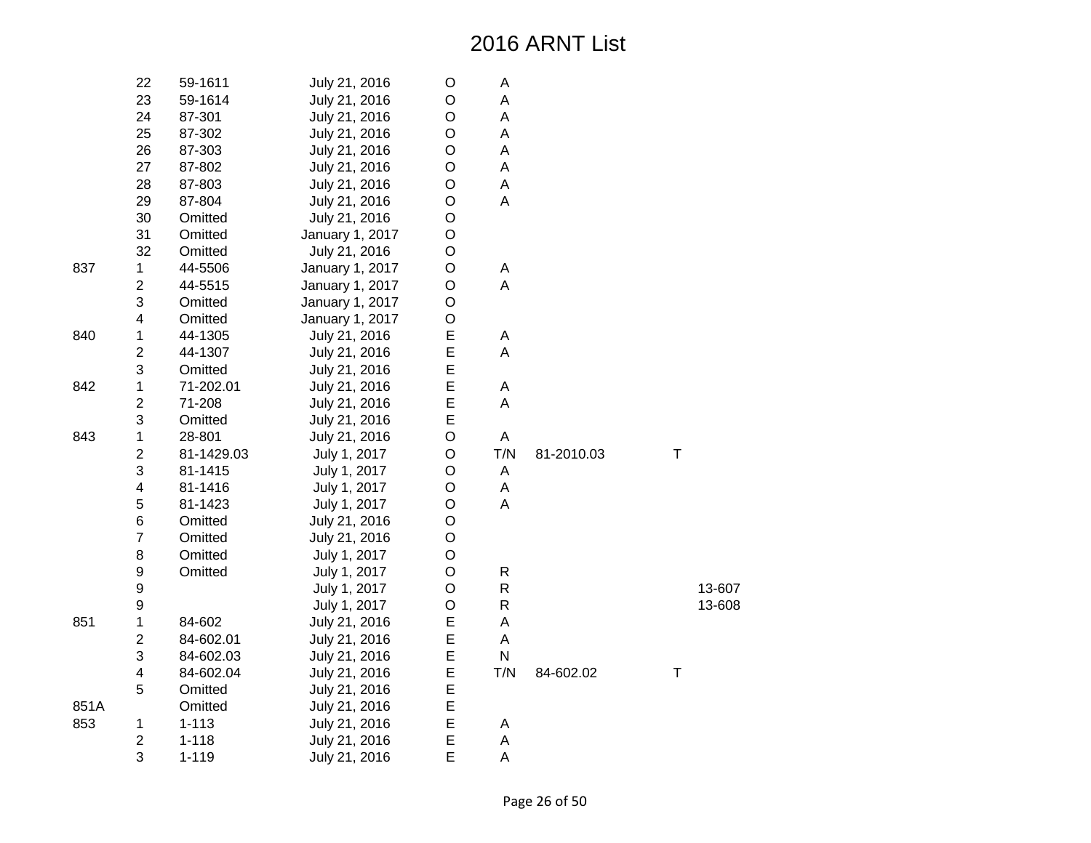|      | 22                      | 59-1611    | July 21, 2016   | O           | A                         |            |   |        |
|------|-------------------------|------------|-----------------|-------------|---------------------------|------------|---|--------|
|      | 23                      | 59-1614    | July 21, 2016   | O           | A                         |            |   |        |
|      | 24                      | 87-301     | July 21, 2016   | O           | A                         |            |   |        |
|      | 25                      | 87-302     | July 21, 2016   | O           | A                         |            |   |        |
|      | 26                      | 87-303     | July 21, 2016   | O           | A                         |            |   |        |
|      | 27                      | 87-802     | July 21, 2016   | O           | $\boldsymbol{\mathsf{A}}$ |            |   |        |
|      | 28                      | 87-803     | July 21, 2016   | O           | $\mathsf A$               |            |   |        |
|      | 29                      | 87-804     | July 21, 2016   | O           | A                         |            |   |        |
|      | 30                      | Omitted    | July 21, 2016   | O           |                           |            |   |        |
|      | 31                      | Omitted    | January 1, 2017 | O           |                           |            |   |        |
|      | 32                      | Omitted    | July 21, 2016   | O           |                           |            |   |        |
| 837  | 1                       | 44-5506    | January 1, 2017 | O           | A                         |            |   |        |
|      | $\overline{c}$          | 44-5515    | January 1, 2017 | O           | A                         |            |   |        |
|      | 3                       | Omitted    | January 1, 2017 | $\circ$     |                           |            |   |        |
|      | $\overline{\mathbf{4}}$ | Omitted    | January 1, 2017 | O           |                           |            |   |        |
| 840  | 1                       | 44-1305    | July 21, 2016   | E           | A                         |            |   |        |
|      | $\overline{\mathbf{c}}$ | 44-1307    | July 21, 2016   | E           | A                         |            |   |        |
|      | 3                       | Omitted    | July 21, 2016   | E           |                           |            |   |        |
| 842  | $\mathbf 1$             | 71-202.01  | July 21, 2016   | E           | A                         |            |   |        |
|      | $\overline{c}$          | 71-208     | July 21, 2016   | E           | A                         |            |   |        |
|      | 3                       | Omitted    | July 21, 2016   | E           |                           |            |   |        |
| 843  | 1                       | 28-801     | July 21, 2016   | O           | A                         |            |   |        |
|      | $\overline{c}$          | 81-1429.03 | July 1, 2017    | O           | T/N                       | 81-2010.03 | T |        |
|      | 3                       | 81-1415    | July 1, 2017    | O           | A                         |            |   |        |
|      | $\overline{\mathbf{4}}$ | 81-1416    | July 1, 2017    | O           | A                         |            |   |        |
|      | 5                       | 81-1423    | July 1, 2017    | $\mathsf O$ | A                         |            |   |        |
|      | 6                       | Omitted    | July 21, 2016   | O           |                           |            |   |        |
|      | $\overline{7}$          | Omitted    | July 21, 2016   | O           |                           |            |   |        |
|      | $\bf 8$                 | Omitted    | July 1, 2017    | $\mathsf O$ |                           |            |   |        |
|      | 9                       | Omitted    | July 1, 2017    | O           | $\mathsf{R}$              |            |   |        |
|      | 9                       |            | July 1, 2017    | $\mathsf O$ | ${\sf R}$                 |            |   | 13-607 |
|      | 9                       |            | July 1, 2017    | $\mathsf O$ | ${\sf R}$                 |            |   | 13-608 |
| 851  | 1                       | 84-602     | July 21, 2016   | E           | Α                         |            |   |        |
|      | $\overline{2}$          | 84-602.01  | July 21, 2016   | E           | A                         |            |   |        |
|      | 3                       | 84-602.03  | July 21, 2016   | E           | ${\sf N}$                 |            |   |        |
|      | $\overline{\mathbf{4}}$ | 84-602.04  | July 21, 2016   | E           | T/N                       | 84-602.02  | Τ |        |
|      | 5                       | Omitted    | July 21, 2016   | E           |                           |            |   |        |
| 851A |                         | Omitted    | July 21, 2016   | E           |                           |            |   |        |
| 853  | 1                       | $1 - 113$  | July 21, 2016   | E           | Α                         |            |   |        |
|      | $\overline{c}$          | $1 - 118$  | July 21, 2016   | E           | A                         |            |   |        |
|      | 3                       | $1 - 119$  | July 21, 2016   | E           | A                         |            |   |        |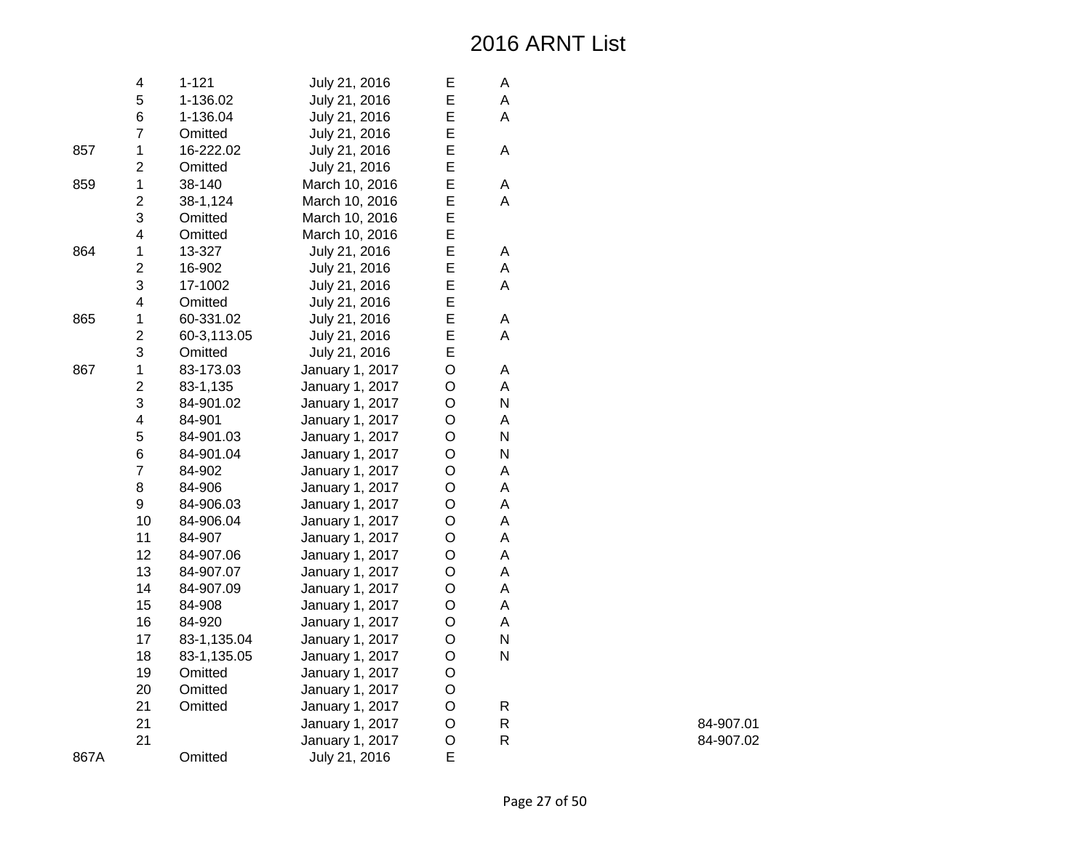|      | 4              | $1 - 121$   | July 21, 2016   | E           | А         |
|------|----------------|-------------|-----------------|-------------|-----------|
|      | 5              | 1-136.02    | July 21, 2016   | E           | А         |
|      | 6              | 1-136.04    | July 21, 2016   | E           | A         |
|      | $\overline{7}$ | Omitted     | July 21, 2016   | E           |           |
| 857  | $\mathbf 1$    | 16-222.02   | July 21, 2016   | E           | Α         |
|      | $\overline{c}$ | Omitted     | July 21, 2016   | E           |           |
| 859  | $\mathbf 1$    | 38-140      | March 10, 2016  | E           | Α         |
|      | $\overline{c}$ | 38-1,124    | March 10, 2016  | E           | A         |
|      | 3              | Omitted     | March 10, 2016  | E           |           |
|      | 4              | Omitted     | March 10, 2016  | E           |           |
| 864  | 1              | 13-327      | July 21, 2016   | E           | Α         |
|      | $\overline{2}$ | 16-902      | July 21, 2016   | E           | A         |
|      | 3              | 17-1002     | July 21, 2016   | E           | A         |
|      | 4              | Omitted     | July 21, 2016   | E           |           |
| 865  | $\mathbf 1$    | 60-331.02   | July 21, 2016   | E           | Α         |
|      | $\overline{c}$ | 60-3,113.05 | July 21, 2016   | E           | A         |
|      | 3              | Omitted     | July 21, 2016   | E           |           |
| 867  | $\mathbf 1$    | 83-173.03   | January 1, 2017 | O           | Α         |
|      | $\overline{c}$ | 83-1,135    | January 1, 2017 | O           | A         |
|      | 3              | 84-901.02   | January 1, 2017 | $\circ$     | ${\sf N}$ |
|      | 4              | 84-901      | January 1, 2017 | O           | Α         |
|      | 5              | 84-901.03   | January 1, 2017 | O           | ${\sf N}$ |
|      | 6              | 84-901.04   | January 1, 2017 | O           | ${\sf N}$ |
|      | $\overline{7}$ | 84-902      | January 1, 2017 | O           | A         |
|      | 8              | 84-906      | January 1, 2017 | $\circ$     | A         |
|      | 9              | 84-906.03   | January 1, 2017 | $\circ$     | A         |
|      | 10             | 84-906.04   | January 1, 2017 | O           | А         |
|      | 11             | 84-907      | January 1, 2017 | O           | A         |
|      | 12             | 84-907.06   | January 1, 2017 | O           | A         |
|      | 13             | 84-907.07   | January 1, 2017 | $\mathsf O$ | A         |
|      | 14             | 84-907.09   | January 1, 2017 | $\circ$     | A         |
|      | 15             | 84-908      | January 1, 2017 | O           | Α         |
|      | 16             | 84-920      | January 1, 2017 | O           | A         |
|      | 17             | 83-1,135.04 | January 1, 2017 | O           | N         |
|      | 18             | 83-1,135.05 | January 1, 2017 | O           | N         |
|      | 19             | Omitted     | January 1, 2017 | O           |           |
|      | 20             | Omitted     | January 1, 2017 | $\mathsf O$ |           |
|      | 21             | Omitted     | January 1, 2017 | O           | R         |
|      | 21             |             | January 1, 2017 | $\circ$     | ${\sf R}$ |
|      | 21             |             | January 1, 2017 | O           | ${\sf R}$ |
| 867A |                | Omitted     | July 21, 2016   | E           |           |

R 84-907.01

R 84-907.02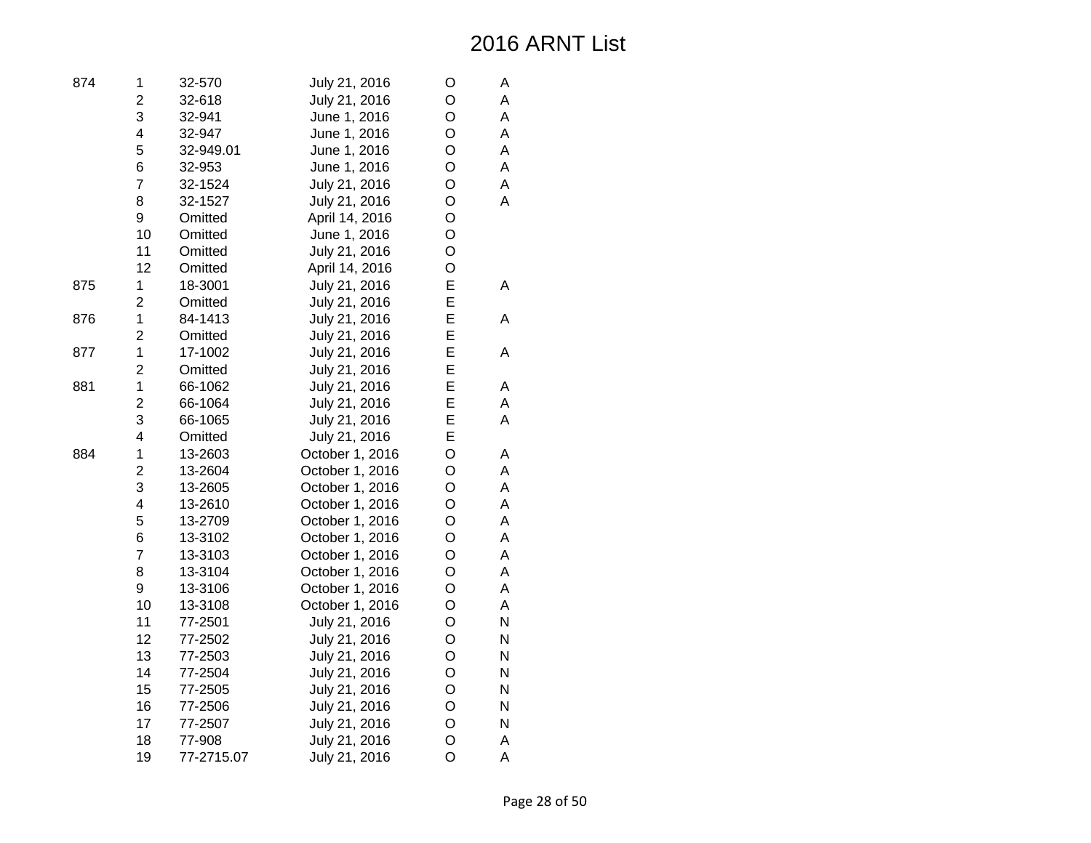| 874 | 1                       | 32-570     | July 21, 2016   | O              | Α |
|-----|-------------------------|------------|-----------------|----------------|---|
|     | $\overline{2}$          | 32-618     | July 21, 2016   | O              | A |
|     | 3                       | 32-941     | June 1, 2016    | O              | A |
|     | 4                       | 32-947     | June 1, 2016    | O              | Α |
|     | 5                       | 32-949.01  | June 1, 2016    | O              | A |
|     | 6                       | 32-953     | June 1, 2016    | O              | A |
|     | $\overline{7}$          | 32-1524    | July 21, 2016   | O              | A |
|     | 8                       | 32-1527    | July 21, 2016   | O              | A |
|     | 9                       | Omitted    | April 14, 2016  | O              |   |
|     | 10                      | Omitted    | June 1, 2016    | O              |   |
|     | 11                      | Omitted    | July 21, 2016   | O              |   |
|     | 12                      | Omitted    | April 14, 2016  | O              |   |
| 875 | $\mathbf 1$             | 18-3001    | July 21, 2016   | E              | A |
|     | $\overline{2}$          | Omitted    | July 21, 2016   | E              |   |
| 876 | $\mathbf{1}$            | 84-1413    | July 21, 2016   | E              | A |
|     | $\overline{c}$          | Omitted    | July 21, 2016   | E              |   |
| 877 | $\mathbf 1$             | 17-1002    | July 21, 2016   | E              | A |
|     | $\overline{2}$          | Omitted    | July 21, 2016   | E              |   |
| 881 | $\mathbf{1}$            | 66-1062    | July 21, 2016   | E              | A |
|     | $\overline{2}$          | 66-1064    | July 21, 2016   | E              | A |
|     | 3                       | 66-1065    | July 21, 2016   | E              | A |
|     | $\overline{\mathbf{4}}$ | Omitted    | July 21, 2016   | E              |   |
| 884 | $\mathbf{1}$            | 13-2603    | October 1, 2016 | $\circ$        | А |
|     | $\overline{c}$          | 13-2604    | October 1, 2016 | O              | A |
|     | 3                       | 13-2605    | October 1, 2016 | O              | A |
|     | 4                       | 13-2610    | October 1, 2016 | O              | A |
|     | 5                       | 13-2709    | October 1, 2016 | O              | A |
|     | 6                       | 13-3102    | October 1, 2016 | O              | A |
|     | $\overline{7}$          | 13-3103    | October 1, 2016 | O              | A |
|     | 8                       | 13-3104    | October 1, 2016 | O              | A |
|     | 9                       | 13-3106    | October 1, 2016 | O              | A |
|     | 10                      | 13-3108    | October 1, 2016 | O              | A |
|     | 11                      | 77-2501    | July 21, 2016   | $\circ$        | N |
|     | 12                      | 77-2502    | July 21, 2016   | O              | N |
|     | 13                      | 77-2503    | July 21, 2016   | O              | N |
|     | 14                      | 77-2504    | July 21, 2016   | O              | N |
|     | 15                      | 77-2505    | July 21, 2016   | O              | N |
|     | 16                      | 77-2506    | July 21, 2016   | O              | N |
|     | 17                      | 77-2507    | July 21, 2016   | O              | N |
|     | 18                      | 77-908     | July 21, 2016   | O              | A |
|     | 19                      | 77-2715.07 | July 21, 2016   | $\overline{O}$ | A |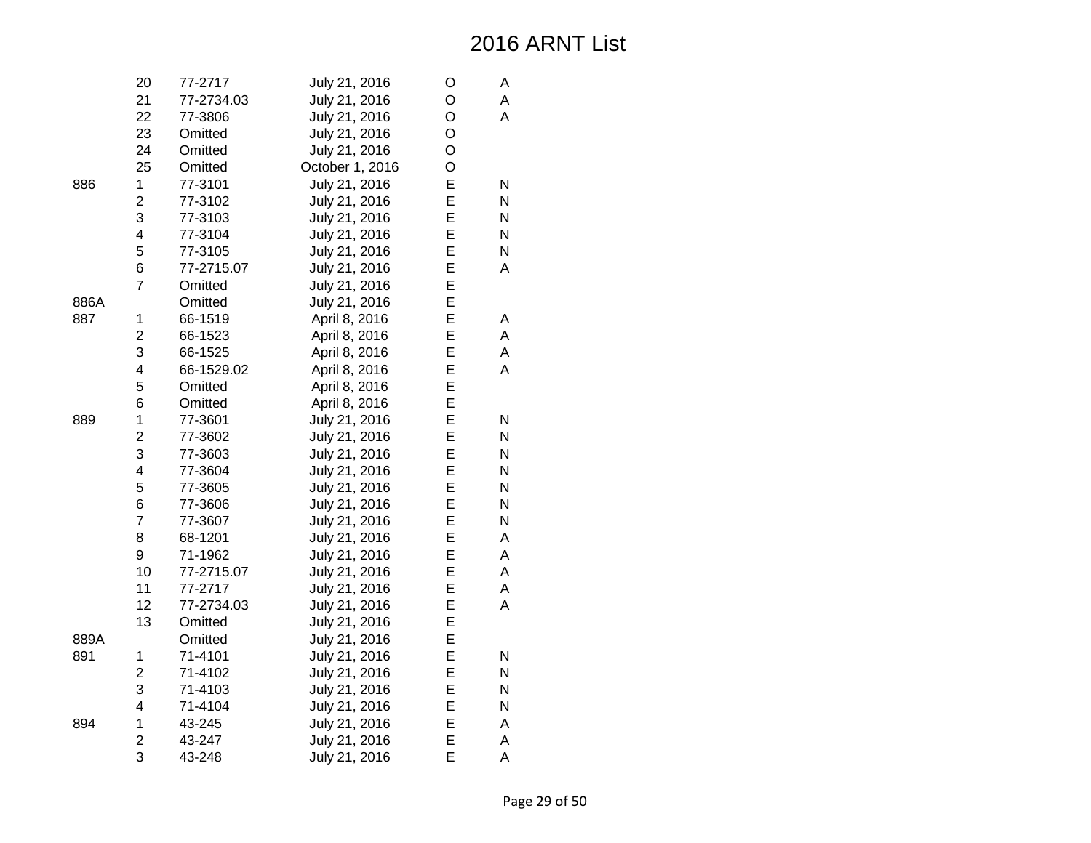|      | 20                      | 77-2717    | July 21, 2016   | O | А |
|------|-------------------------|------------|-----------------|---|---|
|      | 21                      | 77-2734.03 | July 21, 2016   | O | Α |
|      | 22                      | 77-3806    | July 21, 2016   | O | Α |
|      | 23                      | Omitted    | July 21, 2016   | O |   |
|      | 24                      | Omitted    | July 21, 2016   | O |   |
|      | 25                      | Omitted    | October 1, 2016 | O |   |
| 886  | 1                       | 77-3101    | July 21, 2016   | E | N |
|      | $\overline{2}$          | 77-3102    | July 21, 2016   | E | N |
|      | 3                       | 77-3103    | July 21, 2016   | E | N |
|      | $\overline{\mathbf{4}}$ | 77-3104    | July 21, 2016   | E | N |
|      | 5                       | 77-3105    | July 21, 2016   | E | N |
|      | 6                       | 77-2715.07 | July 21, 2016   | E | A |
|      | $\overline{7}$          | Omitted    | July 21, 2016   | E |   |
| 886A |                         | Omitted    | July 21, 2016   | E |   |
| 887  | 1                       | 66-1519    | April 8, 2016   | E | А |
|      | $\overline{c}$          | 66-1523    | April 8, 2016   | E | A |
|      | 3                       | 66-1525    | April 8, 2016   | E | A |
|      | $\overline{\mathbf{4}}$ | 66-1529.02 | April 8, 2016   | E | A |
|      | 5                       | Omitted    | April 8, 2016   | E |   |
|      | 6                       | Omitted    | April 8, 2016   | E |   |
| 889  | 1                       | 77-3601    | July 21, 2016   | E | N |
|      | $\overline{c}$          | 77-3602    | July 21, 2016   | E | N |
|      | 3                       | 77-3603    | July 21, 2016   | E | N |
|      | $\overline{\mathbf{4}}$ | 77-3604    | July 21, 2016   | E | N |
|      | 5                       | 77-3605    | July 21, 2016   | E | N |
|      | 6                       | 77-3606    | July 21, 2016   | E | N |
|      | $\overline{7}$          | 77-3607    | July 21, 2016   | E | N |
|      | 8                       | 68-1201    | July 21, 2016   | E | A |
|      | 9                       | 71-1962    | July 21, 2016   | E | A |
|      | 10                      | 77-2715.07 | July 21, 2016   | E | A |
|      | 11                      | 77-2717    | July 21, 2016   | E | A |
|      | 12                      | 77-2734.03 | July 21, 2016   | Е | A |
|      | 13                      | Omitted    | July 21, 2016   | Е |   |
| 889A |                         | Omitted    | July 21, 2016   | E |   |
| 891  | 1                       | 71-4101    | July 21, 2016   | E | N |
|      | $\overline{2}$          | 71-4102    | July 21, 2016   | E | N |
|      | 3                       | 71-4103    | July 21, 2016   | E | N |
|      | 4                       | 71-4104    | July 21, 2016   | Е | N |
| 894  | 1                       | 43-245     | July 21, 2016   | E | Α |
|      | $\overline{2}$          | 43-247     | July 21, 2016   | E | A |
|      | 3                       | 43-248     | July 21, 2016   | E | A |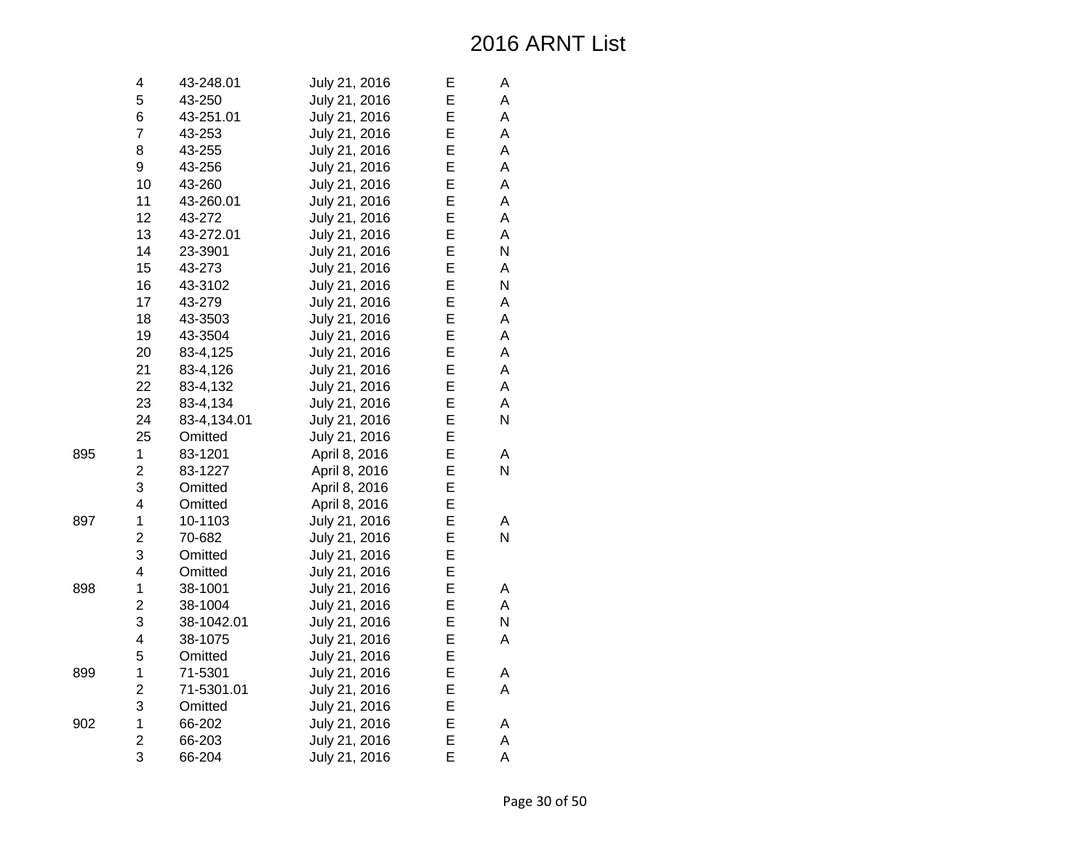Page 30 of 50

| 4                       | 43-248.01   | July 21, 2016 | Е | Α |
|-------------------------|-------------|---------------|---|---|
| 5                       | 43-250      | July 21, 2016 | E | A |
| 6                       | 43-251.01   | July 21, 2016 | E | A |
| $\overline{7}$          | 43-253      | July 21, 2016 | E | A |
| 8                       | 43-255      | July 21, 2016 | E | A |
| 9                       | 43-256      | July 21, 2016 | E | A |
| 10                      | 43-260      | July 21, 2016 | E | A |
| 11                      | 43-260.01   | July 21, 2016 | E | A |
| 12                      | 43-272      | July 21, 2016 | E | A |
| 13                      | 43-272.01   | July 21, 2016 | E | A |
| 14                      | 23-3901     | July 21, 2016 | E | N |
| 15                      | 43-273      | July 21, 2016 | E | A |
| 16                      | 43-3102     | July 21, 2016 | E | N |
| 17                      | 43-279      | July 21, 2016 | E | Α |
| 18                      | 43-3503     | July 21, 2016 | E | A |
| 19                      | 43-3504     | July 21, 2016 | E | A |
| 20                      | 83-4,125    | July 21, 2016 | E | A |
| 21                      | 83-4,126    | July 21, 2016 | E | A |
| 22                      | 83-4,132    | July 21, 2016 | E | A |
| 23                      | 83-4,134    | July 21, 2016 | E | A |
| 24                      | 83-4,134.01 | July 21, 2016 | E | N |
| 25                      | Omitted     | July 21, 2016 | E |   |
| $\mathbf 1$             | 83-1201     | April 8, 2016 | E | A |
| $\overline{\mathbf{c}}$ | 83-1227     | April 8, 2016 | E | N |
| 3                       | Omitted     | April 8, 2016 | E |   |
| $\overline{\mathbf{4}}$ | Omitted     | April 8, 2016 | E |   |
| $\mathbf 1$             | 10-1103     | July 21, 2016 | E | Α |
| $\overline{c}$          | 70-682      | July 21, 2016 | E | N |
| 3                       | Omitted     | July 21, 2016 | E |   |
| $\overline{\mathbf{4}}$ | Omitted     | July 21, 2016 | E |   |
| $\mathbf 1$             | 38-1001     | July 21, 2016 | E | A |
| $\overline{c}$          | 38-1004     | July 21, 2016 | E | A |
| 3                       | 38-1042.01  | July 21, 2016 | E | N |
| $\overline{\mathbf{4}}$ | 38-1075     | July 21, 2016 | E | A |
| 5                       | Omitted     | July 21, 2016 | E |   |
| $\mathbf 1$             | 71-5301     | July 21, 2016 | E | A |
| $\overline{c}$          | 71-5301.01  | July 21, 2016 | E | A |
| 3                       | Omitted     | July 21, 2016 | E |   |
| $\mathbf 1$             | 66-202      | July 21, 2016 | E | Α |
| $\overline{c}$          | 66-203      | July 21, 2016 | E | A |
| 3                       | 66-204      | July 21, 2016 | E | A |

897

898

899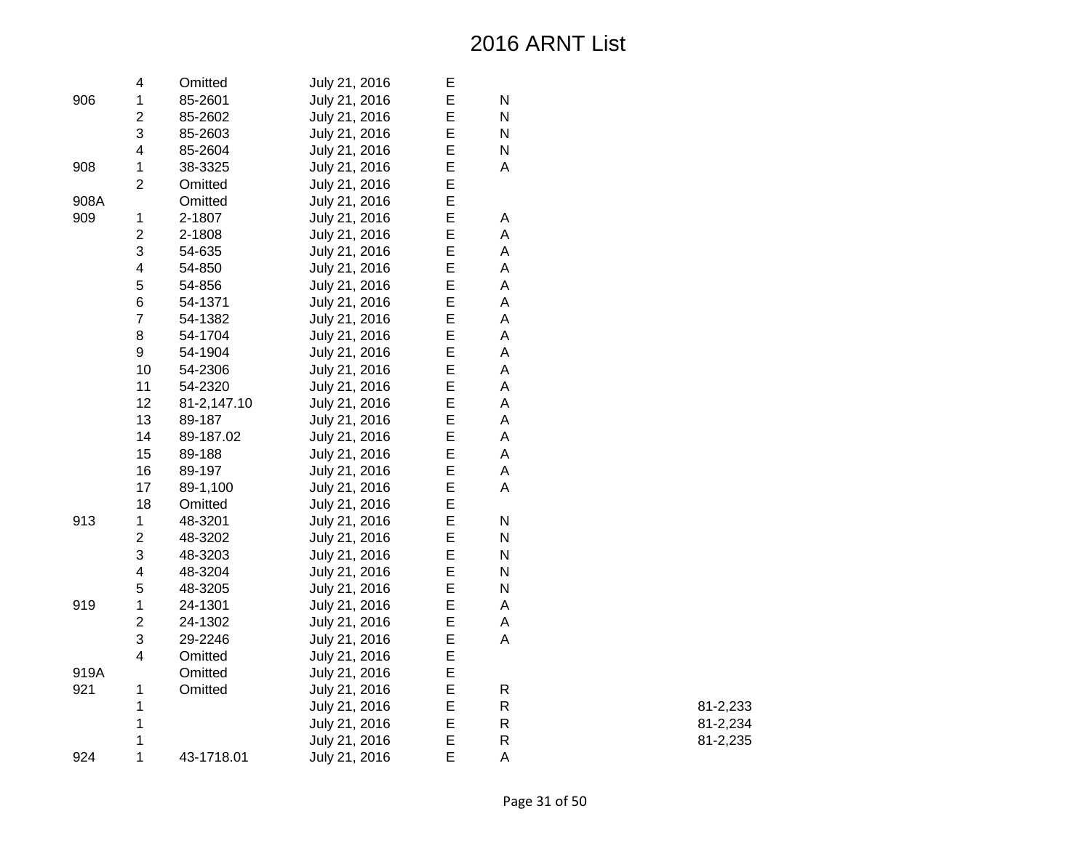|      | 4                       | Omitted     | July 21, 2016 | Е |             |
|------|-------------------------|-------------|---------------|---|-------------|
| 906  | $\mathbf{1}$            | 85-2601     | July 21, 2016 | E | ${\sf N}$   |
|      | $\overline{\mathbf{c}}$ | 85-2602     | July 21, 2016 | E | N           |
|      | 3                       | 85-2603     | July 21, 2016 | E | ${\sf N}$   |
|      | 4                       | 85-2604     | July 21, 2016 | E | ${\sf N}$   |
| 908  | 1                       | 38-3325     | July 21, 2016 | E | A           |
|      | $\overline{2}$          | Omitted     | July 21, 2016 | E |             |
| 908A |                         | Omitted     | July 21, 2016 | E |             |
| 909  | $\mathbf{1}$            | 2-1807      | July 21, 2016 | E | A           |
|      | $\overline{c}$          | 2-1808      | July 21, 2016 | E | A           |
|      | 3                       | 54-635      | July 21, 2016 | E | A           |
|      | $\overline{\mathbf{4}}$ | 54-850      | July 21, 2016 | E | A           |
|      | 5                       | 54-856      | July 21, 2016 | E | A           |
|      | 6                       | 54-1371     | July 21, 2016 | E | A           |
|      | $\overline{7}$          | 54-1382     | July 21, 2016 | E | $\sf A$     |
|      | 8                       | 54-1704     | July 21, 2016 | E | A           |
|      | 9                       | 54-1904     | July 21, 2016 | E | А           |
|      | 10                      | 54-2306     | July 21, 2016 | E | A           |
|      | 11                      | 54-2320     | July 21, 2016 | E | A           |
|      | 12                      | 81-2,147.10 | July 21, 2016 | E | A           |
|      | 13                      | 89-187      | July 21, 2016 | E | A           |
|      | 14                      | 89-187.02   | July 21, 2016 | E | $\mathsf A$ |
|      | 15                      | 89-188      | July 21, 2016 | E | $\mathsf A$ |
|      | 16                      | 89-197      | July 21, 2016 | E | A           |
|      | 17                      | 89-1,100    | July 21, 2016 | E | A           |
|      | 18                      | Omitted     | July 21, 2016 | E |             |
| 913  | 1                       | 48-3201     | July 21, 2016 | E | ${\sf N}$   |
|      | $\overline{\mathbf{c}}$ | 48-3202     | July 21, 2016 | E | ${\sf N}$   |
|      | 3                       | 48-3203     | July 21, 2016 | E | ${\sf N}$   |
|      | 4                       | 48-3204     | July 21, 2016 | E | ${\sf N}$   |
|      | 5                       | 48-3205     | July 21, 2016 | E | ${\sf N}$   |
| 919  | 1                       | 24-1301     | July 21, 2016 | E | A           |
|      | $\overline{\mathbf{c}}$ | 24-1302     | July 21, 2016 | E | Α           |
|      | 3                       | 29-2246     | July 21, 2016 | E | A           |
|      | 4                       | Omitted     | July 21, 2016 | E |             |
| 919A |                         | Omitted     | July 21, 2016 | E |             |
| 921  | $\mathbf 1$             | Omitted     | July 21, 2016 | E | $\mathsf R$ |
|      | 1                       |             | July 21, 2016 | E | ${\sf R}$   |
|      | 1                       |             | July 21, 2016 | E | ${\sf R}$   |
|      | 1                       |             | July 21, 2016 | E | ${\sf R}$   |
| 924  | 1                       | 43-1718.01  | July 21, 2016 | E | A           |
|      |                         |             |               |   |             |

R 81-2,233

R 81-2,234

R 81-2,235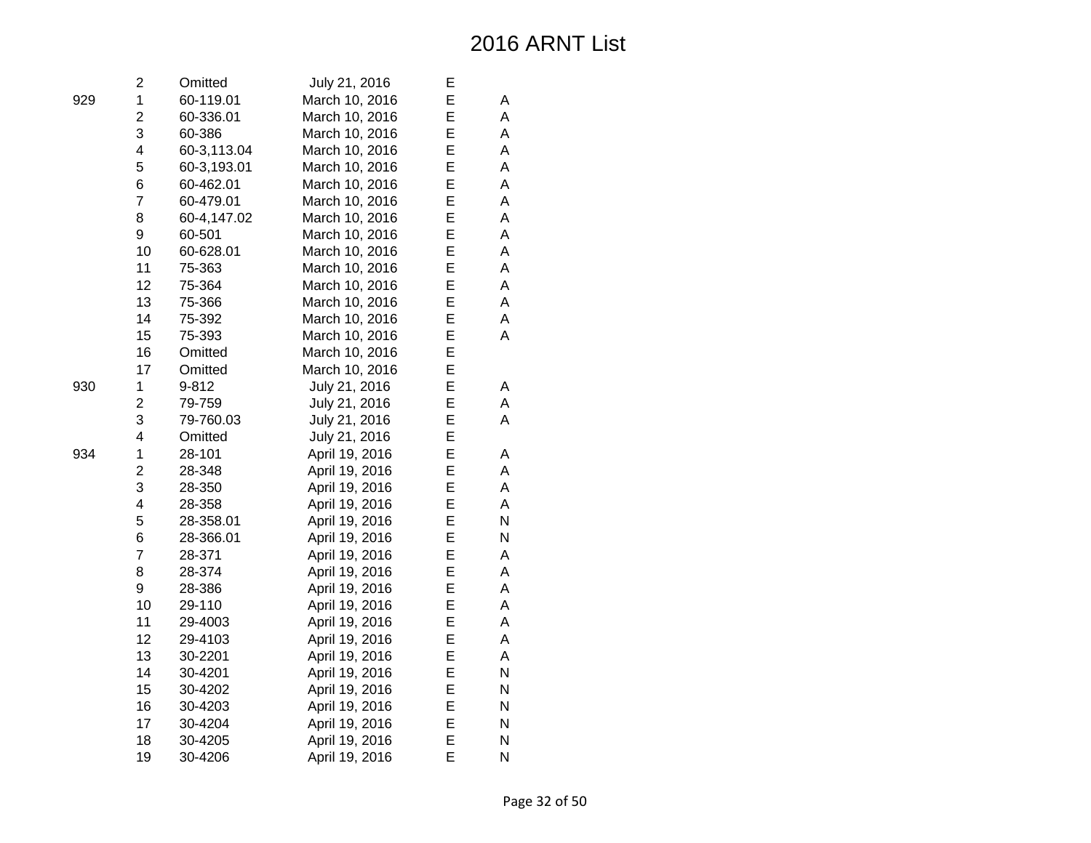| 2              | Omitted     | July 21, 2016  | Е |   |
|----------------|-------------|----------------|---|---|
| 1              | 60-119.01   | March 10, 2016 | E | А |
| $\overline{2}$ | 60-336.01   | March 10, 2016 | E | A |
| 3              | 60-386      | March 10, 2016 | E | A |
| 4              | 60-3,113.04 | March 10, 2016 | E | А |
| 5              | 60-3,193.01 | March 10, 2016 | E | A |
| 6              | 60-462.01   | March 10, 2016 | E | A |
| $\overline{7}$ | 60-479.01   | March 10, 2016 | E | A |
| 8              | 60-4,147.02 | March 10, 2016 | E | A |
| 9              | 60-501      | March 10, 2016 | E | A |
| 10             | 60-628.01   | March 10, 2016 | E | A |
| 11             | 75-363      | March 10, 2016 | E | A |
| 12             | 75-364      | March 10, 2016 | E | A |
| 13             | 75-366      | March 10, 2016 | E | A |
| 14             | 75-392      | March 10, 2016 | E | A |
| 15             | 75-393      | March 10, 2016 | E | A |
| 16             | Omitted     | March 10, 2016 | E |   |
| 17             | Omitted     | March 10, 2016 | E |   |
| 1              | 9-812       | July 21, 2016  | E | Α |
| $\overline{2}$ | 79-759      | July 21, 2016  | E | A |
| 3              | 79-760.03   | July 21, 2016  | E | A |
| 4              | Omitted     | July 21, 2016  | E |   |
| $\mathbf 1$    | 28-101      | April 19, 2016 | E | А |
| $\overline{2}$ | 28-348      | April 19, 2016 | E | A |
| 3              | 28-350      | April 19, 2016 | E | A |
| 4              | 28-358      | April 19, 2016 | E | A |
| 5              | 28-358.01   | April 19, 2016 | E | N |
| 6              | 28-366.01   | April 19, 2016 | E | N |
| $\overline{7}$ | 28-371      | April 19, 2016 | E | А |
| 8              | 28-374      | April 19, 2016 | E | A |
| 9              | 28-386      | April 19, 2016 | E | A |
| 10             | 29-110      | April 19, 2016 | Е | A |
| 11             | 29-4003     | April 19, 2016 | E | A |
| 12             | 29-4103     | April 19, 2016 | E | A |
| 13             | 30-2201     | April 19, 2016 | E | A |
| 14             | 30-4201     | April 19, 2016 | E | N |
| 15             | 30-4202     | April 19, 2016 | E | N |
| 16             | 30-4203     | April 19, 2016 | E | N |
| 17             | 30-4204     | April 19, 2016 | E | N |
| 18             | 30-4205     | April 19, 2016 | E | N |
| 19             | 30-4206     | April 19, 2016 | E | N |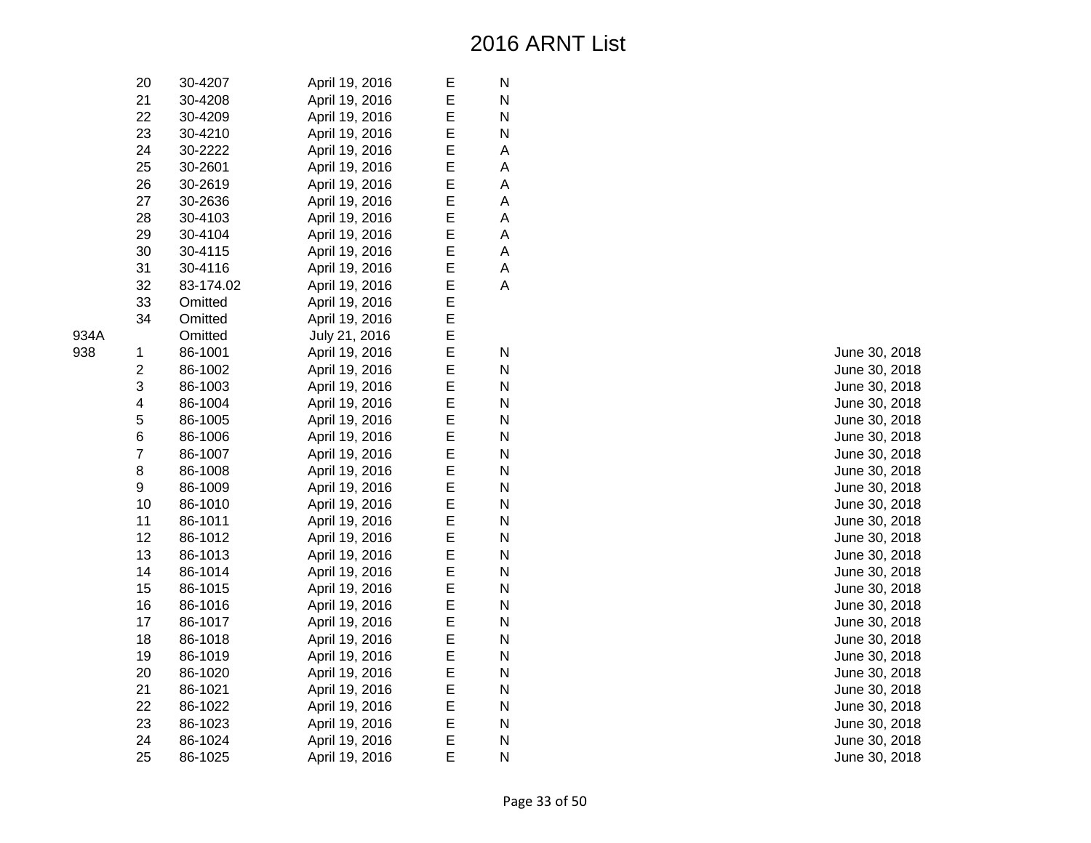|      | 20             | 30-4207   | April 19, 2016 | Е | N |  |
|------|----------------|-----------|----------------|---|---|--|
|      | 21             | 30-4208   | April 19, 2016 | E | N |  |
|      | 22             | 30-4209   | April 19, 2016 | E | N |  |
|      | 23             | 30-4210   | April 19, 2016 | E | N |  |
|      | 24             | 30-2222   | April 19, 2016 | E | A |  |
|      | 25             | 30-2601   | April 19, 2016 | E | A |  |
|      | 26             | 30-2619   | April 19, 2016 | E | A |  |
|      | 27             | 30-2636   | April 19, 2016 | E | A |  |
|      | 28             | 30-4103   | April 19, 2016 | E | A |  |
|      | 29             | 30-4104   | April 19, 2016 | E | А |  |
|      | 30             | 30-4115   | April 19, 2016 | E | A |  |
|      | 31             | 30-4116   | April 19, 2016 | E | А |  |
|      | 32             | 83-174.02 | April 19, 2016 | E | А |  |
|      | 33             | Omitted   | April 19, 2016 | E |   |  |
|      | 34             | Omitted   | April 19, 2016 | E |   |  |
| 934A |                | Omitted   | July 21, 2016  | E |   |  |
| 938  | 1              | 86-1001   | April 19, 2016 | E | N |  |
|      | $\overline{2}$ | 86-1002   | April 19, 2016 | E | N |  |
|      | 3              | 86-1003   | April 19, 2016 | E | N |  |
|      | 4              | 86-1004   | April 19, 2016 | E | N |  |
|      | 5              | 86-1005   | April 19, 2016 | E | N |  |
|      | 6              | 86-1006   | April 19, 2016 | E | N |  |
|      | $\overline{7}$ | 86-1007   | April 19, 2016 | E | N |  |
|      | 8              | 86-1008   | April 19, 2016 | E | N |  |
|      | 9              | 86-1009   | April 19, 2016 | E | N |  |
|      | 10             | 86-1010   | April 19, 2016 | E | N |  |
|      | 11             | 86-1011   | April 19, 2016 | E | N |  |
|      | 12             | 86-1012   | April 19, 2016 | E | N |  |
|      | 13             | 86-1013   | April 19, 2016 | E | N |  |
|      | 14             | 86-1014   | April 19, 2016 | E | N |  |
|      | 15             | 86-1015   | April 19, 2016 | E | N |  |
|      | 16             | 86-1016   | April 19, 2016 | E | N |  |
|      | 17             | 86-1017   | April 19, 2016 | E | N |  |
|      | 18             | 86-1018   | April 19, 2016 | E | N |  |
|      | 19             | 86-1019   | April 19, 2016 | E | N |  |
|      | 20             | 86-1020   | April 19, 2016 | E | N |  |
|      | 21             | 86-1021   | April 19, 2016 | E | N |  |
|      | 22             | 86-1022   | April 19, 2016 | E | N |  |
|      | 23             | 86-1023   | April 19, 2016 | E | N |  |
|      | 24             | 86-1024   | April 19, 2016 | E | N |  |
|      | 25             | 86-1025   | April 19, 2016 | E | N |  |

June 30, 2018 June 30, 2018 June 30, 2018 June 30, 2018 June 30, 2018 June 30, 2018 June 30, 2018 June 30, 2018 June 30, 2018 June 30, 2018 June 30, 2018 June 30, 2018 June 30, 2018 June 30, 2018 June 30, 2018 June 30, 2018 June 30, 2018 June 30, 2018 June 30, 2018 June 30, 2018 June 30, 2018 June 30, 2018 June 30, 2018 June 30, 2018 June 30, 2018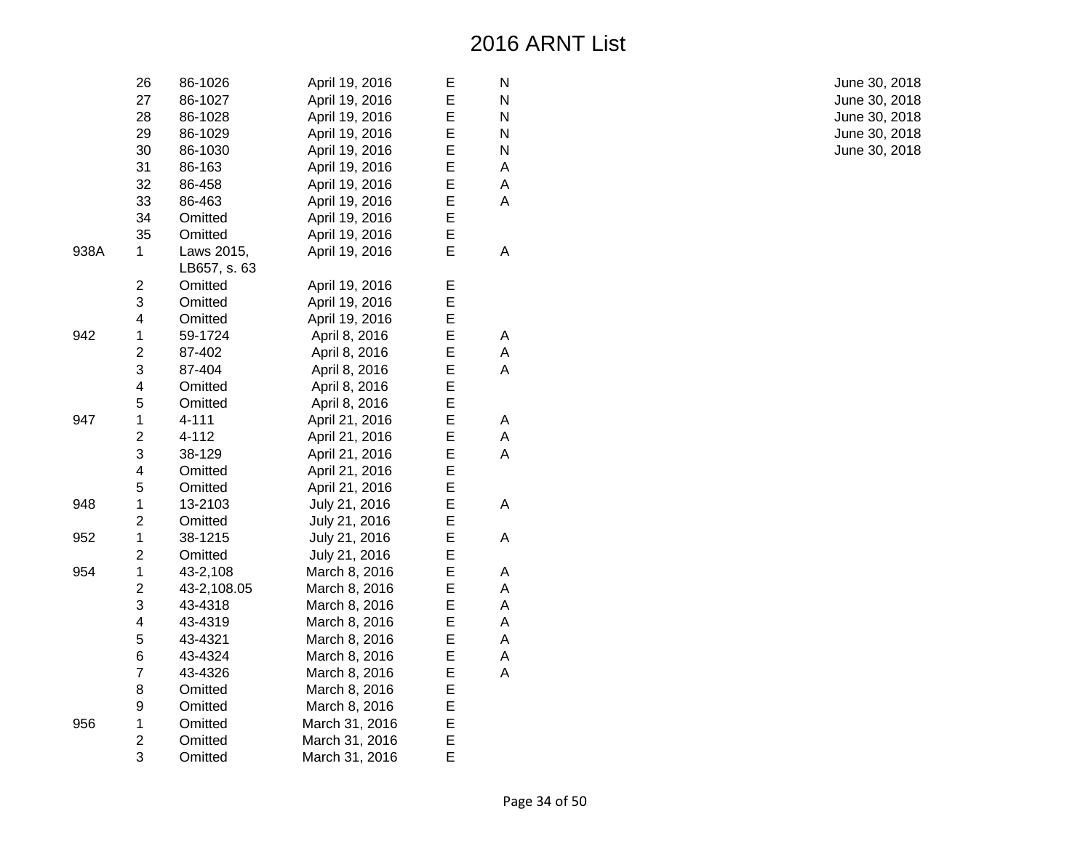|      | 26                      | 86-1026                    | April 19, 2016 | E | N |
|------|-------------------------|----------------------------|----------------|---|---|
|      | 27                      | 86-1027                    | April 19, 2016 | E | N |
|      | 28                      | 86-1028                    | April 19, 2016 | Е | N |
|      | 29                      | 86-1029                    | April 19, 2016 | E | N |
|      | 30                      | 86-1030                    | April 19, 2016 | E | N |
|      | 31                      | 86-163                     | April 19, 2016 | E | A |
|      | 32                      | 86-458                     | April 19, 2016 | E | A |
|      | 33                      | 86-463                     | April 19, 2016 | E | A |
|      | 34                      | Omitted                    | April 19, 2016 | E |   |
|      | 35                      | Omitted                    | April 19, 2016 | E |   |
| 938A | 1                       | Laws 2015,<br>LB657, s. 63 | April 19, 2016 | E | A |
|      | 2                       | Omitted                    | April 19, 2016 | Е |   |
|      | 3                       | Omitted                    | April 19, 2016 | E |   |
|      | 4                       | Omitted                    | April 19, 2016 | E |   |
| 942  | 1                       | 59-1724                    | April 8, 2016  | E | Α |
|      | $\overline{\mathbf{c}}$ | 87-402                     | April 8, 2016  | E | A |
|      | 3                       | 87-404                     | April 8, 2016  | E | A |
|      | 4                       | Omitted                    | April 8, 2016  | E |   |
|      | 5                       | Omitted                    | April 8, 2016  | E |   |
| 947  | $\mathbf 1$             | 4-111                      | April 21, 2016 | Е | Α |
|      | $\overline{\mathbf{c}}$ | 4-112                      | April 21, 2016 | E | Α |
|      | 3                       | 38-129                     | April 21, 2016 | E | A |
|      | $\overline{\mathbf{4}}$ | Omitted                    | April 21, 2016 | E |   |
|      | 5                       | Omitted                    | April 21, 2016 | E |   |
| 948  | $\mathbf 1$             | 13-2103                    | July 21, 2016  | E | A |
|      | $\overline{c}$          | Omitted                    | July 21, 2016  | E |   |
| 952  | $\mathbf 1$             | 38-1215                    | July 21, 2016  | E | A |
|      | $\overline{2}$          | Omitted                    | July 21, 2016  | E |   |
| 954  | $\mathbf 1$             | 43-2,108                   | March 8, 2016  | E | Α |
|      | $\overline{2}$          | 43-2,108.05                | March 8, 2016  | E | А |
|      | 3                       | 43-4318                    | March 8, 2016  | Е | Α |
|      | 4                       | 43-4319                    | March 8, 2016  | Е | Α |
|      | 5                       | 43-4321                    | March 8, 2016  | E | Α |
|      | 6                       | 43-4324                    | March 8, 2016  | E | Α |
|      | $\overline{7}$          | 43-4326                    | March 8, 2016  | E | A |
|      | 8                       | Omitted                    | March 8, 2016  | E |   |
|      | 9                       | Omitted                    | March 8, 2016  | E |   |
| 956  | $\mathbf 1$             | Omitted                    | March 31, 2016 | E |   |
|      | $\overline{c}$          | Omitted                    | March 31, 2016 | E |   |
|      | 3                       | Omitted                    | March 31, 2016 | E |   |

June 30, 2018 June 30, 2018 June 30, 2018 June 30, 2018 June 30, 2018

Page 34 of 50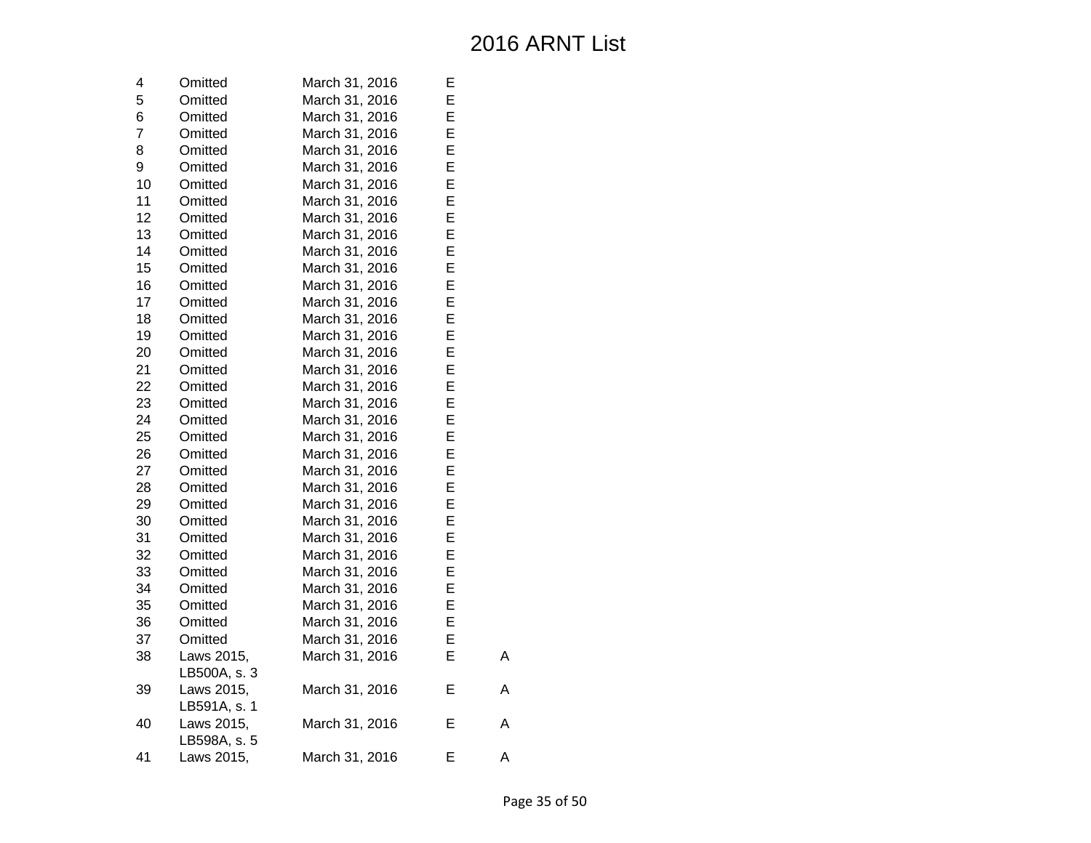| 4              | Omitted      | March 31, 2016 | E |   |
|----------------|--------------|----------------|---|---|
| 5              | Omitted      | March 31, 2016 | E |   |
| 6              | Omitted      | March 31, 2016 | E |   |
| $\overline{7}$ | Omitted      | March 31, 2016 | E |   |
| 8              | Omitted      | March 31, 2016 | E |   |
| 9              | Omitted      | March 31, 2016 | E |   |
| 10             | Omitted      | March 31, 2016 | E |   |
| 11             | Omitted      | March 31, 2016 | E |   |
| 12             | Omitted      | March 31, 2016 | E |   |
| 13             | Omitted      | March 31, 2016 | E |   |
| 14             | Omitted      | March 31, 2016 | E |   |
| 15             | Omitted      | March 31, 2016 | E |   |
| 16             | Omitted      | March 31, 2016 | E |   |
| 17             | Omitted      | March 31, 2016 | E |   |
| 18             | Omitted      | March 31, 2016 | E |   |
| 19             | Omitted      | March 31, 2016 | E |   |
| 20             | Omitted      | March 31, 2016 | E |   |
| 21             | Omitted      | March 31, 2016 | E |   |
| 22             | Omitted      | March 31, 2016 | E |   |
| 23             | Omitted      | March 31, 2016 | E |   |
| 24             | Omitted      | March 31, 2016 | E |   |
| 25             | Omitted      | March 31, 2016 | E |   |
| 26             | Omitted      | March 31, 2016 | E |   |
| 27             | Omitted      | March 31, 2016 | E |   |
| 28             | Omitted      | March 31, 2016 | E |   |
| 29             | Omitted      | March 31, 2016 | E |   |
| 30             | Omitted      | March 31, 2016 | E |   |
| 31             | Omitted      | March 31, 2016 | E |   |
| 32             | Omitted      | March 31, 2016 | E |   |
| 33             | Omitted      | March 31, 2016 | E |   |
| 34             | Omitted      | March 31, 2016 | E |   |
| 35             | Omitted      | March 31, 2016 | E |   |
| 36             | Omitted      | March 31, 2016 | E |   |
| 37             | Omitted      | March 31, 2016 | E |   |
| 38             | Laws 2015,   | March 31, 2016 | E | Α |
|                | LB500A, s. 3 |                |   |   |
| 39             | Laws 2015,   | March 31, 2016 | E | Α |
|                | LB591A, s. 1 |                |   |   |
| 40             | Laws 2015,   | March 31, 2016 | Е | Α |
|                | LB598A, s. 5 |                |   |   |
| 41             | Laws 2015,   | March 31, 2016 | E | A |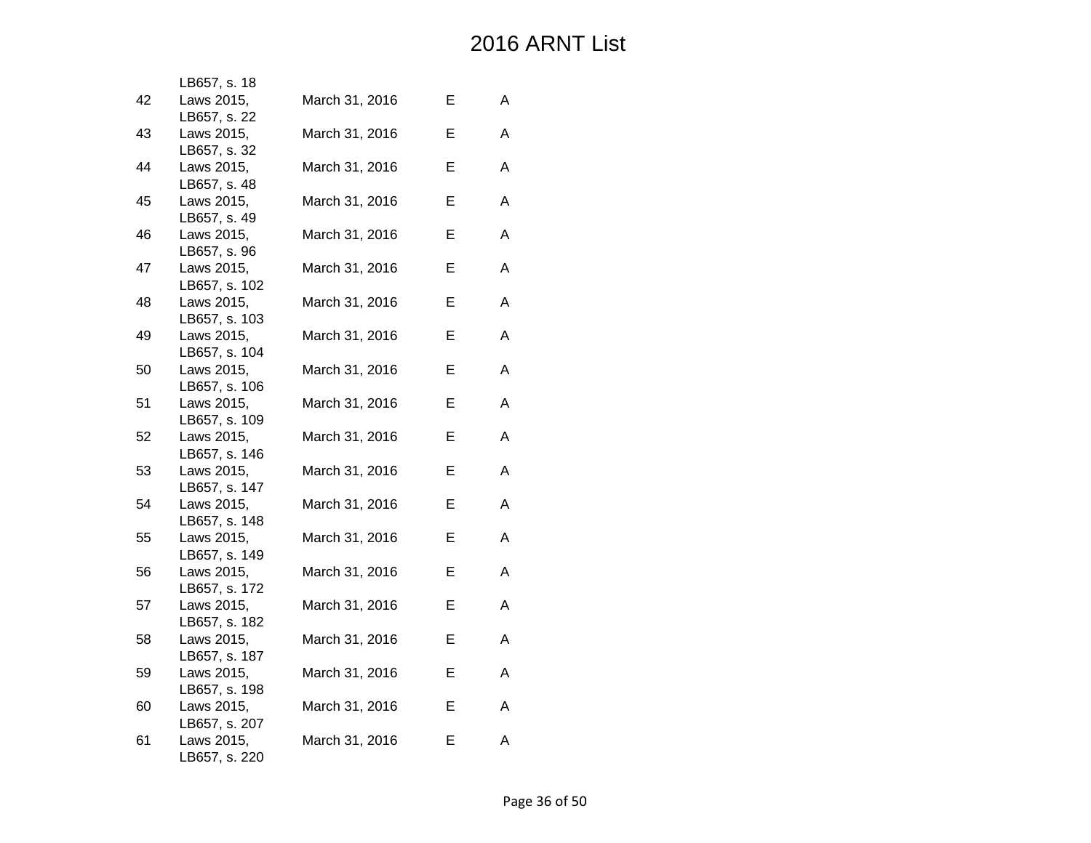|    | LB657, s. 18                |                |   |   |
|----|-----------------------------|----------------|---|---|
| 42 | Laws 2015,                  | March 31, 2016 | Е | A |
|    | LB657, s. 22                |                |   |   |
| 43 | Laws 2015,                  | March 31, 2016 | Е | A |
|    | LB657, s. 32                |                |   |   |
| 44 | Laws 2015,<br>LB657, s. 48  | March 31, 2016 | Е | A |
| 45 | Laws 2015,                  | March 31, 2016 | Е | A |
|    | LB657, s. 49                |                |   |   |
| 46 | Laws 2015,                  | March 31, 2016 | Е | A |
|    | LB657, s. 96                |                |   |   |
| 47 | Laws 2015,                  | March 31, 2016 | Е | A |
|    | LB657, s. 102               |                |   |   |
| 48 | Laws 2015,                  | March 31, 2016 | Е | A |
|    | LB657, s. 103               |                |   |   |
| 49 | Laws 2015,                  | March 31, 2016 | Е | А |
|    | LB657, s. 104               |                |   |   |
| 50 | Laws 2015,                  | March 31, 2016 | Е | A |
| 51 | LB657, s. 106<br>Laws 2015, |                | Е | Α |
|    | LB657, s. 109               | March 31, 2016 |   |   |
| 52 | Laws 2015,                  | March 31, 2016 | Е | A |
|    | LB657, s. 146               |                |   |   |
| 53 | Laws 2015,                  | March 31, 2016 | Е | A |
|    | LB657, s. 147               |                |   |   |
| 54 | Laws 2015,                  | March 31, 2016 | Е | A |
|    | LB657, s. 148               |                |   |   |
| 55 | Laws 2015,                  | March 31, 2016 | Е | A |
|    | LB657, s. 149               |                |   |   |
| 56 | Laws 2015,                  | March 31, 2016 | Е | A |
|    | LB657, s. 172               |                |   | A |
| 57 | Laws 2015,<br>LB657, s. 182 | March 31, 2016 | Е |   |
| 58 | Laws 2015,                  | March 31, 2016 | Е | Α |
|    | LB657, s. 187               |                |   |   |
| 59 | Laws 2015,                  | March 31, 2016 | Е | A |
|    | LB657, s. 198               |                |   |   |
| 60 | Laws 2015,                  | March 31, 2016 | Е | A |
|    | LB657, s. 207               |                |   |   |
| 61 | Laws 2015,                  | March 31, 2016 | Е | A |
|    | LB657, s. 220               |                |   |   |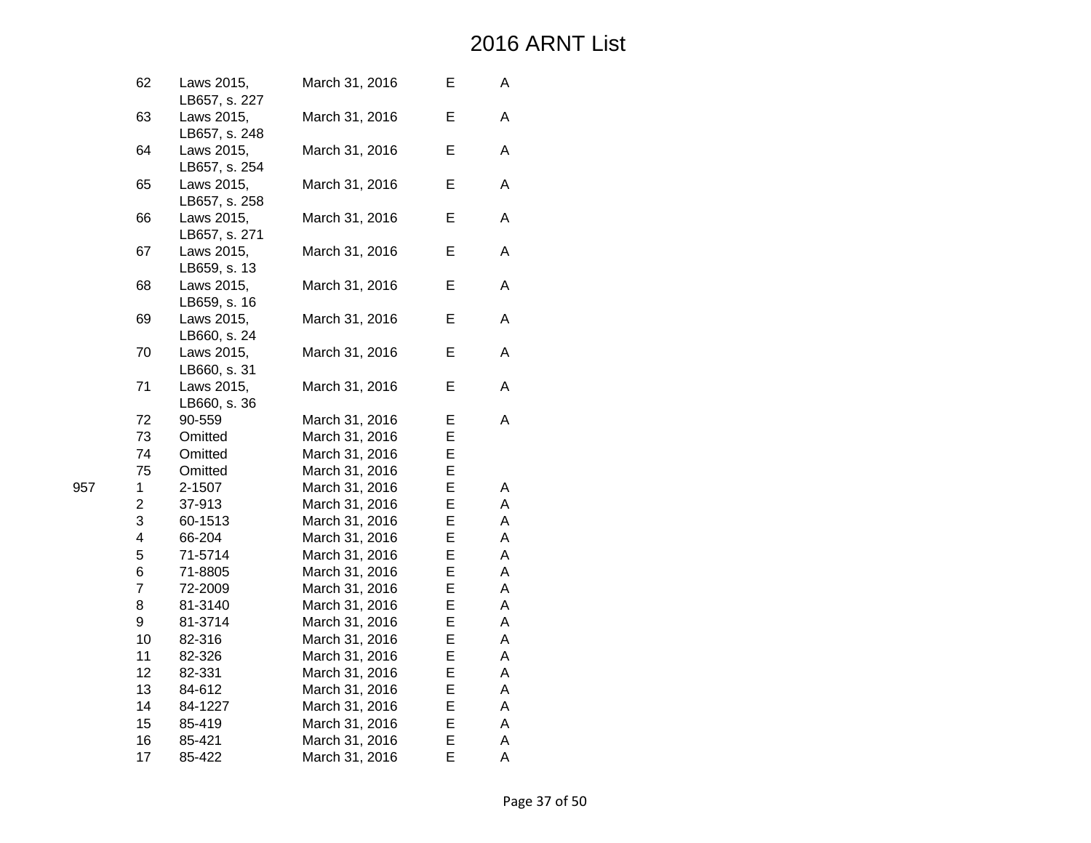|     | 62                      | Laws 2015,<br>LB657, s. 227 | March 31, 2016 | Е | Α |
|-----|-------------------------|-----------------------------|----------------|---|---|
|     | 63                      | Laws 2015,<br>LB657, s. 248 | March 31, 2016 | E | Α |
|     | 64                      | Laws 2015,<br>LB657, s. 254 | March 31, 2016 | Е | A |
|     | 65                      | Laws 2015,<br>LB657, s. 258 | March 31, 2016 | E | A |
|     | 66                      | Laws 2015,<br>LB657, s. 271 | March 31, 2016 | E | A |
|     | 67                      | Laws 2015,<br>LB659, s. 13  | March 31, 2016 | Е | A |
|     | 68                      | Laws 2015,<br>LB659, s. 16  | March 31, 2016 | E | A |
|     | 69                      | Laws 2015,<br>LB660, s. 24  | March 31, 2016 | E | A |
|     | 70                      | Laws 2015,<br>LB660, s. 31  | March 31, 2016 | Е | Α |
|     | 71                      | Laws 2015,<br>LB660, s. 36  | March 31, 2016 | E | A |
|     | 72                      | 90-559                      | March 31, 2016 | Е | A |
|     | 73                      | Omitted                     | March 31, 2016 | E |   |
|     | 74                      | Omitted                     | March 31, 2016 | E |   |
|     | 75                      | Omitted                     | March 31, 2016 | E |   |
| 957 | $\mathbf{1}$            | 2-1507                      | March 31, 2016 | E | Α |
|     | $\overline{c}$          | 37-913                      | March 31, 2016 | Е | Α |
|     | 3                       | 60-1513                     | March 31, 2016 | Е | А |
|     | $\overline{\mathbf{4}}$ | 66-204                      | March 31, 2016 | E | А |
|     | 5                       | 71-5714                     | March 31, 2016 | E | Α |
|     | 6                       | 71-8805                     | March 31, 2016 | E | Α |
|     | $\overline{7}$          | 72-2009                     | March 31, 2016 | E | Α |
|     | 8                       | 81-3140                     | March 31, 2016 | E | Α |
|     | 9                       | 81-3714                     | March 31, 2016 | E | Α |
|     | 10                      | 82-316                      | March 31, 2016 | E | Α |
|     | 11                      | 82-326                      | March 31, 2016 | E | Α |
|     | 12                      | 82-331                      | March 31, 2016 | E | Α |
|     | 13                      | 84-612                      | March 31, 2016 | E | Α |
|     | 14                      | 84-1227                     | March 31, 2016 | E | А |
|     | 15                      | 85-419                      | March 31, 2016 | E | А |
|     | 16                      | 85-421                      | March 31, 2016 | E | Α |
|     | 17                      | 85-422                      | March 31, 2016 | E | A |
|     |                         |                             |                |   |   |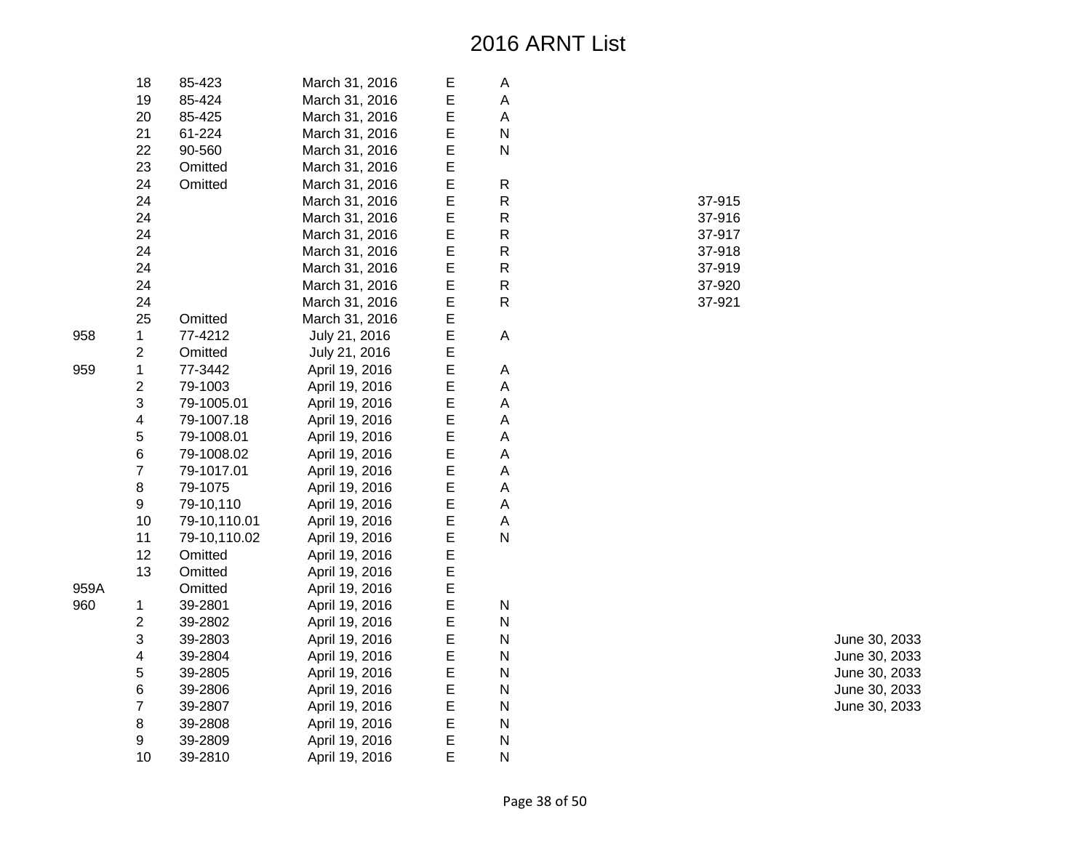| 18                      | 85-423       | March 31, 2016 | Ε | А |  |
|-------------------------|--------------|----------------|---|---|--|
| 19                      | 85-424       | March 31, 2016 | E | A |  |
| 20                      | 85-425       | March 31, 2016 | E | Α |  |
| 21                      | 61-224       | March 31, 2016 | E | N |  |
| 22                      | 90-560       | March 31, 2016 | E | N |  |
| 23                      | Omitted      | March 31, 2016 | E |   |  |
| 24                      | Omitted      | March 31, 2016 | E | R |  |
| 24                      |              | March 31, 2016 | E | R |  |
| 24                      |              | March 31, 2016 | E | R |  |
| 24                      |              | March 31, 2016 | E | R |  |
| 24                      |              | March 31, 2016 | E | R |  |
| 24                      |              | March 31, 2016 | E | R |  |
| 24                      |              | March 31, 2016 | E | R |  |
| 24                      |              | March 31, 2016 | E | R |  |
| 25                      | Omitted      | March 31, 2016 | E |   |  |
| 1                       | 77-4212      | July 21, 2016  | E | А |  |
| $\overline{c}$          | Omitted      | July 21, 2016  | E |   |  |
| $\mathbf 1$             | 77-3442      | April 19, 2016 | E | А |  |
| $\overline{c}$          | 79-1003      | April 19, 2016 | E | A |  |
| 3                       | 79-1005.01   | April 19, 2016 | E | Α |  |
| 4                       | 79-1007.18   | April 19, 2016 | E | А |  |
| 5                       | 79-1008.01   | April 19, 2016 | E | A |  |
| 6                       | 79-1008.02   | April 19, 2016 | E | A |  |
| 7                       | 79-1017.01   | April 19, 2016 | E | A |  |
| 8                       | 79-1075      | April 19, 2016 | E | A |  |
| 9                       | 79-10,110    | April 19, 2016 | E | A |  |
| 10                      | 79-10,110.01 | April 19, 2016 | E | A |  |
| 11                      | 79-10,110.02 | April 19, 2016 | E | N |  |
| 12                      | Omitted      | April 19, 2016 | E |   |  |
| 13                      | Omitted      | April 19, 2016 | E |   |  |
|                         | Omitted      | April 19, 2016 | E |   |  |
| 1                       | 39-2801      | April 19, 2016 | E | Ν |  |
| $\overline{c}$          | 39-2802      | April 19, 2016 | E | N |  |
| 3                       | 39-2803      | April 19, 2016 | E | N |  |
| $\overline{\mathbf{4}}$ | 39-2804      | April 19, 2016 | E | N |  |
| 5                       | 39-2805      | April 19, 2016 | E | N |  |
| 6                       | 39-2806      | April 19, 2016 | E | N |  |
| $\overline{7}$          | 39-2807      | April 19, 2016 | E | N |  |
| 8                       | 39-2808      | April 19, 2016 | E | N |  |
| 9                       | 39-2809      | April 19, 2016 | E | N |  |
| 10                      | 39-2810      | April 19, 2016 | E | N |  |

| . . |        |
|-----|--------|
| R   | 37-915 |
| R   | 37-916 |
| R   | 37-917 |
| R   | 37-918 |
| R   | 37-919 |
| R   | 37-920 |
| R   | 37-921 |

June 30, 2033 June 30, 2033 June 30, 2033 June 30, 2033 June 30, 2033

958

959

959A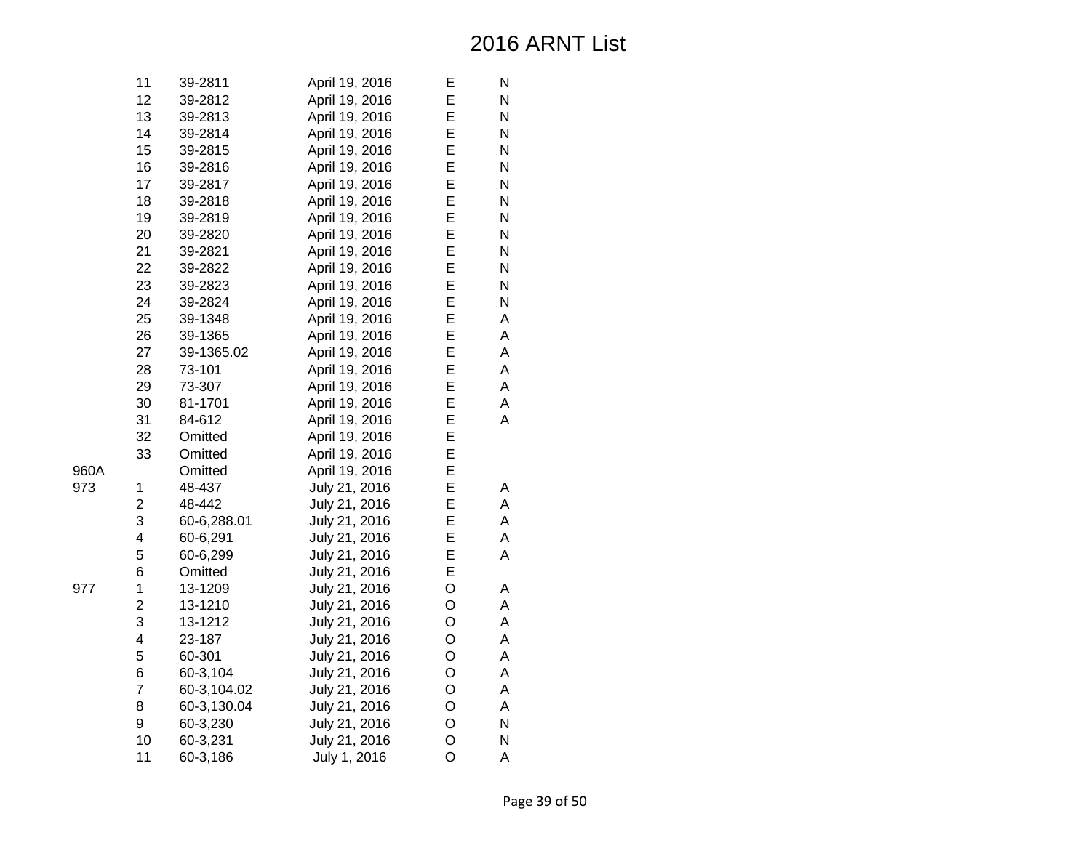| 11             | 39-2811     | April 19, 2016 | Е | N |
|----------------|-------------|----------------|---|---|
| 12             | 39-2812     | April 19, 2016 | E | N |
| 13             | 39-2813     | April 19, 2016 | E | N |
| 14             | 39-2814     | April 19, 2016 | E | N |
| 15             | 39-2815     | April 19, 2016 | E | N |
| 16             | 39-2816     | April 19, 2016 | E | N |
| 17             | 39-2817     | April 19, 2016 | E | N |
| 18             | 39-2818     | April 19, 2016 | E | N |
| 19             | 39-2819     | April 19, 2016 | E | N |
| 20             | 39-2820     | April 19, 2016 | E | N |
| 21             | 39-2821     | April 19, 2016 | E | N |
| 22             | 39-2822     | April 19, 2016 | E | N |
| 23             | 39-2823     | April 19, 2016 | E | N |
| 24             | 39-2824     | April 19, 2016 | E | N |
| 25             | 39-1348     | April 19, 2016 | E | Α |
| 26             | 39-1365     | April 19, 2016 | E | A |
| 27             | 39-1365.02  | April 19, 2016 | E | A |
| 28             | 73-101      | April 19, 2016 | E | A |
| 29             | 73-307      | April 19, 2016 | E | A |
| 30             | 81-1701     | April 19, 2016 | E | A |
| 31             | 84-612      | April 19, 2016 | E | Α |
| 32             | Omitted     | April 19, 2016 | E |   |
| 33             | Omitted     | April 19, 2016 | E |   |
|                | Omitted     | April 19, 2016 | E |   |
| $\mathbf{1}$   | 48-437      | July 21, 2016  | E | Α |
| $\overline{c}$ | 48-442      | July 21, 2016  | Е | Α |
| 3              | 60-6,288.01 | July 21, 2016  | E | A |
| 4              | 60-6,291    | July 21, 2016  | E | А |
| 5              | 60-6,299    | July 21, 2016  | E | A |
| 6              | Omitted     | July 21, 2016  | E |   |
| $\mathbf 1$    | 13-1209     | July 21, 2016  | O | А |
| $\overline{c}$ | 13-1210     | July 21, 2016  | O | A |
| 3              | 13-1212     | July 21, 2016  | O | A |
| 4              | 23-187      | July 21, 2016  | O | A |
| 5              | 60-301      | July 21, 2016  | O | A |
| 6              | 60-3,104    | July 21, 2016  | O | A |
| $\overline{7}$ | 60-3,104.02 | July 21, 2016  | O | A |
| 8              | 60-3,130.04 | July 21, 2016  | O | A |
| 9              | 60-3,230    | July 21, 2016  | O | N |
| 10             | 60-3,231    | July 21, 2016  | O | N |
| 11             | 60-3,186    | July 1, 2016   | O | A |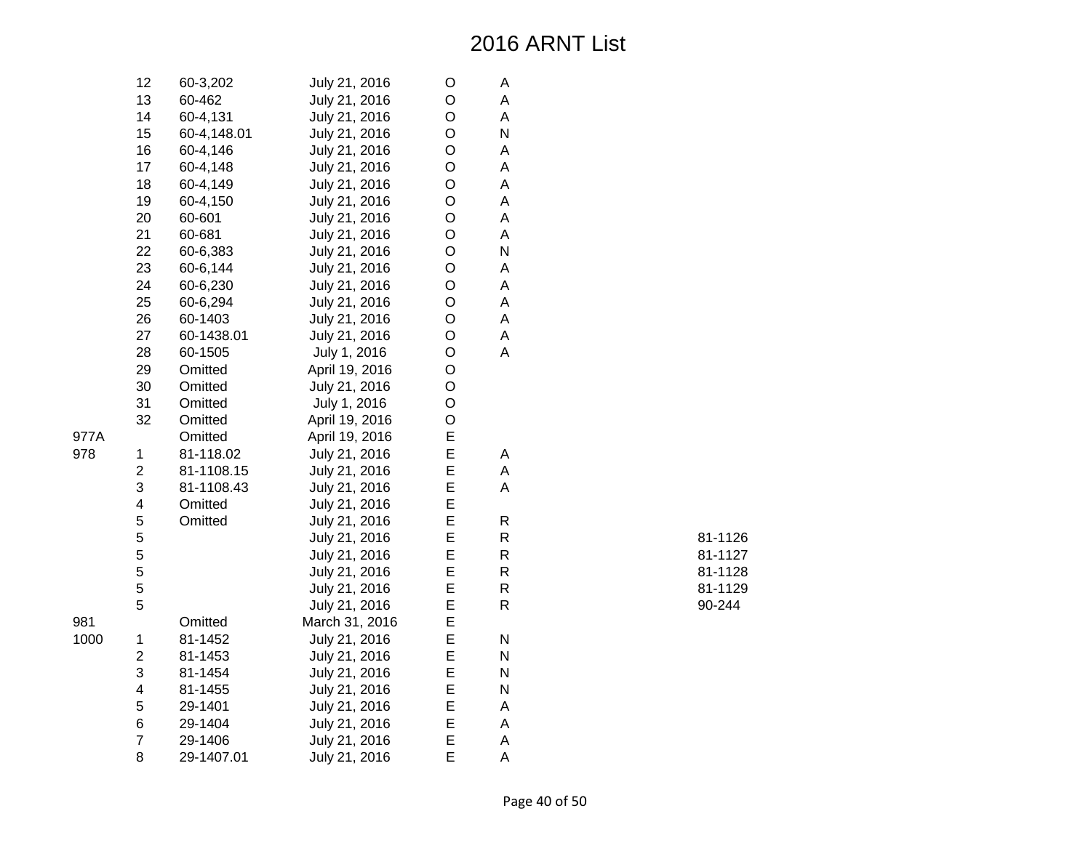|      | 12                      | 60-3,202    | July 21, 2016  | $\mathsf O$ | А            |         |
|------|-------------------------|-------------|----------------|-------------|--------------|---------|
|      | 13                      | 60-462      | July 21, 2016  | O           | А            |         |
|      | 14                      | 60-4,131    | July 21, 2016  | $\mathsf O$ | A            |         |
|      | 15                      | 60-4,148.01 | July 21, 2016  | O           | N            |         |
|      | 16                      | 60-4,146    | July 21, 2016  | $\circ$     | A            |         |
|      | 17                      | 60-4,148    | July 21, 2016  | O           | A            |         |
|      | 18                      | 60-4,149    | July 21, 2016  | O           | A            |         |
|      | 19                      | 60-4,150    | July 21, 2016  | $\mathsf O$ | A            |         |
|      | 20                      | 60-601      | July 21, 2016  | $\mathsf O$ | А            |         |
|      | 21                      | 60-681      | July 21, 2016  | $\mathsf O$ | A            |         |
|      | 22                      | 60-6,383    | July 21, 2016  | $\mathsf O$ | $\mathsf{N}$ |         |
|      | 23                      | 60-6,144    | July 21, 2016  | O           | A            |         |
|      | 24                      | 60-6,230    | July 21, 2016  | $\mathsf O$ | A            |         |
|      | 25                      | 60-6,294    | July 21, 2016  | $\mathsf O$ | A            |         |
|      | 26                      | 60-1403     | July 21, 2016  | $\circ$     | A            |         |
|      | 27                      | 60-1438.01  | July 21, 2016  | $\circ$     | А            |         |
|      | 28                      | 60-1505     | July 1, 2016   | $\mathsf O$ | A            |         |
|      | 29                      | Omitted     | April 19, 2016 | O           |              |         |
|      | 30                      | Omitted     | July 21, 2016  | $\mathsf O$ |              |         |
|      | 31                      | Omitted     | July 1, 2016   | $\circ$     |              |         |
|      | 32                      | Omitted     | April 19, 2016 | $\circ$     |              |         |
| 977A |                         | Omitted     | April 19, 2016 | E           |              |         |
| 978  | $\mathbf{1}$            | 81-118.02   | July 21, 2016  | E           | А            |         |
|      | $\overline{c}$          | 81-1108.15  | July 21, 2016  | E           | А            |         |
|      | 3                       | 81-1108.43  | July 21, 2016  | E           | $\mathsf A$  |         |
|      | $\overline{\mathbf{4}}$ | Omitted     | July 21, 2016  | E           |              |         |
|      | 5                       | Omitted     | July 21, 2016  | E           | ${\sf R}$    |         |
|      | 5                       |             | July 21, 2016  | E           | ${\sf R}$    | 81-1126 |
|      | 5                       |             | July 21, 2016  | E           | $\mathsf{R}$ | 81-1127 |
|      | 5                       |             | July 21, 2016  | E           | ${\sf R}$    | 81-1128 |
|      | 5                       |             | July 21, 2016  | E           | ${\sf R}$    | 81-1129 |
|      | 5                       |             | July 21, 2016  | E           | ${\sf R}$    | 90-244  |
| 981  |                         | Omitted     | March 31, 2016 | E           |              |         |
| 1000 | $\mathbf{1}$            | 81-1452     | July 21, 2016  | E           | ${\sf N}$    |         |
|      | $\overline{c}$          | 81-1453     | July 21, 2016  | E           | N            |         |
|      | 3                       | 81-1454     | July 21, 2016  | E           | N            |         |
|      | $\overline{\mathbf{4}}$ | 81-1455     | July 21, 2016  | E           | $\mathsf{N}$ |         |
|      | 5                       | 29-1401     | July 21, 2016  | E           | Α            |         |
|      | 6                       | 29-1404     | July 21, 2016  | E           | A            |         |
|      | $\overline{7}$          | 29-1406     | July 21, 2016  | E           | A            |         |
|      | 8                       | 29-1407.01  | July 21, 2016  | E           | A            |         |

| 81-1126 |
|---------|
| 81-1127 |
| 81-1128 |
| 81-1129 |
| 90-244  |

977A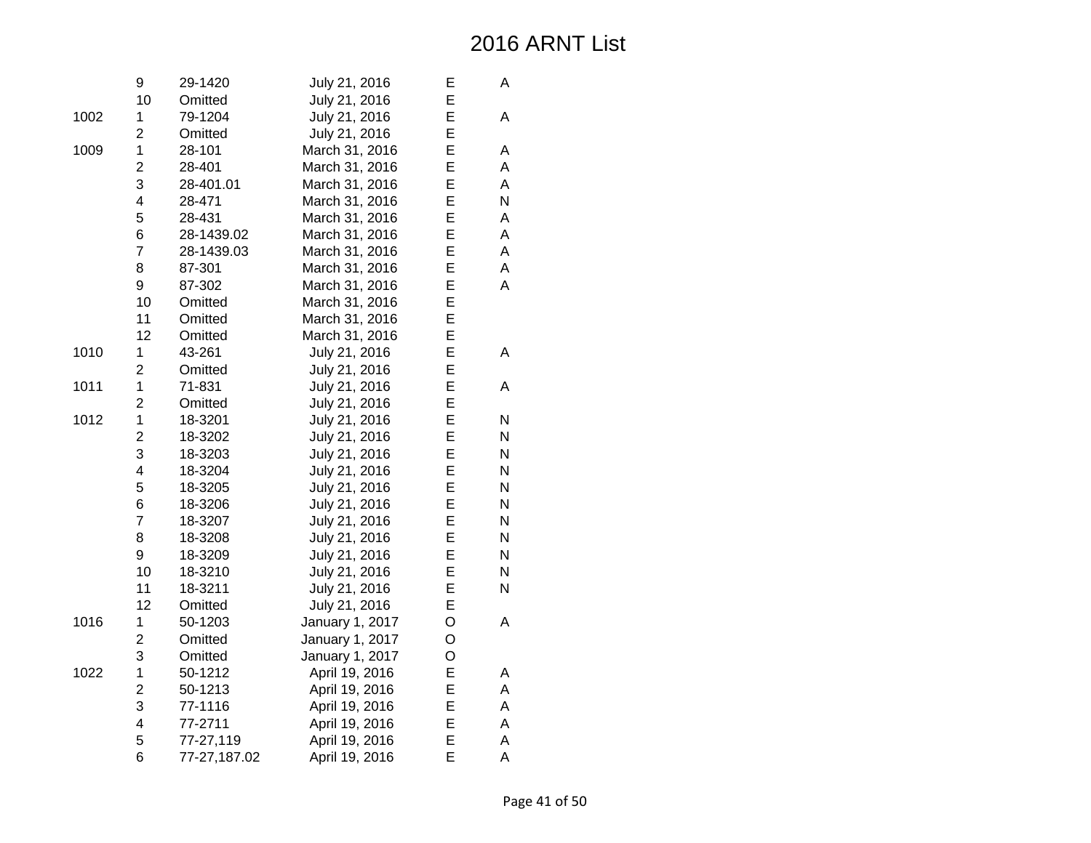|      | 9                       | 29-1420      | July 21, 2016   | E | A         |
|------|-------------------------|--------------|-----------------|---|-----------|
|      | 10                      | Omitted      | July 21, 2016   | E |           |
| 1002 | 1                       | 79-1204      | July 21, 2016   | E | A         |
|      | $\overline{2}$          | Omitted      | July 21, 2016   | E |           |
| 1009 | $\mathbf 1$             | 28-101       | March 31, 2016  | E | Α         |
|      | $\overline{2}$          | 28-401       | March 31, 2016  | E | Α         |
|      | 3                       | 28-401.01    | March 31, 2016  | E | A         |
|      | $\overline{\mathbf{4}}$ | 28-471       | March 31, 2016  | E | N         |
|      | 5                       | 28-431       | March 31, 2016  | E | Α         |
|      | 6                       | 28-1439.02   | March 31, 2016  | E | A         |
|      | $\overline{7}$          | 28-1439.03   | March 31, 2016  | E | A         |
|      | 8                       | 87-301       | March 31, 2016  | E | A         |
|      | 9                       | 87-302       | March 31, 2016  | E | A         |
|      | 10                      | Omitted      | March 31, 2016  | E |           |
|      | 11                      | Omitted      | March 31, 2016  | E |           |
|      | 12                      | Omitted      | March 31, 2016  | E |           |
| 1010 | 1                       | 43-261       | July 21, 2016   | E | A         |
|      | $\overline{2}$          | Omitted      | July 21, 2016   | E |           |
| 1011 | 1                       | 71-831       | July 21, 2016   | E | A         |
|      | $\overline{2}$          | Omitted      | July 21, 2016   | E |           |
| 1012 | $\mathbf 1$             | 18-3201      | July 21, 2016   | E | N         |
|      | $\overline{c}$          | 18-3202      | July 21, 2016   | E | N         |
|      | 3                       | 18-3203      | July 21, 2016   | E | N         |
|      | $\overline{\mathbf{4}}$ | 18-3204      | July 21, 2016   | E | ${\sf N}$ |
|      | 5                       | 18-3205      | July 21, 2016   | E | ${\sf N}$ |
|      | 6                       | 18-3206      | July 21, 2016   | E | N         |
|      | $\overline{7}$          | 18-3207      | July 21, 2016   | E | N         |
|      | 8                       | 18-3208      | July 21, 2016   | E | N         |
|      | 9                       | 18-3209      | July 21, 2016   | E | N         |
|      | 10                      | 18-3210      | July 21, 2016   | E | ${\sf N}$ |
|      | 11                      | 18-3211      | July 21, 2016   | E | N         |
|      | 12                      | Omitted      | July 21, 2016   | E |           |
| 1016 | 1                       | 50-1203      | January 1, 2017 | O | A         |
|      | $\overline{2}$          | Omitted      | January 1, 2017 | O |           |
|      | 3                       | Omitted      | January 1, 2017 | O |           |
| 1022 | $\mathbf 1$             | 50-1212      | April 19, 2016  | E | Α         |
|      | $\overline{c}$          | 50-1213      | April 19, 2016  | E | Α         |
|      | 3                       | 77-1116      | April 19, 2016  | E | A         |
|      | 4                       | 77-2711      | April 19, 2016  | E | Α         |
|      | 5                       | 77-27,119    | April 19, 2016  | E | A         |
|      | 6                       | 77-27,187.02 | April 19, 2016  | E | A         |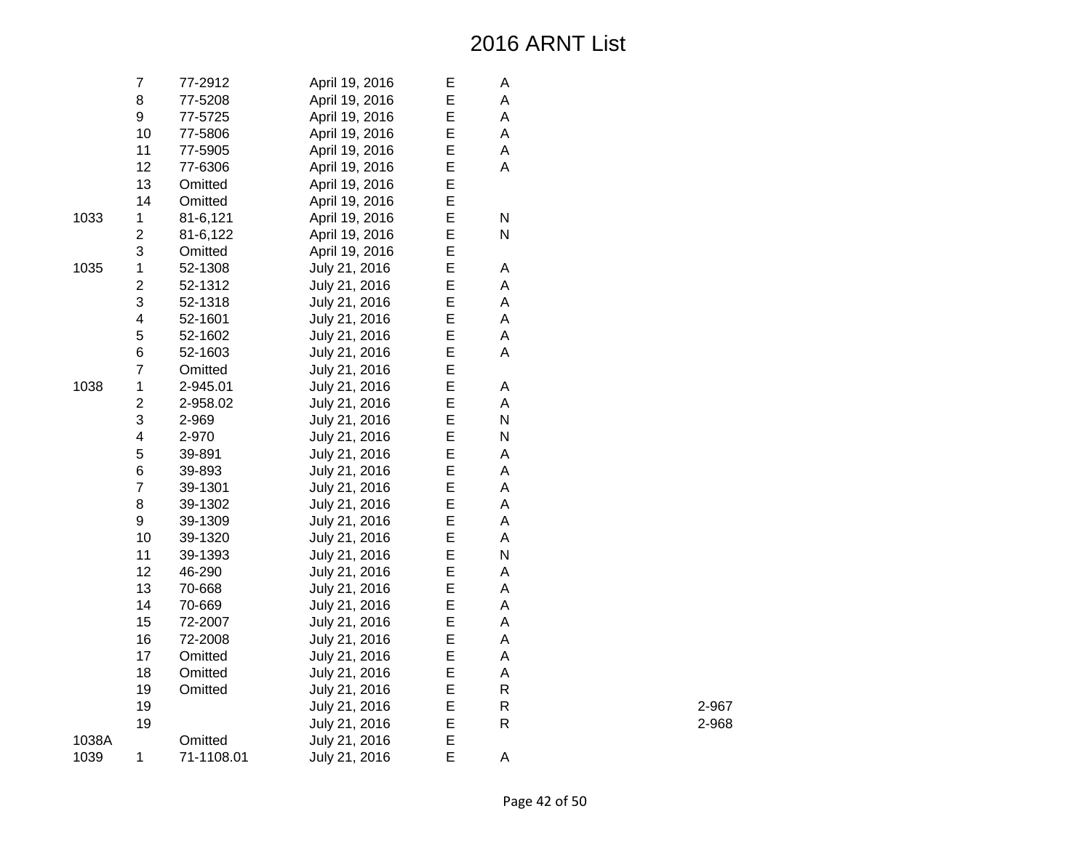|       | $\overline{7}$          | 77-2912    | April 19, 2016 | E | Α         |
|-------|-------------------------|------------|----------------|---|-----------|
|       | 8                       | 77-5208    | April 19, 2016 | E | А         |
|       | 9                       | 77-5725    | April 19, 2016 | E | A         |
|       | 10                      | 77-5806    | April 19, 2016 | E | А         |
|       | 11                      | 77-5905    | April 19, 2016 | E | А         |
|       | 12                      | 77-6306    | April 19, 2016 | E | A         |
|       | 13                      | Omitted    | April 19, 2016 | E |           |
|       | 14                      | Omitted    | April 19, 2016 | E |           |
| 1033  | 1                       | 81-6,121   | April 19, 2016 | E | ${\sf N}$ |
|       | $\overline{\mathbf{c}}$ | 81-6,122   | April 19, 2016 | E | N         |
|       | 3                       | Omitted    | April 19, 2016 | E |           |
| 1035  | $\mathbf 1$             | 52-1308    | July 21, 2016  | E | Α         |
|       | $\overline{c}$          | 52-1312    | July 21, 2016  | E | A         |
|       | 3                       | 52-1318    | July 21, 2016  | E | A         |
|       | 4                       | 52-1601    | July 21, 2016  | Е | A         |
|       | 5                       | 52-1602    | July 21, 2016  | E | Α         |
|       | 6                       | 52-1603    | July 21, 2016  | E | A         |
|       | $\overline{7}$          | Omitted    | July 21, 2016  | E |           |
| 1038  | $\mathbf 1$             | 2-945.01   | July 21, 2016  | E | Α         |
|       | $\overline{c}$          | 2-958.02   | July 21, 2016  | E | A         |
|       | 3                       | 2-969      | July 21, 2016  | E | N         |
|       | 4                       | 2-970      | July 21, 2016  | E | N         |
|       | 5                       | 39-891     | July 21, 2016  | E | A         |
|       | 6                       | 39-893     | July 21, 2016  | E | A         |
|       | $\overline{\mathbf{7}}$ | 39-1301    | July 21, 2016  | E | A         |
|       | 8                       | 39-1302    | July 21, 2016  | E | A         |
|       | 9                       | 39-1309    | July 21, 2016  | E | A         |
|       | 10                      | 39-1320    | July 21, 2016  | E | А         |
|       | 11                      | 39-1393    | July 21, 2016  | E | N         |
|       | 12                      | 46-290     | July 21, 2016  | E | A         |
|       | 13                      | 70-668     | July 21, 2016  | E | А         |
|       | 14                      | 70-669     | July 21, 2016  | E | A         |
|       | 15                      | 72-2007    | July 21, 2016  | E | Α         |
|       | 16                      | 72-2008    | July 21, 2016  | E | А         |
|       | 17                      | Omitted    | July 21, 2016  | E | A         |
|       | 18                      | Omitted    | July 21, 2016  | E | А         |
|       | 19                      | Omitted    | July 21, 2016  | E | R         |
|       | 19                      |            | July 21, 2016  | E | R         |
|       | 19                      |            | July 21, 2016  | E | R         |
| 1038A |                         | Omitted    | July 21, 2016  | E |           |
| 1039  | 1                       | 71-1108.01 | July 21, 2016  | E | Α         |

2-967

R 2-968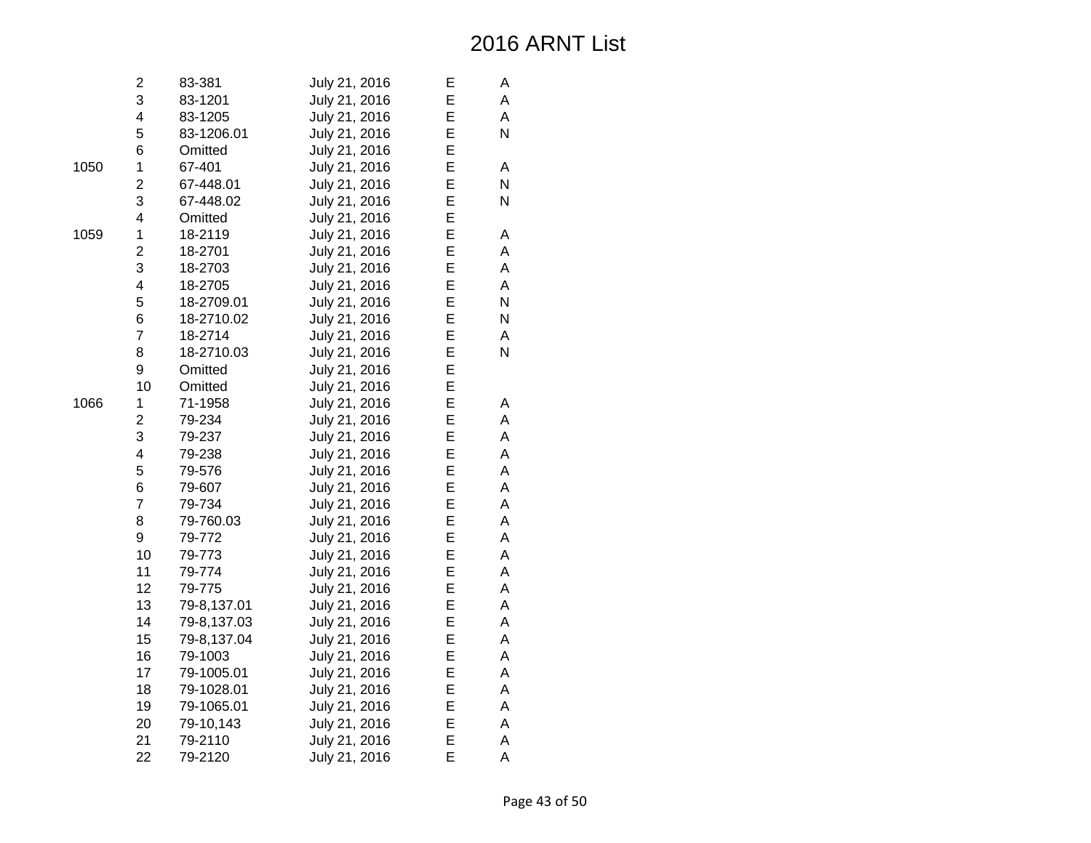|      | 2                       | 83-381      | July 21, 2016 | E | A |
|------|-------------------------|-------------|---------------|---|---|
|      | 3                       | 83-1201     | July 21, 2016 | E | A |
|      | 4                       | 83-1205     | July 21, 2016 | E | A |
|      | 5                       | 83-1206.01  | July 21, 2016 | E | N |
|      | 6                       | Omitted     | July 21, 2016 | E |   |
| 1050 | 1                       | 67-401      | July 21, 2016 | E | A |
|      | 2                       | 67-448.01   | July 21, 2016 | E | N |
|      | 3                       | 67-448.02   | July 21, 2016 | E | N |
|      | 4                       | Omitted     | July 21, 2016 | E |   |
| 1059 | 1                       | 18-2119     | July 21, 2016 | E | Α |
|      | $\overline{2}$          | 18-2701     | July 21, 2016 | E | A |
|      | 3                       | 18-2703     | July 21, 2016 | E | A |
|      | $\overline{\mathbf{4}}$ | 18-2705     | July 21, 2016 | E | A |
|      | 5                       | 18-2709.01  | July 21, 2016 | E | N |
|      | 6                       | 18-2710.02  | July 21, 2016 | E | N |
|      | $\overline{7}$          | 18-2714     | July 21, 2016 | E | A |
|      | 8                       | 18-2710.03  | July 21, 2016 | E | N |
|      | 9                       | Omitted     | July 21, 2016 | E |   |
|      | 10                      | Omitted     | July 21, 2016 | E |   |
| 1066 | 1                       | 71-1958     | July 21, 2016 | E | A |
|      | 2                       | 79-234      | July 21, 2016 | E | A |
|      | 3                       | 79-237      | July 21, 2016 | E | A |
|      | 4                       | 79-238      | July 21, 2016 | E | A |
|      | 5                       | 79-576      | July 21, 2016 | E | A |
|      | 6                       | 79-607      | July 21, 2016 | E | A |
|      | $\overline{7}$          | 79-734      | July 21, 2016 | E | A |
|      | 8                       | 79-760.03   | July 21, 2016 | E | А |
|      | 9                       | 79-772      | July 21, 2016 | E | A |
|      | 10                      | 79-773      | July 21, 2016 | E | A |
|      | 11                      | 79-774      | July 21, 2016 | E | A |
|      | 12                      | 79-775      | July 21, 2016 | E | A |
|      | 13                      | 79-8,137.01 | July 21, 2016 | E | A |
|      | 14                      | 79-8,137.03 | July 21, 2016 | E | А |
|      | 15                      | 79-8,137.04 | July 21, 2016 | E | A |
|      | 16                      | 79-1003     | July 21, 2016 | E | A |
|      | 17                      | 79-1005.01  | July 21, 2016 | E | А |
|      | 18                      | 79-1028.01  | July 21, 2016 | E | A |
|      | 19                      | 79-1065.01  | July 21, 2016 | E | A |
|      | 20                      | 79-10,143   | July 21, 2016 | E | A |
|      | 21                      | 79-2110     | July 21, 2016 | E | A |
|      | 22                      | 79-2120     | July 21, 2016 | E | A |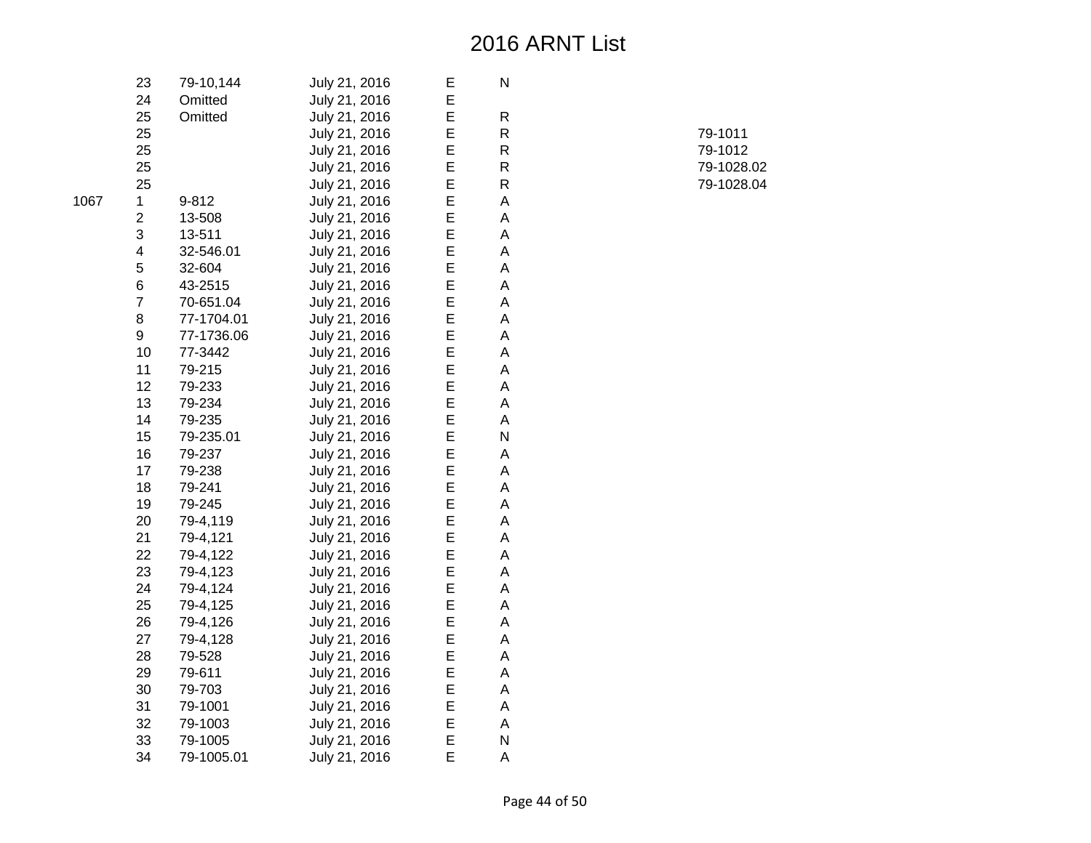| 23 | 79-10,144  | July 21, 2016 | Ε | N |
|----|------------|---------------|---|---|
| 24 | Omitted    | July 21, 2016 | Е |   |
| 25 | Omitted    | July 21, 2016 | E | R |
| 25 |            | July 21, 2016 | E | R |
| 25 |            | July 21, 2016 | E | R |
| 25 |            | July 21, 2016 | E | R |
| 25 |            | July 21, 2016 | E | R |
| 1  | 9-812      | July 21, 2016 | E | A |
| 2  | 13-508     | July 21, 2016 | E | A |
| 3  | 13-511     | July 21, 2016 | E | Α |
| 4  | 32-546.01  | July 21, 2016 | E | A |
| 5  | 32-604     | July 21, 2016 | E | A |
| 6  | 43-2515    | July 21, 2016 | E | A |
| 7  | 70-651.04  | July 21, 2016 | E | Α |
| 8  | 77-1704.01 | July 21, 2016 | E | Α |
| 9  | 77-1736.06 | July 21, 2016 | E | A |
| 10 | 77-3442    | July 21, 2016 | E | A |
| 11 | 79-215     | July 21, 2016 | E | А |
| 12 | 79-233     | July 21, 2016 | E | A |
| 13 | 79-234     | July 21, 2016 | E | A |
| 14 | 79-235     | July 21, 2016 | E | A |
| 15 | 79-235.01  | July 21, 2016 | E | N |
| 16 | 79-237     | July 21, 2016 | E | A |
| 17 | 79-238     | July 21, 2016 | E | А |
| 18 | 79-241     | July 21, 2016 | E | A |
| 19 | 79-245     | July 21, 2016 | E | A |
| 20 | 79-4,119   | July 21, 2016 | E | Α |
| 21 | 79-4,121   | July 21, 2016 | E | A |
| 22 | 79-4,122   | July 21, 2016 | E | A |
| 23 | 79-4,123   | July 21, 2016 | E | A |
| 24 | 79-4,124   | July 21, 2016 | E | A |
| 25 | 79-4,125   | July 21, 2016 | Е | Α |
| 26 | 79-4,126   | July 21, 2016 | E | A |
| 27 | 79-4,128   | July 21, 2016 | E | A |
| 28 | 79-528     | July 21, 2016 | E | А |
| 29 | 79-611     | July 21, 2016 | E | А |
| 30 | 79-703     | July 21, 2016 | E | A |
| 31 | 79-1001    | July 21, 2016 | E | A |
| 32 | 79-1003    | July 21, 2016 | E | A |
| 33 | 79-1005    | July 21, 2016 | E | N |
| 34 | 79-1005.01 | July 21, 2016 | E | A |

| . . |            |
|-----|------------|
| R   | 79-1011    |
| R   | 79-1012    |
| R   | 79-1028.02 |
| R   | 79-1028.04 |
|     |            |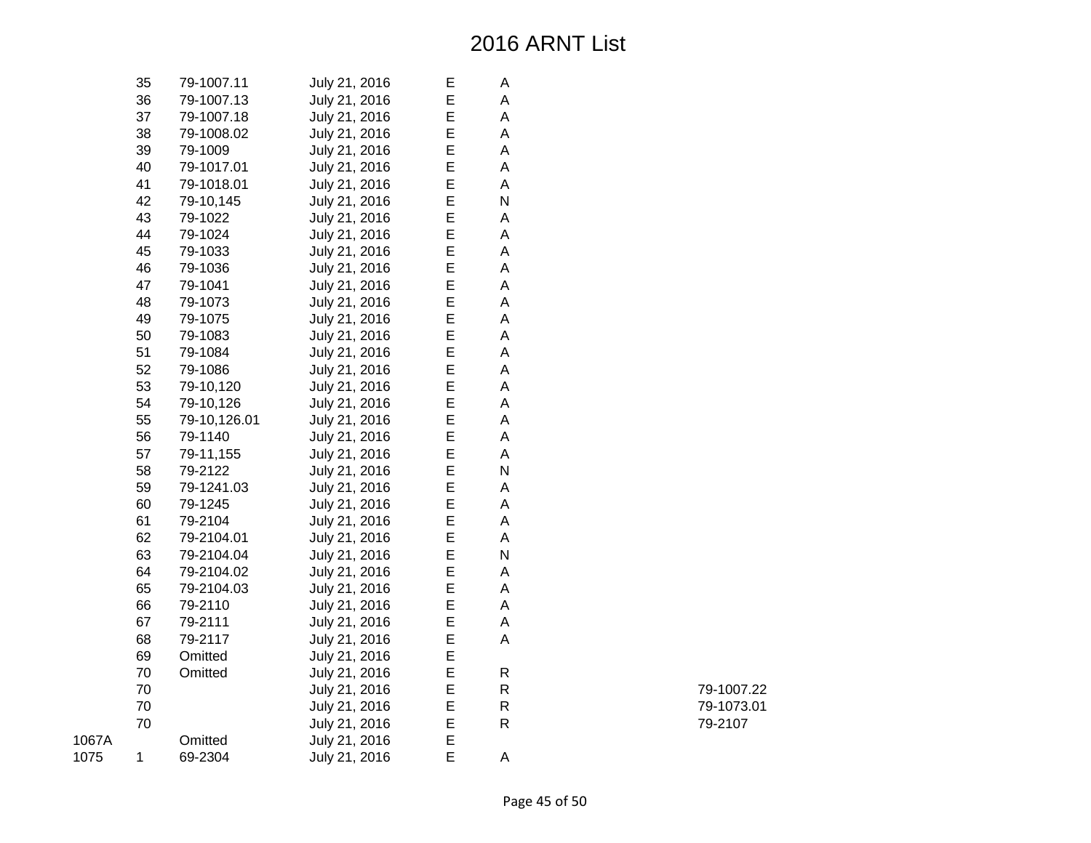|       | 35 | 79-1007.11   | July 21, 2016 | Ε | А            |
|-------|----|--------------|---------------|---|--------------|
|       | 36 | 79-1007.13   | July 21, 2016 | E | A            |
|       | 37 | 79-1007.18   | July 21, 2016 | E | A            |
|       | 38 | 79-1008.02   | July 21, 2016 | E | А            |
|       | 39 | 79-1009      | July 21, 2016 | E | A            |
|       | 40 | 79-1017.01   | July 21, 2016 | E | A            |
|       | 41 | 79-1018.01   | July 21, 2016 | E | Α            |
|       | 42 | 79-10,145    | July 21, 2016 | E | N            |
|       | 43 | 79-1022      | July 21, 2016 | E | Α            |
|       | 44 | 79-1024      | July 21, 2016 | E | Α            |
|       | 45 | 79-1033      | July 21, 2016 | E | A            |
|       | 46 | 79-1036      | July 21, 2016 | E | A            |
|       | 47 | 79-1041      | July 21, 2016 | E | Α            |
|       | 48 | 79-1073      | July 21, 2016 | E | A            |
|       | 49 | 79-1075      | July 21, 2016 | E | Α            |
|       | 50 | 79-1083      | July 21, 2016 | E | Α            |
|       | 51 | 79-1084      | July 21, 2016 | E | A            |
|       | 52 | 79-1086      | July 21, 2016 | E | A            |
|       | 53 | 79-10,120    | July 21, 2016 | E | А            |
|       | 54 | 79-10,126    | July 21, 2016 | E | Α            |
|       | 55 | 79-10,126.01 | July 21, 2016 | E | Α            |
|       | 56 | 79-1140      | July 21, 2016 | E | A            |
|       | 57 | 79-11,155    | July 21, 2016 | E | A            |
|       | 58 | 79-2122      | July 21, 2016 | E | N            |
|       | 59 | 79-1241.03   | July 21, 2016 | E | А            |
|       | 60 | 79-1245      | July 21, 2016 | E | A            |
|       | 61 | 79-2104      | July 21, 2016 | E | А            |
|       | 62 | 79-2104.01   | July 21, 2016 | E | Α            |
|       | 63 | 79-2104.04   | July 21, 2016 | E | N            |
|       | 64 | 79-2104.02   | July 21, 2016 | E | Α            |
|       | 65 | 79-2104.03   | July 21, 2016 | E | A            |
|       | 66 | 79-2110      | July 21, 2016 | E | А            |
|       | 67 | 79-2111      | July 21, 2016 | E | Α            |
|       | 68 | 79-2117      | July 21, 2016 | E | A            |
|       | 69 | Omitted      | July 21, 2016 | E |              |
|       | 70 | Omitted      | July 21, 2016 | E | R            |
|       | 70 |              | July 21, 2016 | E | R            |
|       | 70 |              | July 21, 2016 | E | R            |
|       | 70 |              | July 21, 2016 | E | $\mathsf{R}$ |
| 1067A |    | Omitted      | July 21, 2016 | E |              |
| 1075  | 1  | 69-2304      | July 21, 2016 | E | A            |

R 79-1007.22 R 79-1073.01 R 79-2107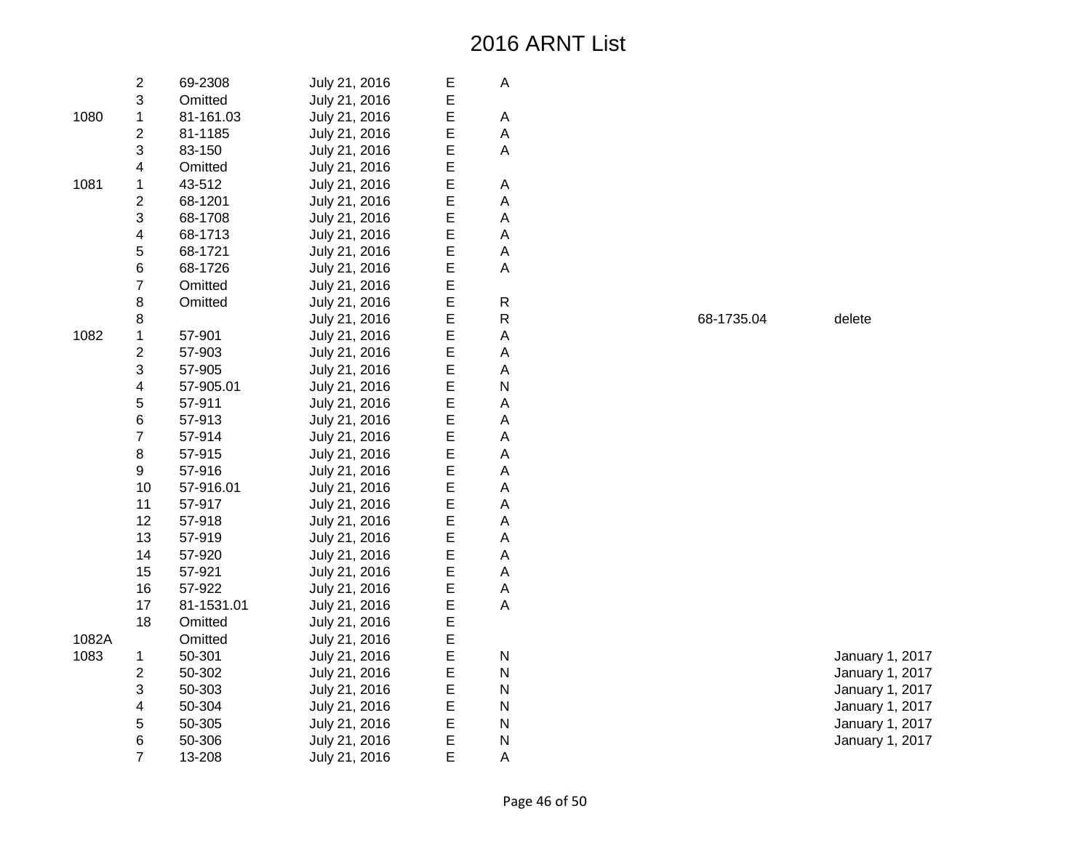|       | $\overline{\mathbf{c}}$ | 69-2308    | July 21, 2016 | Е | A |
|-------|-------------------------|------------|---------------|---|---|
|       | 3                       | Omitted    | July 21, 2016 | E |   |
| 1080  | $\mathbf 1$             | 81-161.03  | July 21, 2016 | E | Α |
|       | $\overline{2}$          | 81-1185    | July 21, 2016 | E | A |
|       | 3                       | 83-150     | July 21, 2016 | E | A |
|       | 4                       | Omitted    | July 21, 2016 | E |   |
| 1081  | 1                       | 43-512     | July 21, 2016 | E | А |
|       | $\overline{2}$          | 68-1201    | July 21, 2016 | E | A |
|       | 3                       | 68-1708    | July 21, 2016 | E | A |
|       | 4                       | 68-1713    | July 21, 2016 | E | A |
|       | 5                       | 68-1721    | July 21, 2016 | E | A |
|       | 6                       | 68-1726    | July 21, 2016 | E | A |
|       | $\overline{7}$          | Omitted    | July 21, 2016 | E |   |
|       | 8                       | Omitted    | July 21, 2016 | E | R |
|       | 8                       |            | July 21, 2016 | E | R |
| 1082  | 1                       | 57-901     | July 21, 2016 | E | A |
|       | $\overline{c}$          | 57-903     | July 21, 2016 | E | A |
|       | 3                       | 57-905     | July 21, 2016 | E | A |
|       | $\overline{\mathbf{4}}$ | 57-905.01  | July 21, 2016 | E | N |
|       | 5                       | 57-911     | July 21, 2016 | E | A |
|       | 6                       | 57-913     | July 21, 2016 | E | A |
|       | $\overline{7}$          | 57-914     | July 21, 2016 | E | A |
|       | 8                       | 57-915     | July 21, 2016 | E | A |
|       | 9                       | 57-916     | July 21, 2016 | E | A |
|       | 10                      | 57-916.01  | July 21, 2016 | E | A |
|       | 11                      | 57-917     | July 21, 2016 | E | A |
|       | 12                      | 57-918     | July 21, 2016 | E | А |
|       | 13                      | 57-919     | July 21, 2016 | E | A |
|       | 14                      | 57-920     | July 21, 2016 | E | A |
|       | 15                      | 57-921     | July 21, 2016 | E | A |
|       | 16                      | 57-922     | July 21, 2016 | E | A |
|       | 17                      | 81-1531.01 | July 21, 2016 | E | A |
|       | 18                      | Omitted    | July 21, 2016 | E |   |
| 1082A |                         | Omitted    | July 21, 2016 | E |   |
| 1083  | 1                       | 50-301     | July 21, 2016 | E | N |
|       | $\overline{2}$          | 50-302     | July 21, 2016 | E | N |
|       | 3                       | 50-303     | July 21, 2016 | E | N |
|       | $\overline{\mathbf{4}}$ | 50-304     | July 21, 2016 | E | Ν |
|       | 5                       | 50-305     | July 21, 2016 | E | N |
|       | 6                       | 50-306     | July 21, 2016 | E | N |
|       | $\overline{7}$          | 13-208     | July 21, 2016 | E | A |

68-1735.04 delete

January 1, 2017 January 1, 2017 January 1, 2017 January 1, 2017 January 1, 2017 January 1, 2017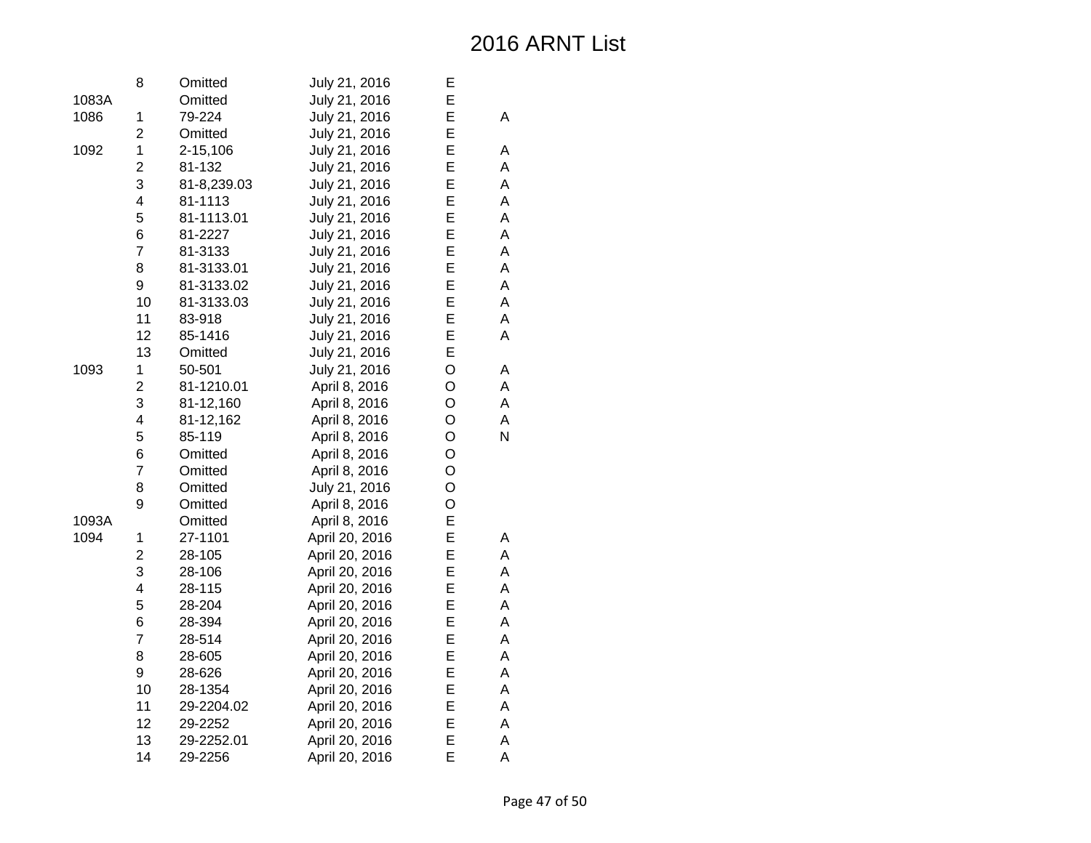|       | 8              | Omitted     | July 21, 2016  | E |   |
|-------|----------------|-------------|----------------|---|---|
| 1083A |                | Omitted     | July 21, 2016  | E |   |
| 1086  | 1              | 79-224      | July 21, 2016  | E | A |
|       | $\overline{c}$ | Omitted     | July 21, 2016  | E |   |
| 1092  | $\mathbf 1$    | 2-15,106    | July 21, 2016  | E | А |
|       | $\overline{2}$ | 81-132      | July 21, 2016  | E | A |
|       | 3              | 81-8,239.03 | July 21, 2016  | E | A |
|       | 4              | 81-1113     | July 21, 2016  | E | A |
|       | 5              | 81-1113.01  | July 21, 2016  | E | A |
|       | 6              | 81-2227     | July 21, 2016  | E | A |
|       | $\overline{7}$ | 81-3133     | July 21, 2016  | E | A |
|       | 8              | 81-3133.01  | July 21, 2016  | E | A |
|       | 9              | 81-3133.02  | July 21, 2016  | E | A |
|       | 10             | 81-3133.03  | July 21, 2016  | E | A |
|       | 11             | 83-918      | July 21, 2016  | E | A |
|       | 12             | 85-1416     | July 21, 2016  | E | A |
|       | 13             | Omitted     | July 21, 2016  | E |   |
| 1093  | $\mathbf 1$    | 50-501      | July 21, 2016  | O | А |
|       | $\overline{2}$ | 81-1210.01  | April 8, 2016  | O | A |
|       | 3              | 81-12,160   | April 8, 2016  | O | A |
|       | 4              | 81-12,162   | April 8, 2016  | O | A |
|       | 5              | 85-119      | April 8, 2016  | O | N |
|       | 6              | Omitted     | April 8, 2016  | O |   |
|       | 7              | Omitted     | April 8, 2016  | O |   |
|       | 8              | Omitted     | July 21, 2016  | O |   |
|       | 9              | Omitted     | April 8, 2016  | O |   |
| 1093A |                | Omitted     | April 8, 2016  | E |   |
| 1094  | 1              | 27-1101     | April 20, 2016 | E | А |
|       | $\overline{c}$ | 28-105      | April 20, 2016 | E | A |
|       | 3              | 28-106      | April 20, 2016 | E | A |
|       | 4              | 28-115      | April 20, 2016 | E | A |
|       | 5              | 28-204      | April 20, 2016 | E | A |
|       | 6              | 28-394      | April 20, 2016 | E | A |
|       | $\overline{7}$ | 28-514      | April 20, 2016 | E | A |
|       | 8              | 28-605      | April 20, 2016 | E | A |
|       | 9              | 28-626      | April 20, 2016 | E | A |
|       | 10             | 28-1354     | April 20, 2016 | E | A |
|       | 11             | 29-2204.02  | April 20, 2016 | E | A |
|       | 12             | 29-2252     | April 20, 2016 | E | A |
|       | 13             | 29-2252.01  | April 20, 2016 | E | A |
|       | 14             | 29-2256     | April 20, 2016 | E | Α |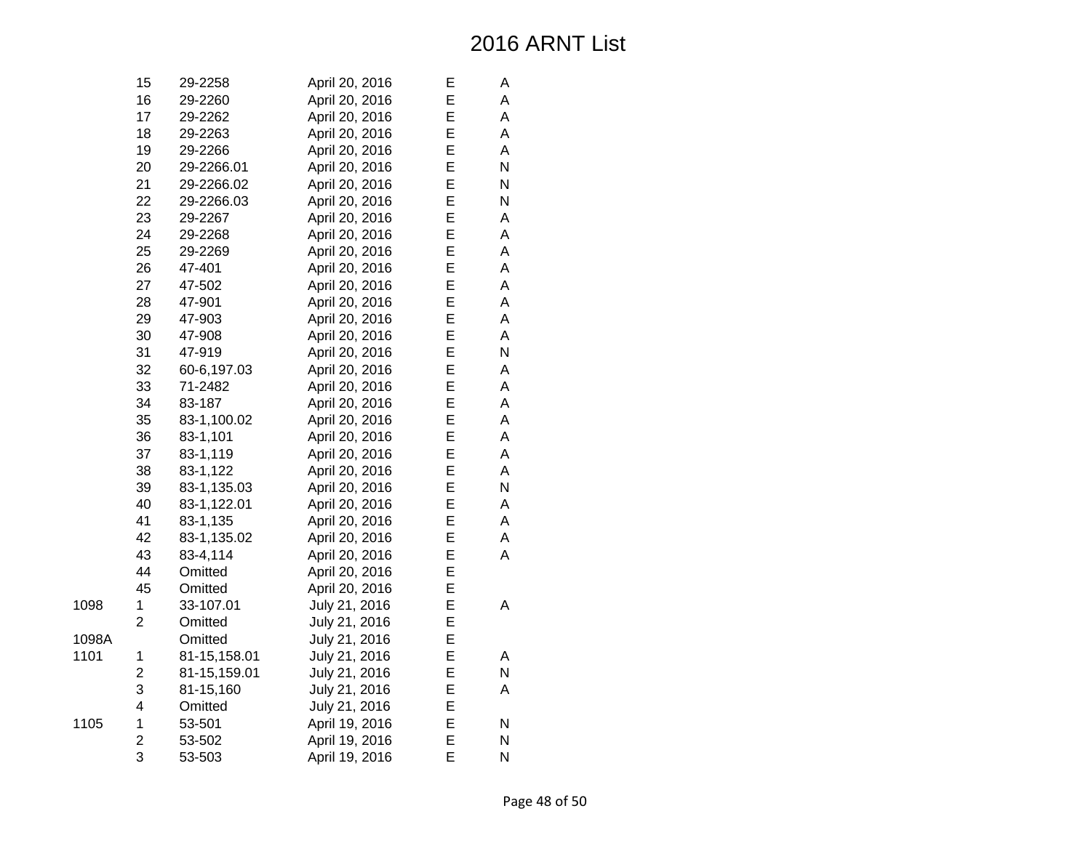|       | 15                      | 29-2258      | April 20, 2016 | E | А |
|-------|-------------------------|--------------|----------------|---|---|
|       | 16                      | 29-2260      | April 20, 2016 | E | A |
|       | 17                      | 29-2262      | April 20, 2016 | E | A |
|       | 18                      | 29-2263      | April 20, 2016 | E | А |
|       | 19                      | 29-2266      | April 20, 2016 | E | A |
|       | 20                      | 29-2266.01   | April 20, 2016 | E | N |
|       | 21                      | 29-2266.02   | April 20, 2016 | E | N |
|       | 22                      | 29-2266.03   | April 20, 2016 | E | N |
|       | 23                      | 29-2267      | April 20, 2016 | E | A |
|       | 24                      | 29-2268      | April 20, 2016 | E | A |
|       | 25                      | 29-2269      | April 20, 2016 | E | A |
|       | 26                      | 47-401       | April 20, 2016 | E | A |
|       | 27                      | 47-502       | April 20, 2016 | E | А |
|       | 28                      | 47-901       | April 20, 2016 | E | А |
|       | 29                      | 47-903       | April 20, 2016 | E | A |
|       | 30                      | 47-908       | April 20, 2016 | E | Α |
|       | 31                      | 47-919       | April 20, 2016 | E | N |
|       | 32                      | 60-6,197.03  | April 20, 2016 | E | A |
|       | 33                      | 71-2482      | April 20, 2016 | E | A |
|       | 34                      | 83-187       | April 20, 2016 | E | А |
|       | 35                      | 83-1,100.02  | April 20, 2016 | E | А |
|       | 36                      | 83-1,101     | April 20, 2016 | E | A |
|       | 37                      | 83-1,119     | April 20, 2016 | E | A |
|       | 38                      | 83-1,122     | April 20, 2016 | E | A |
|       | 39                      | 83-1,135.03  | April 20, 2016 | E | N |
|       | 40                      | 83-1,122.01  | April 20, 2016 | E | А |
|       | 41                      | 83-1,135     | April 20, 2016 | E | А |
|       | 42                      | 83-1,135.02  | April 20, 2016 | E | А |
|       | 43                      | 83-4,114     | April 20, 2016 | E | A |
|       | 44                      | Omitted      | April 20, 2016 | E |   |
|       | 45                      | Omitted      | April 20, 2016 | E |   |
| 1098  | 1                       | 33-107.01    | July 21, 2016  | E | A |
|       | $\overline{2}$          | Omitted      | July 21, 2016  | E |   |
| 1098A |                         | Omitted      | July 21, 2016  | E |   |
| 1101  | 1                       | 81-15,158.01 | July 21, 2016  | E | А |
|       | $\overline{\mathbf{c}}$ | 81-15,159.01 | July 21, 2016  | E | N |
|       | 3                       | 81-15,160    | July 21, 2016  | E | Α |
|       | 4                       | Omitted      | July 21, 2016  | E |   |
| 1105  | 1                       | 53-501       | April 19, 2016 | E | Ν |
|       | $\overline{c}$          | 53-502       | April 19, 2016 | E | N |
|       | 3                       | 53-503       | April 19, 2016 | E | N |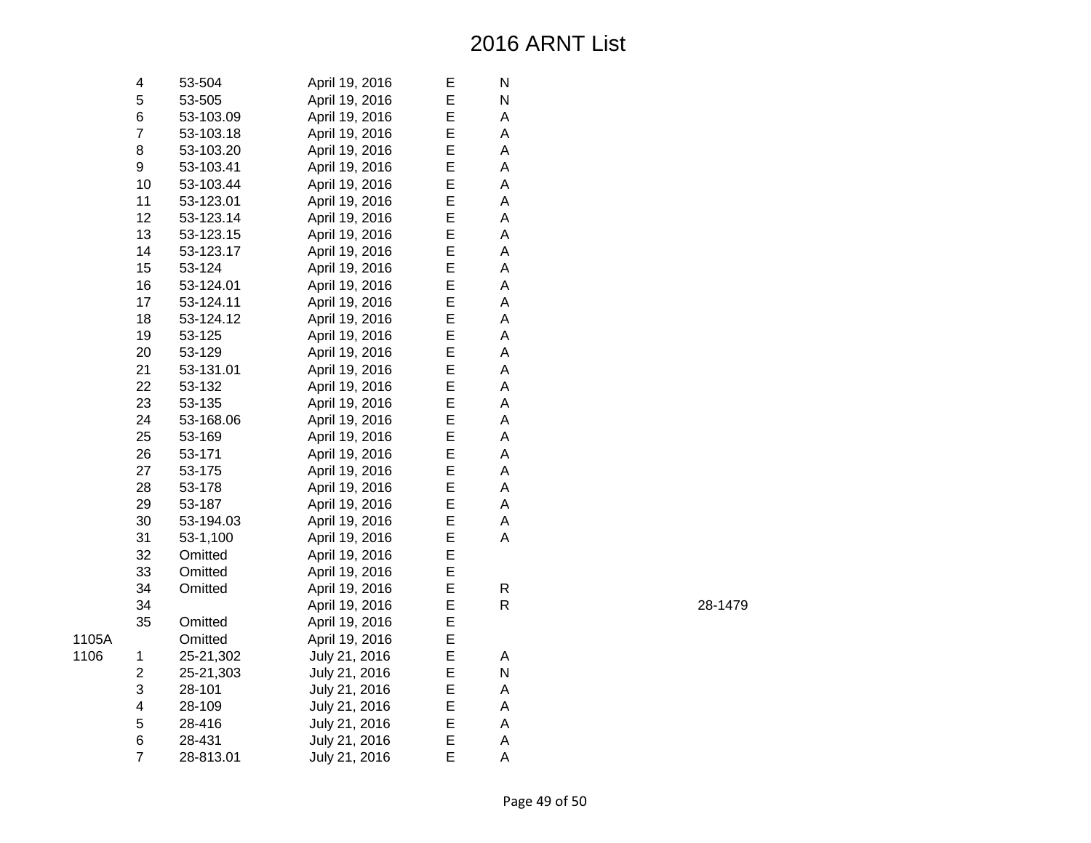| 4              | 53-504    | April 19, 2016 | Е | N |
|----------------|-----------|----------------|---|---|
| 5              | 53-505    | April 19, 2016 | E | N |
| 6              | 53-103.09 | April 19, 2016 | E | A |
| 7              | 53-103.18 | April 19, 2016 | Е | A |
| 8              | 53-103.20 | April 19, 2016 | E | A |
| 9              | 53-103.41 | April 19, 2016 | E | A |
| 10             | 53-103.44 | April 19, 2016 | E | A |
| 11             | 53-123.01 | April 19, 2016 | E | A |
| 12             | 53-123.14 | April 19, 2016 | E | A |
| 13             | 53-123.15 | April 19, 2016 | E | A |
| 14             | 53-123.17 | April 19, 2016 | E | A |
| 15             | 53-124    | April 19, 2016 | E | A |
| 16             | 53-124.01 | April 19, 2016 | E | A |
| 17             | 53-124.11 | April 19, 2016 | E | A |
| 18             | 53-124.12 | April 19, 2016 | E | A |
| 19             | 53-125    | April 19, 2016 | E | A |
| 20             | 53-129    | April 19, 2016 | E | A |
| 21             | 53-131.01 | April 19, 2016 | E | A |
| 22             | 53-132    | April 19, 2016 | E | A |
| 23             | 53-135    | April 19, 2016 | E | A |
| 24             | 53-168.06 | April 19, 2016 | E | A |
| 25             | 53-169    | April 19, 2016 | E | A |
| 26             | 53-171    | April 19, 2016 | E | A |
| 27             | 53-175    | April 19, 2016 | E | A |
| 28             | 53-178    | April 19, 2016 | E | A |
| 29             | 53-187    | April 19, 2016 | E | A |
| 30             | 53-194.03 | April 19, 2016 | E | A |
| 31             | 53-1,100  | April 19, 2016 | E | A |
| 32             | Omitted   | April 19, 2016 | E |   |
| 33             | Omitted   | April 19, 2016 | E |   |
| 34             | Omitted   | April 19, 2016 | E | R |
| 34             |           | April 19, 2016 | E | R |
| 35             | Omitted   | April 19, 2016 | E |   |
|                | Omitted   | April 19, 2016 | E |   |
| 1              | 25-21,302 | July 21, 2016  | E | Α |
| $\overline{2}$ | 25-21,303 | July 21, 2016  | E | N |
| 3              | 28-101    | July 21, 2016  | E | A |
| 4              | 28-109    | July 21, 2016  | E | A |
| 5              | 28-416    | July 21, 2016  | E | A |
| 6              | 28-431    | July 21, 2016  | E | A |
| $\overline{7}$ | 28-813.01 | July 21, 2016  | E | A |

1105A

1106

R 28-1479